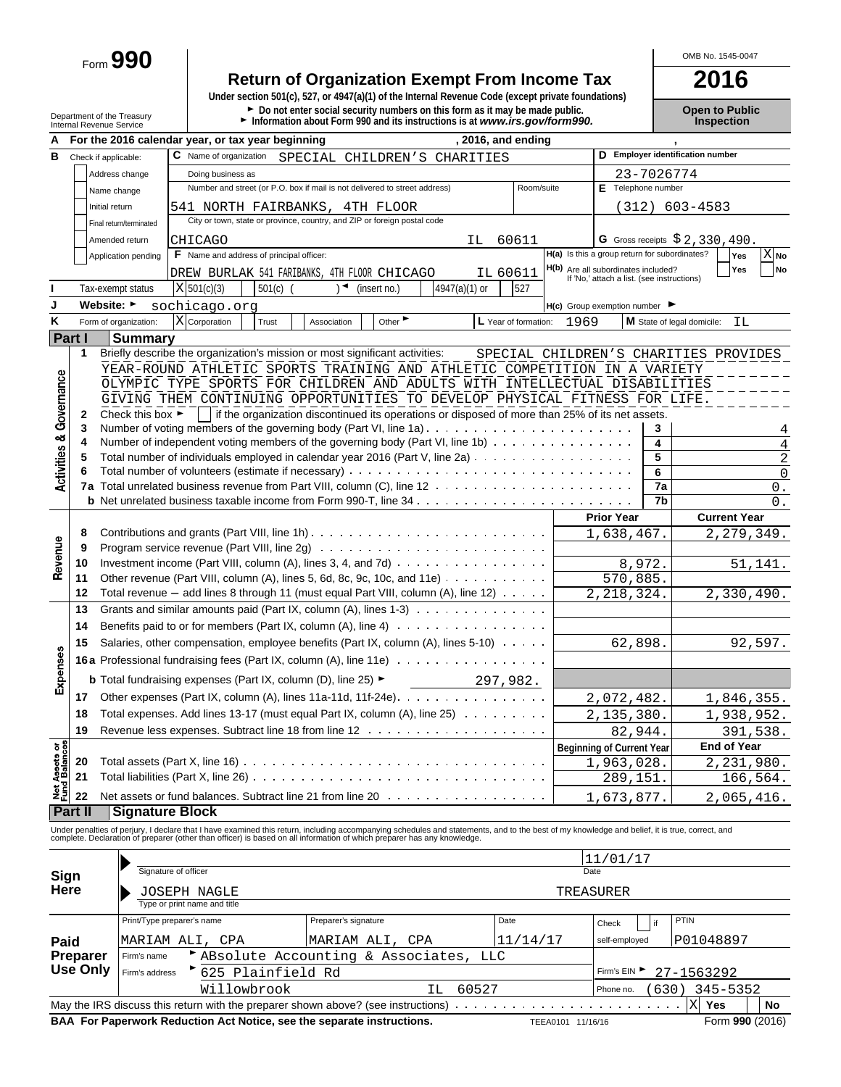Form **990**

# **Return of Organization Exempt From Income Tax**<br>
Under section 501(c), 527, or 4947(a)(1) of the Internal Revenue Code (except private foundations)

OMB No. 1545-0047

|                                                        | ender exercise the fight of the result of the morning restation of choops private reditational                                                                                    |                                            |
|--------------------------------------------------------|-----------------------------------------------------------------------------------------------------------------------------------------------------------------------------------|--------------------------------------------|
| Department of the Treasurv<br>Internal Revenue Service | $\blacktriangleright$ Do not enter social security numbers on this form as it may be made public.<br>► Information about Form 990 and its instructions is at www.irs.gov/form990. | <b>Open to Public</b><br><b>Inspection</b> |
|                                                        |                                                                                                                                                                                   |                                            |

| А                                      |                                                                                          |                                      | , 2016, and ending<br>For the 2016 calendar year, or tax year beginning                                                                                                                                                                                                                                                  |                    |            |                                     |  |  |  |  |  |  |  |
|----------------------------------------|------------------------------------------------------------------------------------------|--------------------------------------|--------------------------------------------------------------------------------------------------------------------------------------------------------------------------------------------------------------------------------------------------------------------------------------------------------------------------|--------------------|------------|-------------------------------------|--|--|--|--|--|--|--|
| в                                      |                                                                                          | Check if applicable:                 | C Name of organization<br>SPECIAL CHILDREN'S CHARITIES                                                                                                                                                                                                                                                                   |                    |            | D Employer identification number    |  |  |  |  |  |  |  |
|                                        |                                                                                          | Address change                       | Doing business as                                                                                                                                                                                                                                                                                                        |                    | 23-7026774 |                                     |  |  |  |  |  |  |  |
|                                        |                                                                                          | Name change                          | Number and street (or P.O. box if mail is not delivered to street address)<br>Room/suite                                                                                                                                                                                                                                 | E Telephone number |            |                                     |  |  |  |  |  |  |  |
|                                        |                                                                                          | Initial return                       | 541 NORTH FAIRBANKS, 4TH FLOOR                                                                                                                                                                                                                                                                                           |                    |            | $(312) 603 - 4583$                  |  |  |  |  |  |  |  |
|                                        |                                                                                          | Final return/terminated              | City or town, state or province, country, and ZIP or foreign postal code                                                                                                                                                                                                                                                 |                    |            |                                     |  |  |  |  |  |  |  |
|                                        |                                                                                          | Amended return                       | CHICAGO<br>60611<br>IL                                                                                                                                                                                                                                                                                                   |                    |            | G Gross receipts $$2,330,490$ .     |  |  |  |  |  |  |  |
|                                        |                                                                                          | Application pending                  | H(a) Is this a group return for subordinates?<br><b>F</b> Name and address of principal officer:                                                                                                                                                                                                                         |                    |            | $\overline{X}$ No<br>Yes            |  |  |  |  |  |  |  |
|                                        |                                                                                          |                                      | H(b) Are all subordinates included?<br>If 'No,' attach a list. (see instructions)<br>IL 60611<br>DREW BURLAK 541 FARIBANKS, 4TH FLOOR CHICAGO                                                                                                                                                                            |                    |            | <b>No</b><br>Yes                    |  |  |  |  |  |  |  |
|                                        | 4947(a)(1) or<br>$X$ 501(c)(3)<br>$501(c)$ (<br>527<br>Tax-exempt status<br>(insert no.) |                                      |                                                                                                                                                                                                                                                                                                                          |                    |            |                                     |  |  |  |  |  |  |  |
| J                                      |                                                                                          | Website: ►                           | $H(c)$ Group exemption number $\blacktriangleright$<br>sochicago.org                                                                                                                                                                                                                                                     |                    |            |                                     |  |  |  |  |  |  |  |
| Κ                                      |                                                                                          | Form of organization:                | X Corporation<br>Other $\blacktriangleright$<br>L Year of formation:<br>Trust<br>Association<br>1969                                                                                                                                                                                                                     |                    |            | M State of legal domicile:<br>ΙL    |  |  |  |  |  |  |  |
|                                        | Part I                                                                                   | <b>Summary</b>                       |                                                                                                                                                                                                                                                                                                                          |                    |            |                                     |  |  |  |  |  |  |  |
|                                        | 1                                                                                        |                                      | Briefly describe the organization's mission or most significant activities:<br>SPECIAL CHILDREN'S CHARITIES PROVIDES                                                                                                                                                                                                     |                    |            |                                     |  |  |  |  |  |  |  |
|                                        |                                                                                          |                                      | YEAR-ROUND ATHLETIC SPORTS TRAINING AND ATHLETIC COMPETITION IN A VARIETY                                                                                                                                                                                                                                                |                    |            |                                     |  |  |  |  |  |  |  |
| <b>Activities &amp; Governance</b>     |                                                                                          |                                      | OLYMPIC TYPE SPORTS FOR CHILDREN AND ADULTS WITH INTELLECTUAL DISABILITIES                                                                                                                                                                                                                                               |                    |            |                                     |  |  |  |  |  |  |  |
|                                        |                                                                                          |                                      | GIVING THEM CONTINUING OPPORTUNITIES TO DEVELOP PHYSICAL FITNESS FOR LIFE.                                                                                                                                                                                                                                               |                    |            |                                     |  |  |  |  |  |  |  |
|                                        | 2<br>3                                                                                   | Check this box $\blacktriangleright$ | If the organization discontinued its operations or disposed of more than 25% of its net assets.<br>Number of voting members of the governing body (Part VI, line 1a) $\ldots \ldots \ldots \ldots \ldots \ldots \ldots$                                                                                                  |                    | 3.         |                                     |  |  |  |  |  |  |  |
|                                        | 4                                                                                        |                                      | Number of independent voting members of the governing body (Part VI, line 1b)                                                                                                                                                                                                                                            |                    | 4          | 4<br>$\overline{4}$                 |  |  |  |  |  |  |  |
|                                        | 5                                                                                        |                                      | Total number of individuals employed in calendar year 2016 (Part V, line 2a)                                                                                                                                                                                                                                             |                    | 5          | $\boldsymbol{2}$                    |  |  |  |  |  |  |  |
|                                        |                                                                                          |                                      |                                                                                                                                                                                                                                                                                                                          |                    | 6          | $\mathbf 0$                         |  |  |  |  |  |  |  |
|                                        |                                                                                          |                                      |                                                                                                                                                                                                                                                                                                                          |                    | 7a         | 0.                                  |  |  |  |  |  |  |  |
|                                        |                                                                                          |                                      |                                                                                                                                                                                                                                                                                                                          |                    | 7b         | $0$ .                               |  |  |  |  |  |  |  |
|                                        |                                                                                          |                                      |                                                                                                                                                                                                                                                                                                                          | <b>Prior Year</b>  |            | <b>Current Year</b><br>2, 279, 349. |  |  |  |  |  |  |  |
|                                        | 8                                                                                        |                                      | $\overline{1}$ , 638, 467.                                                                                                                                                                                                                                                                                               |                    |            |                                     |  |  |  |  |  |  |  |
| Revenue                                | 9                                                                                        |                                      |                                                                                                                                                                                                                                                                                                                          |                    |            |                                     |  |  |  |  |  |  |  |
|                                        | 10                                                                                       |                                      | Investment income (Part VIII, column (A), lines 3, 4, and 7d) $\ldots \ldots \ldots \ldots \ldots$                                                                                                                                                                                                                       | 8,972.             |            | 51, 141.                            |  |  |  |  |  |  |  |
|                                        | 11<br>12                                                                                 |                                      | Other revenue (Part VIII, column (A), lines 5, 6d, 8c, 9c, 10c, and 11e) $\ldots \ldots \ldots$<br>Total revenue $-$ add lines 8 through 11 (must equal Part VIII, column (A), line 12) $\ldots$                                                                                                                         | 570,885.           |            |                                     |  |  |  |  |  |  |  |
|                                        | 13                                                                                       |                                      | Grants and similar amounts paid (Part IX, column (A), lines 1-3) $\ldots$                                                                                                                                                                                                                                                | 2, 218, 324.       |            | 2,330,490.                          |  |  |  |  |  |  |  |
|                                        | 14                                                                                       |                                      |                                                                                                                                                                                                                                                                                                                          |                    |            |                                     |  |  |  |  |  |  |  |
|                                        | 15                                                                                       |                                      | Salaries, other compensation, employee benefits (Part IX, column (A), lines 5-10)                                                                                                                                                                                                                                        | 62,898.            |            | 92,597.                             |  |  |  |  |  |  |  |
|                                        |                                                                                          |                                      | <b>16a</b> Professional fundraising fees (Part IX, column (A), line 11e)                                                                                                                                                                                                                                                 |                    |            |                                     |  |  |  |  |  |  |  |
| Expenses                               |                                                                                          |                                      | <b>b</b> Total fundraising expenses (Part IX, column (D), line 25) $\blacktriangleright$                                                                                                                                                                                                                                 |                    |            |                                     |  |  |  |  |  |  |  |
|                                        |                                                                                          |                                      | 297,982.<br>Other expenses (Part IX, column (A), lines 11a-11d, 11f-24e).                                                                                                                                                                                                                                                |                    |            |                                     |  |  |  |  |  |  |  |
|                                        | 17                                                                                       |                                      |                                                                                                                                                                                                                                                                                                                          | 2,072,482.         |            | 1,846,355.                          |  |  |  |  |  |  |  |
|                                        | 18<br>19                                                                                 |                                      | Total expenses. Add lines 13-17 (must equal Part IX, column (A), line 25)                                                                                                                                                                                                                                                | 2,135,380.         |            | 1,938,952.                          |  |  |  |  |  |  |  |
|                                        |                                                                                          |                                      |                                                                                                                                                                                                                                                                                                                          | 82,944.            |            | 391,538.<br><b>End of Year</b>      |  |  |  |  |  |  |  |
|                                        | 20                                                                                       |                                      | <b>Beginning of Current Year</b>                                                                                                                                                                                                                                                                                         | 1,963,028.         |            | 2,231,980.                          |  |  |  |  |  |  |  |
|                                        | 21                                                                                       |                                      | Total liabilities (Part X, line 26) $\ldots \ldots \ldots \ldots \ldots \ldots \ldots \ldots \ldots \ldots \ldots \ldots \ldots$                                                                                                                                                                                         | 289,151.           |            | 166,564.                            |  |  |  |  |  |  |  |
| <b>Net Assets or<br/>Fund Balances</b> | 22                                                                                       |                                      |                                                                                                                                                                                                                                                                                                                          |                    |            | 2,065,416.                          |  |  |  |  |  |  |  |
|                                        |                                                                                          |                                      | 1,673,877.<br><b>Part II</b><br><b>Signature Block</b>                                                                                                                                                                                                                                                                   |                    |            |                                     |  |  |  |  |  |  |  |
|                                        |                                                                                          |                                      |                                                                                                                                                                                                                                                                                                                          |                    |            |                                     |  |  |  |  |  |  |  |
|                                        |                                                                                          |                                      |                                                                                                                                                                                                                                                                                                                          |                    |            |                                     |  |  |  |  |  |  |  |
|                                        |                                                                                          |                                      | Under penalties of perjury, I declare that I have examined this return, including accompanying schedules and statements, and to the best of my knowledge and belief, it is true, correct, and<br>complete. Declaration of preparer (other than officer) is based on all information of which preparer has any knowledge. |                    |            |                                     |  |  |  |  |  |  |  |

|          |                              |                                                                        |                             |                          | 11/01/17 |                |                 |    |  |
|----------|------------------------------|------------------------------------------------------------------------|-----------------------------|--------------------------|----------|----------------|-----------------|----|--|
| Sign     | Signature of officer         |                                                                        |                             |                          | Date     |                |                 |    |  |
| Here     | JOSEPH NAGLE                 |                                                                        |                             | TREASURER                |          |                |                 |    |  |
|          | Type or print name and title |                                                                        |                             |                          |          |                |                 |    |  |
|          | Print/Type preparer's name   | Preparer's signature                                                   |                             | Date                     | Check    | $\overline{f}$ | PTIN            |    |  |
| Paid     | MARIAM ALI, CPA              |                                                                        | 11/14/17<br>MARIAM ALI, CPA |                          |          | self-employed  | P01048897       |    |  |
| Preparer | Firm's name                  | ABsolute Accounting & Associates, LLC                                  |                             |                          |          |                |                 |    |  |
| Use Only | Firm's address               | 625 Plainfield Rd                                                      |                             | Firm's EIN<br>27-1563292 |          |                |                 |    |  |
|          |                              | Willowbrook                                                            | TT.                         | 60527<br>Phone no.       |          |                | 345-5352        |    |  |
|          |                              |                                                                        |                             |                          |          |                | <b>X</b> Yes    | No |  |
|          |                              | BAA For Paperwork Reduction Act Notice, see the separate instructions. |                             | TEEA0101 11/16/16        |          |                | Form 990 (2016) |    |  |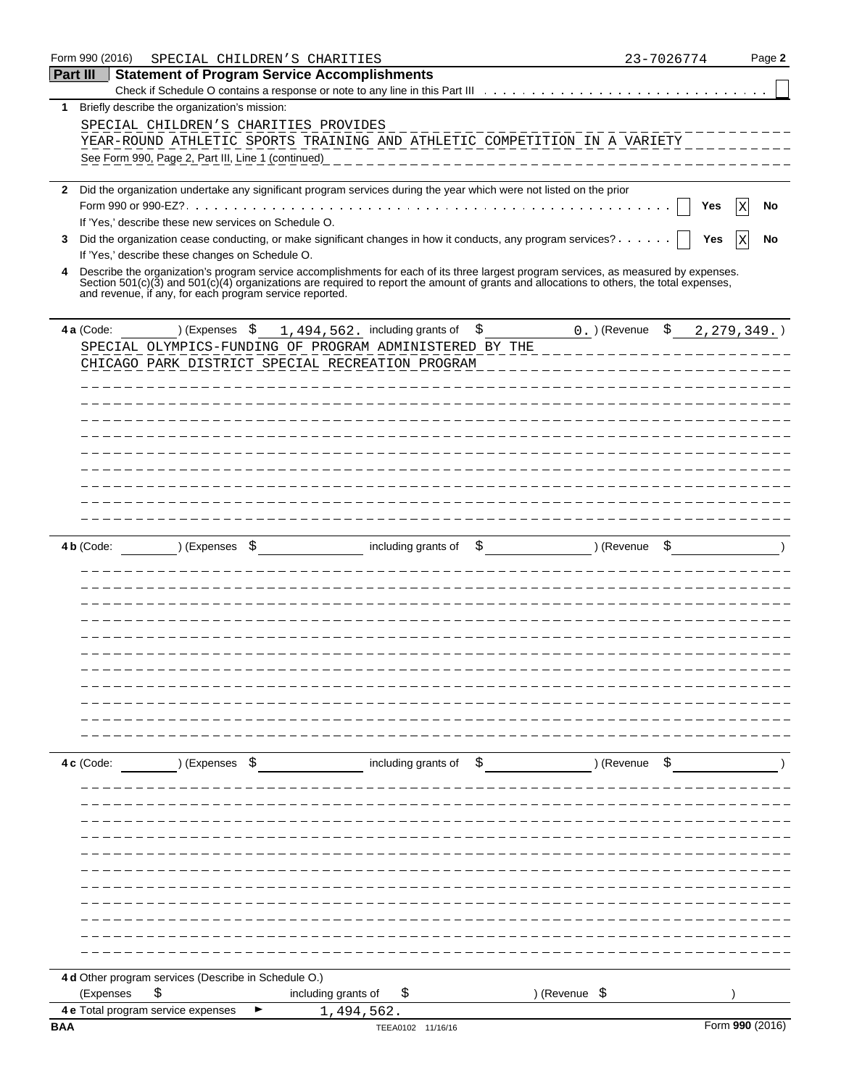|                 | Form 990 (2016) |                                                         |    | SPECIAL CHILDREN'S CHARITIES                            |                        |                                                                                                                                              |                 | 23-7026774 | Page 2          |
|-----------------|-----------------|---------------------------------------------------------|----|---------------------------------------------------------|------------------------|----------------------------------------------------------------------------------------------------------------------------------------------|-----------------|------------|-----------------|
| <b>Part III</b> |                 |                                                         |    | <b>Statement of Program Service Accomplishments</b>     |                        |                                                                                                                                              |                 |            |                 |
|                 |                 |                                                         |    |                                                         |                        |                                                                                                                                              |                 |            |                 |
| 1               |                 | Briefly describe the organization's mission:            |    |                                                         |                        |                                                                                                                                              |                 |            |                 |
|                 |                 |                                                         |    | SPECIAL CHILDREN'S CHARITIES PROVIDES                   |                        |                                                                                                                                              |                 |            |                 |
|                 |                 |                                                         |    |                                                         |                        | YEAR-ROUND ATHLETIC SPORTS TRAINING AND ATHLETIC COMPETITION IN A VARIETY                                                                    |                 |            |                 |
|                 |                 | See Form 990, Page 2, Part III, Line 1 (continued)      |    |                                                         |                        |                                                                                                                                              |                 |            |                 |
|                 |                 |                                                         |    |                                                         |                        |                                                                                                                                              |                 |            |                 |
|                 |                 |                                                         |    |                                                         |                        | 2 Did the organization undertake any significant program services during the year which were not listed on the prior                         |                 |            |                 |
|                 |                 |                                                         |    |                                                         |                        |                                                                                                                                              |                 | Yes        | No<br>Χ         |
|                 |                 | If 'Yes,' describe these new services on Schedule O.    |    |                                                         |                        |                                                                                                                                              |                 |            |                 |
| 3               |                 |                                                         |    |                                                         |                        | Did the organization cease conducting, or make significant changes in how it conducts, any program services?                                 |                 | Yes        | No<br>X         |
|                 |                 | If 'Yes,' describe these changes on Schedule O.         |    |                                                         |                        |                                                                                                                                              |                 |            |                 |
| 4               |                 |                                                         |    |                                                         |                        | Describe the organization's program service accomplishments for each of its three largest program services, as measured by expenses.         |                 |            |                 |
|                 |                 | and revenue, if any, for each program service reported. |    |                                                         |                        | Section $501(c)(3)$ and $501(c)(4)$ organizations are required to report the amount of grants and allocations to others, the total expenses, |                 |            |                 |
|                 |                 |                                                         |    |                                                         |                        |                                                                                                                                              |                 |            |                 |
|                 |                 |                                                         |    |                                                         |                        |                                                                                                                                              |                 |            |                 |
|                 | 4 a (Code:      | ) (Expenses                                             | \$ | 1,494,562. including grants of                          |                        | \$                                                                                                                                           | $0.$ ) (Revenue | \$         | 2, 279, 349.    |
|                 |                 |                                                         |    | SPECIAL OLYMPICS-FUNDING OF PROGRAM ADMINISTERED BY THE |                        |                                                                                                                                              |                 |            |                 |
|                 |                 |                                                         |    | CHICAGO PARK DISTRICT SPECIAL RECREATION PROGRAM        |                        |                                                                                                                                              |                 |            |                 |
|                 |                 |                                                         |    |                                                         |                        |                                                                                                                                              |                 |            |                 |
|                 |                 |                                                         |    |                                                         |                        |                                                                                                                                              |                 |            |                 |
|                 |                 |                                                         |    |                                                         |                        |                                                                                                                                              |                 |            |                 |
|                 |                 |                                                         |    |                                                         |                        |                                                                                                                                              |                 |            |                 |
|                 |                 |                                                         |    |                                                         |                        |                                                                                                                                              |                 |            |                 |
|                 |                 |                                                         |    |                                                         |                        |                                                                                                                                              |                 |            |                 |
|                 |                 |                                                         |    |                                                         |                        |                                                                                                                                              |                 |            |                 |
|                 |                 |                                                         |    |                                                         |                        |                                                                                                                                              |                 |            |                 |
|                 |                 |                                                         |    |                                                         |                        |                                                                                                                                              |                 |            |                 |
|                 |                 |                                                         |    |                                                         |                        |                                                                                                                                              |                 |            |                 |
|                 | 4 b (Code:      | ) (Expenses                                             | S  |                                                         | including grants of    | \$                                                                                                                                           | ) (Revenue      |            |                 |
|                 |                 |                                                         |    |                                                         |                        |                                                                                                                                              |                 |            |                 |
|                 |                 |                                                         |    |                                                         |                        |                                                                                                                                              |                 |            |                 |
|                 |                 |                                                         |    |                                                         |                        |                                                                                                                                              |                 |            |                 |
|                 |                 |                                                         |    |                                                         |                        |                                                                                                                                              |                 |            |                 |
|                 |                 |                                                         |    |                                                         |                        |                                                                                                                                              |                 |            |                 |
|                 |                 |                                                         |    |                                                         |                        |                                                                                                                                              |                 |            |                 |
|                 |                 |                                                         |    |                                                         |                        |                                                                                                                                              |                 |            |                 |
|                 |                 |                                                         |    |                                                         |                        |                                                                                                                                              |                 |            |                 |
|                 |                 |                                                         |    |                                                         |                        |                                                                                                                                              |                 |            |                 |
|                 |                 |                                                         |    |                                                         |                        |                                                                                                                                              |                 |            |                 |
|                 |                 |                                                         |    |                                                         |                        |                                                                                                                                              |                 |            |                 |
|                 |                 |                                                         |    |                                                         |                        |                                                                                                                                              |                 |            |                 |
|                 | 4 c (Code:      | ) (Expenses \$                                          |    |                                                         | including grants of \$ |                                                                                                                                              | ) (Revenue      |            |                 |
|                 |                 |                                                         |    |                                                         |                        |                                                                                                                                              |                 |            |                 |
|                 |                 |                                                         |    |                                                         |                        |                                                                                                                                              |                 |            |                 |
|                 |                 |                                                         |    |                                                         |                        |                                                                                                                                              |                 |            |                 |
|                 |                 |                                                         |    |                                                         |                        |                                                                                                                                              |                 |            |                 |
|                 |                 |                                                         |    |                                                         |                        |                                                                                                                                              |                 |            |                 |
|                 |                 |                                                         |    |                                                         |                        |                                                                                                                                              |                 |            |                 |
|                 |                 |                                                         |    |                                                         |                        |                                                                                                                                              |                 |            |                 |
|                 |                 |                                                         |    |                                                         |                        |                                                                                                                                              |                 |            |                 |
|                 |                 |                                                         |    |                                                         |                        |                                                                                                                                              |                 |            |                 |
|                 |                 |                                                         |    |                                                         |                        |                                                                                                                                              |                 |            |                 |
|                 |                 |                                                         |    |                                                         |                        |                                                                                                                                              |                 |            |                 |
|                 |                 |                                                         |    |                                                         |                        |                                                                                                                                              |                 |            |                 |
|                 |                 |                                                         |    |                                                         |                        |                                                                                                                                              |                 |            |                 |
|                 |                 | 4 d Other program services (Describe in Schedule O.)    |    |                                                         |                        |                                                                                                                                              |                 |            |                 |
|                 | (Expenses       | \$                                                      |    | including grants of                                     | \$                     | ) (Revenue \$                                                                                                                                |                 |            |                 |
|                 |                 | 4 e Total program service expenses                      |    | 1,494,562.                                              |                        |                                                                                                                                              |                 |            |                 |
| <b>BAA</b>      |                 |                                                         |    |                                                         | TEEA0102 11/16/16      |                                                                                                                                              |                 |            | Form 990 (2016) |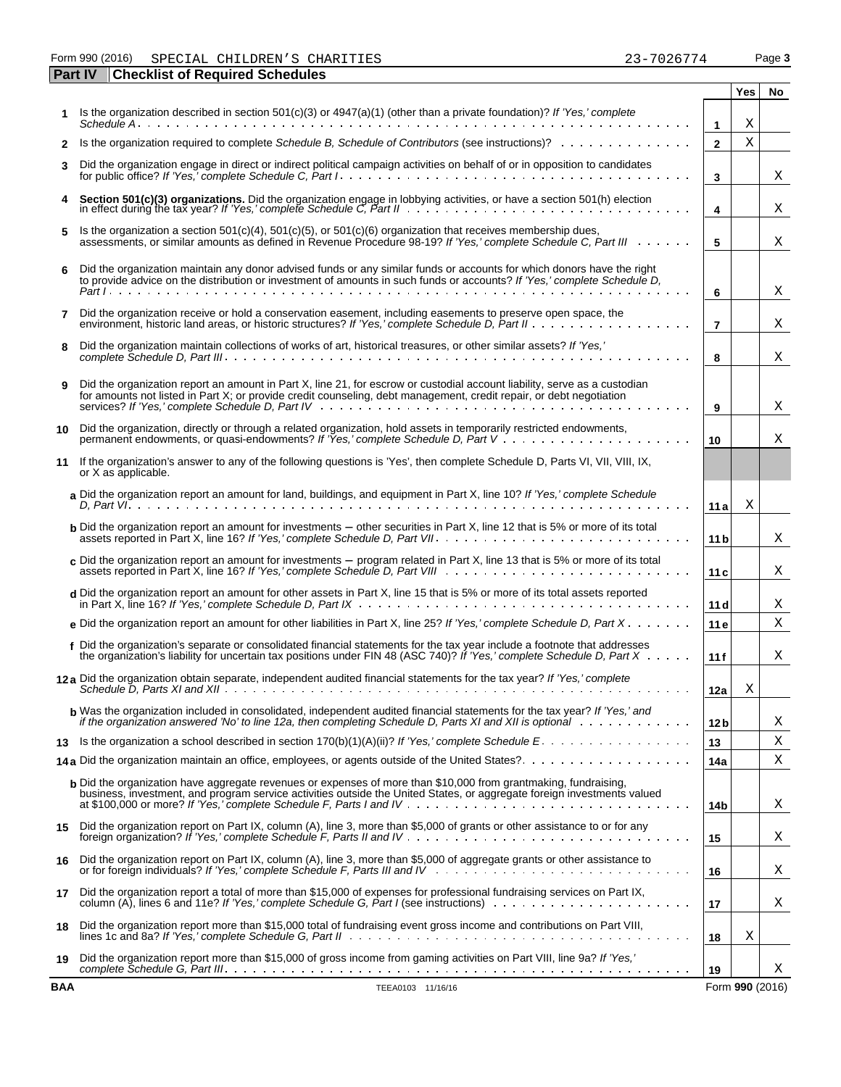Form 990 (2016) SPECIAL CHILDREN'S CHARITIES 23-7026774 Page **3** SPECIAL CHILDREN'S CHARITIES 23-7026774

|              | <b>Checklist of Required Schedules</b><br><b>Part IV</b>                                                                                                                                                                                                                |                 |     |                 |
|--------------|-------------------------------------------------------------------------------------------------------------------------------------------------------------------------------------------------------------------------------------------------------------------------|-----------------|-----|-----------------|
|              |                                                                                                                                                                                                                                                                         |                 | Yes | No.             |
|              | Is the organization described in section $501(c)(3)$ or $4947(a)(1)$ (other than a private foundation)? If 'Yes,' complete                                                                                                                                              | $\mathbf{1}$    | Χ   |                 |
| $\mathbf{2}$ | Is the organization required to complete Schedule B, Schedule of Contributors (see instructions)?                                                                                                                                                                       | $\mathbf{2}$    | X   |                 |
| 3            | Did the organization engage in direct or indirect political campaign activities on behalf of or in opposition to candidates                                                                                                                                             | 3               |     | Χ               |
| 4            | Section 501(c)(3) organizations. Did the organization engage in lobbying activities, or have a section 501(h) election in effect during the tax year? If 'Yes,' complete Schedule C, Part II                                                                            | 4               |     | X               |
| 5            | Is the organization a section $501(c)(4)$ , $501(c)(5)$ , or $501(c)(6)$ organization that receives membership dues,<br>assessments, or similar amounts as defined in Revenue Procedure 98-19? If 'Yes,' complete Schedule C, Part III                                  | 5               |     | X               |
| 6            | Did the organization maintain any donor advised funds or any similar funds or accounts for which donors have the right<br>to provide advice on the distribution or investment of amounts in such funds or accounts? If 'Yes,' complete Schedule D,                      | 6               |     | X               |
| 7            | Did the organization receive or hold a conservation easement, including easements to preserve open space, the                                                                                                                                                           | $\overline{7}$  |     | X               |
| 8            | Did the organization maintain collections of works of art, historical treasures, or other similar assets? If 'Yes,'                                                                                                                                                     | 8               |     | X               |
| 9            | Did the organization report an amount in Part X, line 21, for escrow or custodial account liability, serve as a custodian<br>for amounts not listed in Part X; or provide credit counseling, debt management, credit repair, or debt negotiation                        | 9               |     | Χ               |
| 10           | Did the organization, directly or through a related organization, hold assets in temporarily restricted endowments,                                                                                                                                                     | 10              |     | X               |
| 11           | If the organization's answer to any of the following questions is 'Yes', then complete Schedule D, Parts VI, VII, VIII, IX,<br>or X as applicable.                                                                                                                      |                 |     |                 |
|              | a Did the organization report an amount for land, buildings, and equipment in Part X, line 10? If 'Yes,' complete Schedule                                                                                                                                              | 11a             | Χ   |                 |
|              | <b>b</b> Did the organization report an amount for investments – other securities in Part X, line 12 that is 5% or more of its total                                                                                                                                    | 11 <sub>b</sub> |     | Χ               |
|              | c Did the organization report an amount for investments $-$ program related in Part X, line 13 that is 5% or more of its total                                                                                                                                          | 11c             |     | X               |
|              | d Did the organization report an amount for other assets in Part X, line 15 that is 5% or more of its total assets reported                                                                                                                                             | 11d             |     | Χ               |
|              | e Did the organization report an amount for other liabilities in Part X, line 25? If 'Yes,' complete Schedule D, Part X                                                                                                                                                 | 11e             |     | Χ               |
|              | f Did the organization's separate or consolidated financial statements for the tax year include a footnote that addresses<br>the organization's liability for uncertain tax positions under FIN 48 (ASC 740)? If 'Yes,' complete Schedule D. Part $X \cdot \cdot \cdot$ | 11f             |     | Χ               |
|              | 12a Did the organization obtain separate, independent audited financial statements for the tax year? If 'Yes,' complete                                                                                                                                                 | 12a             | X   |                 |
|              | <b>b</b> Was the organization included in consolidated, independent audited financial statements for the tax year? If 'Yes,' and<br>if the organization answered 'No' to line 12a, then completing Schedule D, Parts XI and XII is optional $\ldots \ldots \ldots$      | 12 <sub>b</sub> |     | Χ               |
| 13           |                                                                                                                                                                                                                                                                         | 13              |     | Χ               |
|              |                                                                                                                                                                                                                                                                         | 14a             |     | Χ               |
|              | <b>b</b> Did the organization have aggregate revenues or expenses of more than \$10,000 from grantmaking, fundraising,<br>business, investment, and program service activities outside the United States, or aggregate foreign investments valued                       | 14b             |     | Χ               |
| 15           | Did the organization report on Part IX, column (A), line 3, more than \$5,000 of grants or other assistance to or for any                                                                                                                                               | 15              |     | Χ               |
| 16           | Did the organization report on Part IX, column (A), line 3, more than \$5,000 of aggregate grants or other assistance to                                                                                                                                                | 16              |     | Χ               |
| 17           | Did the organization report a total of more than \$15,000 of expenses for professional fundraising services on Part IX,                                                                                                                                                 | 17              |     | Χ               |
| 18           | Did the organization report more than \$15,000 total of fundraising event gross income and contributions on Part VIII,                                                                                                                                                  | 18              | Χ   |                 |
| 19           | Did the organization report more than \$15,000 of gross income from gaming activities on Part VIII, line 9a? If 'Yes,'                                                                                                                                                  | 19              |     | Χ               |
| <b>BAA</b>   | TEEA0103 11/16/16                                                                                                                                                                                                                                                       |                 |     | Form 990 (2016) |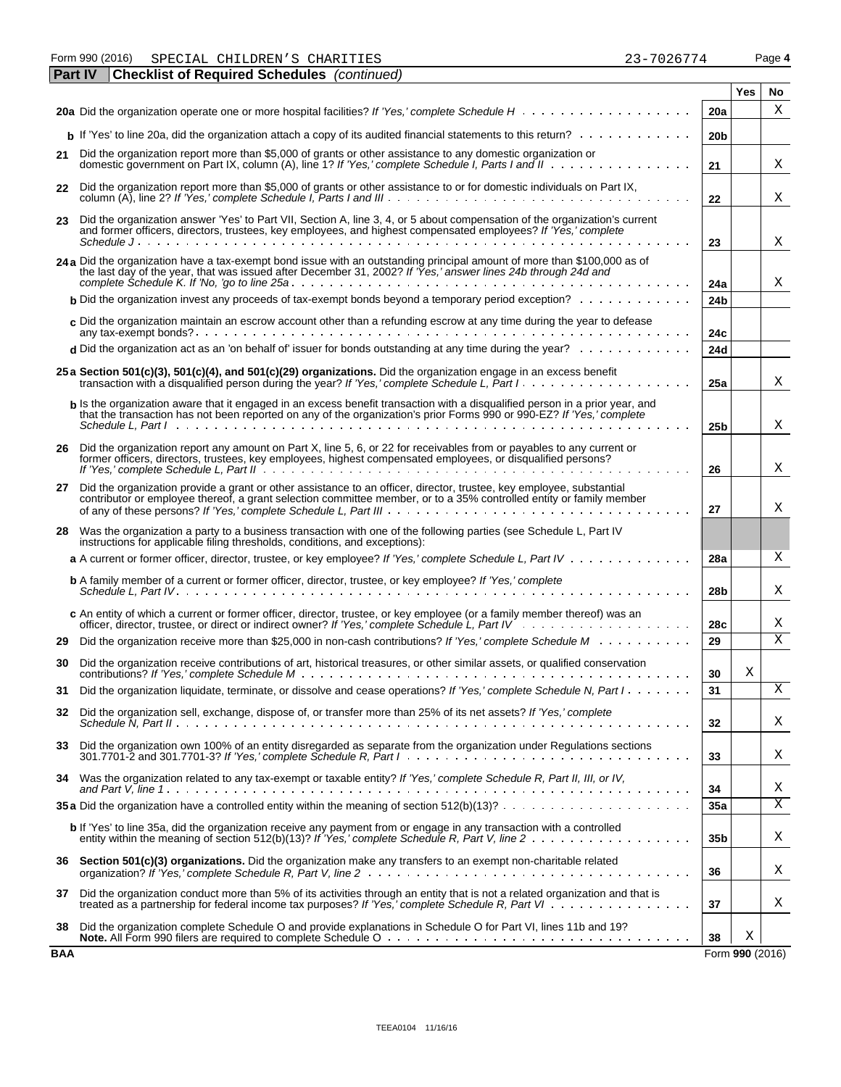Form 990 (2016) SPECIAL CHILDREN'S CHARITIES 23-7026774 Page **4** SPECIAL CHILDREN'S CHARITIES 23-7026774

|     | <b>Part IV</b><br><b>Checklist of Required Schedules</b> (continued)                                                                                                                                                                                                                                                                                                                              |                 |                 |    |
|-----|---------------------------------------------------------------------------------------------------------------------------------------------------------------------------------------------------------------------------------------------------------------------------------------------------------------------------------------------------------------------------------------------------|-----------------|-----------------|----|
|     |                                                                                                                                                                                                                                                                                                                                                                                                   |                 | Yes             | No |
|     |                                                                                                                                                                                                                                                                                                                                                                                                   | 20a             |                 | Х  |
|     | <b>b</b> If 'Yes' to line 20a, did the organization attach a copy of its audited financial statements to this return?                                                                                                                                                                                                                                                                             | 20 <sub>b</sub> |                 |    |
| 21  | Did the organization report more than \$5,000 of grants or other assistance to any domestic organization or                                                                                                                                                                                                                                                                                       | 21              |                 | Χ  |
| 22  | Did the organization report more than \$5,000 of grants or other assistance to or for domestic individuals on Part IX,                                                                                                                                                                                                                                                                            | 22              |                 | Χ  |
| 23  | Did the organization answer 'Yes' to Part VII, Section A, line 3, 4, or 5 about compensation of the organization's current<br>and former officers, directors, trustees, key employees, and highest compensated employees? If 'Yes,' complete                                                                                                                                                      |                 |                 |    |
|     |                                                                                                                                                                                                                                                                                                                                                                                                   | 23              |                 | Χ  |
|     | 24 a Did the organization have a tax-exempt bond issue with an outstanding principal amount of more than \$100,000 as of the last day of the year, that was issued after December 31, 2002? If 'Yes,' answer lines 24b through                                                                                                                                                                    | 24a             |                 | Χ  |
|     | <b>b</b> Did the organization invest any proceeds of tax-exempt bonds beyond a temporary period exception? $\ldots \ldots \ldots$                                                                                                                                                                                                                                                                 | 24 <sub>b</sub> |                 |    |
|     | $c$ Did the organization maintain an escrow account other than a refunding escrow at any time during the year to defease                                                                                                                                                                                                                                                                          | 24c             |                 |    |
|     | d Did the organization act as an 'on behalf of' issuer for bonds outstanding at any time during the year?                                                                                                                                                                                                                                                                                         | 24d             |                 |    |
|     | 25 a Section 501(c)(3), 501(c)(4), and 501(c)(29) organizations. Did the organization engage in an excess benefit                                                                                                                                                                                                                                                                                 | 25a             |                 | Χ  |
|     | b Is the organization aware that it engaged in an excess benefit transaction with a disqualified person in a prior year, and<br>that the transaction has not been reported on any of the organization's prior Forms 990 or 990-EZ? If 'Yes,' complete                                                                                                                                             |                 |                 | Χ  |
|     | Did the organization report any amount on Part X, line 5, 6, or 22 for receivables from or payables to any current or                                                                                                                                                                                                                                                                             | 25b             |                 |    |
| 26  | former officers, directors, trustees, key employees, highest compensated employees, or disqualified persons?                                                                                                                                                                                                                                                                                      | 26              |                 | Χ  |
|     | 27 Did the organization provide a grant or other assistance to an officer, director, trustee, key employee, substantial<br>contributor or employee thereof, a grant selection committee member, or to a 35% controlled entity or family member<br>of any of these persons? If 'Yes,' complete Schedule L, Part III $\ldots \ldots \ldots \ldots \ldots \ldots \ldots \ldots \ldots \ldots \ldots$ | 27              |                 | X  |
| 28  | Was the organization a party to a business transaction with one of the following parties (see Schedule L, Part IV<br>instructions for applicable filing thresholds, conditions, and exceptions):                                                                                                                                                                                                  |                 |                 |    |
|     | a A current or former officer, director, trustee, or key employee? If 'Yes,' complete Schedule L, Part IV                                                                                                                                                                                                                                                                                         | 28a             |                 | Χ  |
|     | <b>b</b> A family member of a current or former officer, director, trustee, or key employee? If 'Yes,' complete                                                                                                                                                                                                                                                                                   | 28 <sub>b</sub> |                 | Χ  |
|     | c An entity of which a current or former officer, director, trustee, or key employee (or a family member thereof) was an                                                                                                                                                                                                                                                                          | 28c             |                 | Χ  |
| 29  | Did the organization receive more than \$25,000 in non-cash contributions? If 'Yes,' complete Schedule M                                                                                                                                                                                                                                                                                          | 29              |                 | X  |
| 30  | Did the organization receive contributions of art, historical treasures, or other similar assets, or qualified conservation                                                                                                                                                                                                                                                                       | 30              | Χ               |    |
| 31  | Did the organization liquidate, terminate, or dissolve and cease operations? If 'Yes,' complete Schedule N, Part I                                                                                                                                                                                                                                                                                | 31              |                 | Χ  |
| 32  | Did the organization sell, exchange, dispose of, or transfer more than 25% of its net assets? If 'Yes,' complete                                                                                                                                                                                                                                                                                  | 32              |                 | Χ  |
| 33  | Did the organization own 100% of an entity disregarded as separate from the organization under Regulations sections                                                                                                                                                                                                                                                                               | 33              |                 | Χ  |
|     | 34 Was the organization related to any tax-exempt or taxable entity? If 'Yes,' complete Schedule R, Part II, III, or IV,                                                                                                                                                                                                                                                                          | 34              |                 | Χ  |
|     | <b>35 a</b> Did the organization have a controlled entity within the meaning of section $512(b)(13)? \ldots \ldots \ldots \ldots \ldots \ldots \ldots$                                                                                                                                                                                                                                            | 35a             |                 | X  |
|     | <b>b</b> If 'Yes' to line 35a, did the organization receive any payment from or engage in any transaction with a controlled                                                                                                                                                                                                                                                                       | 35 <sub>b</sub> |                 | Χ  |
| 36  | Section 501(c)(3) organizations. Did the organization make any transfers to an exempt non-charitable related                                                                                                                                                                                                                                                                                      | 36              |                 | Χ  |
| 37  | Did the organization conduct more than 5% of its activities through an entity that is not a related organization and that is                                                                                                                                                                                                                                                                      | 37              |                 | Χ  |
| 38  | Did the organization complete Schedule O and provide explanations in Schedule O for Part VI, lines 11b and 19?                                                                                                                                                                                                                                                                                    | 38              | Χ               |    |
| BAA |                                                                                                                                                                                                                                                                                                                                                                                                   |                 | Form 990 (2016) |    |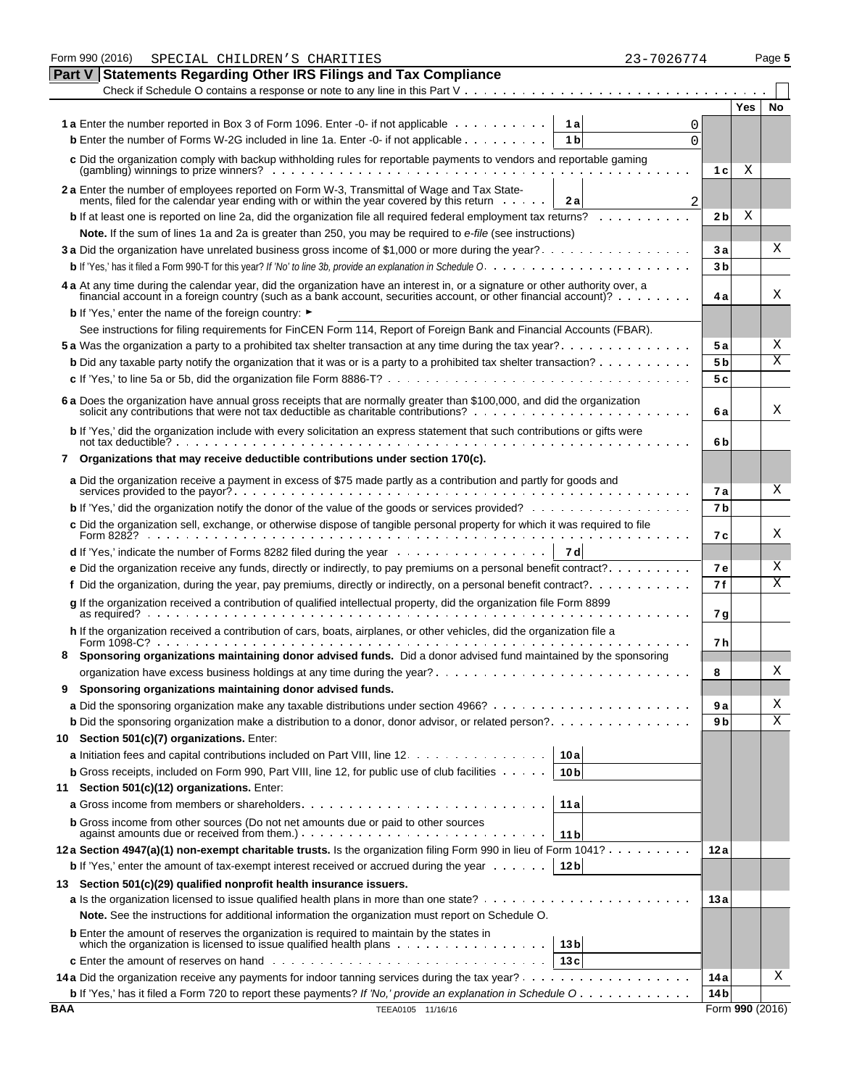|        | Form 990 (2016)<br>23-7026774<br>SPECIAL CHILDREN'S CHARITIES                                                                                                                                               |                |                 | Page 5 |
|--------|-------------------------------------------------------------------------------------------------------------------------------------------------------------------------------------------------------------|----------------|-----------------|--------|
| Part V | <b>Statements Regarding Other IRS Filings and Tax Compliance</b>                                                                                                                                            |                |                 |        |
|        |                                                                                                                                                                                                             |                |                 |        |
|        |                                                                                                                                                                                                             |                | Yes             | No     |
|        | <b>1a</b> Enter the number reported in Box 3 of Form 1096. Enter -0- if not applicable<br>1 a<br>0                                                                                                          |                |                 |        |
|        | 1 <sub>b</sub><br><b>b</b> Enter the number of Forms W-2G included in line 1a. Enter -0- if not applicable<br>$\Omega$                                                                                      |                |                 |        |
|        | c Did the organization comply with backup withholding rules for reportable payments to vendors and reportable gaming                                                                                        |                |                 |        |
|        |                                                                                                                                                                                                             | 1 <sub>c</sub> | Χ               |        |
|        | 2 a Enter the number of employees reported on Form W-3, Transmittal of Wage and Tax State-                                                                                                                  |                |                 |        |
|        | ments, filed for the calendar year ending with or within the year covered by this return<br>$\overline{2}$<br>2a                                                                                            |                |                 |        |
|        | <b>b</b> If at least one is reported on line 2a, did the organization file all required federal employment tax returns?                                                                                     | 2 <sub>b</sub> | Χ               |        |
|        | Note. If the sum of lines 1a and 2a is greater than 250, you may be required to e-file (see instructions)                                                                                                   |                |                 |        |
|        | 3 a Did the organization have unrelated business gross income of \$1,000 or more during the year?                                                                                                           | 3a             |                 | Χ      |
|        |                                                                                                                                                                                                             | 3 <sub>b</sub> |                 |        |
|        | 4 a At any time during the calendar year, did the organization have an interest in, or a signature or other authority over, a                                                                               |                |                 |        |
|        | financial account in a foreign country (such as a bank account, securities account, or other financial account)?                                                                                            | 4 a            |                 | Χ      |
|        | <b>b</b> If 'Yes,' enter the name of the foreign country: ►                                                                                                                                                 |                |                 |        |
|        | See instructions for filing requirements for FinCEN Form 114, Report of Foreign Bank and Financial Accounts (FBAR).                                                                                         |                |                 |        |
|        | 5 a Was the organization a party to a prohibited tax shelter transaction at any time during the tax year?                                                                                                   | 5 a            |                 | Χ      |
|        | <b>b</b> Did any taxable party notify the organization that it was or is a party to a prohibited tax shelter transaction? $\ldots \ldots \ldots$                                                            | 5 <sub>b</sub> |                 | Χ      |
|        |                                                                                                                                                                                                             | 5c             |                 |        |
|        | 6 a Does the organization have annual gross receipts that are normally greater than \$100,000, and did the organization solicit any contributions that were not tax deductible as charitable contributions? |                |                 |        |
|        |                                                                                                                                                                                                             | 6 a            |                 | Χ      |
|        | b If 'Yes,' did the organization include with every solicitation an express statement that such contributions or gifts were                                                                                 |                |                 |        |
|        |                                                                                                                                                                                                             | 6b             |                 |        |
| 7      | Organizations that may receive deductible contributions under section 170(c).                                                                                                                               |                |                 |        |
|        | a Did the organization receive a payment in excess of \$75 made partly as a contribution and partly for goods and                                                                                           |                |                 | Χ      |
|        |                                                                                                                                                                                                             | 7а             |                 |        |
|        | <b>b</b> If 'Yes,' did the organization notify the donor of the value of the goods or services provided?                                                                                                    | 7 <sub>b</sub> |                 |        |
|        | c Did the organization sell, exchange, or otherwise dispose of tangible personal property for which it was required to file                                                                                 | 7 с            |                 | X      |
|        | <b>d</b> If 'Yes,' indicate the number of Forms 8282 filed during the year $\dots \dots \dots \dots \dots \dots$<br>7 dl                                                                                    |                |                 |        |
|        | e Did the organization receive any funds, directly or indirectly, to pay premiums on a personal benefit contract?                                                                                           | <b>7e</b>      |                 | Χ      |
|        | f Did the organization, during the year, pay premiums, directly or indirectly, on a personal benefit contract?                                                                                              | 7f             |                 | Χ      |
|        | g If the organization received a contribution of qualified intellectual property, did the organization file Form 8899                                                                                       |                |                 |        |
|        | as required? $\cdots$                                                                                                                                                                                       | 7 g            |                 |        |
|        | h If the organization received a contribution of cars, boats, airplanes, or other vehicles, did the organization file a                                                                                     |                |                 |        |
|        |                                                                                                                                                                                                             | 7 h            |                 |        |
|        | Sponsoring organizations maintaining donor advised funds. Did a donor advised fund maintained by the sponsoring                                                                                             |                |                 |        |
|        |                                                                                                                                                                                                             | 8              |                 | Χ      |
| 9      | Sponsoring organizations maintaining donor advised funds.                                                                                                                                                   |                |                 |        |
|        |                                                                                                                                                                                                             | 9а             |                 | Χ      |
|        | <b>b</b> Did the sponsoring organization make a distribution to a donor, donor advisor, or related person?                                                                                                  | 9 b            |                 | Χ      |
| 10     | Section 501(c)(7) organizations. Enter:                                                                                                                                                                     |                |                 |        |
|        | <b>a</b> Initiation fees and capital contributions included on Part VIII, line 12.<br>10 a                                                                                                                  |                |                 |        |
|        | <b>b</b> Gross receipts, included on Form 990, Part VIII, line 12, for public use of club facilities $\cdots$ .<br>10 <sub>b</sub>                                                                          |                |                 |        |
| 11     | Section 501(c)(12) organizations. Enter:                                                                                                                                                                    |                |                 |        |
|        | 11 a                                                                                                                                                                                                        |                |                 |        |
|        | <b>b</b> Gross income from other sources (Do not net amounts due or paid to other sources                                                                                                                   |                |                 |        |
|        | 11 <sub>b</sub>                                                                                                                                                                                             |                |                 |        |
|        | 12a Section 4947(a)(1) non-exempt charitable trusts. Is the organization filing Form 990 in lieu of Form 1041?                                                                                              | 12 a           |                 |        |
|        | 12 <sub>b</sub><br><b>b</b> If 'Yes,' enter the amount of tax-exempt interest received or accrued during the year $\dots \dots$                                                                             |                |                 |        |
| 13     | Section 501(c)(29) qualified nonprofit health insurance issuers.                                                                                                                                            |                |                 |        |
|        |                                                                                                                                                                                                             | 13 a           |                 |        |
|        | Note. See the instructions for additional information the organization must report on Schedule O.                                                                                                           |                |                 |        |
|        | <b>b</b> Enter the amount of reserves the organization is required to maintain by the states in<br>13 bl                                                                                                    |                |                 |        |
|        | 13 c                                                                                                                                                                                                        |                |                 |        |
|        |                                                                                                                                                                                                             | 14 a           |                 | X      |
|        | <b>b</b> If 'Yes,' has it filed a Form 720 to report these payments? If 'No,' provide an explanation in Schedule $0 \cdot \cdot \cdot \cdot \cdot \cdot \cdot \cdot \cdot \cdot$                            | 14 b           |                 |        |
| BAA    | TEEA0105 11/16/16                                                                                                                                                                                           |                | Form 990 (2016) |        |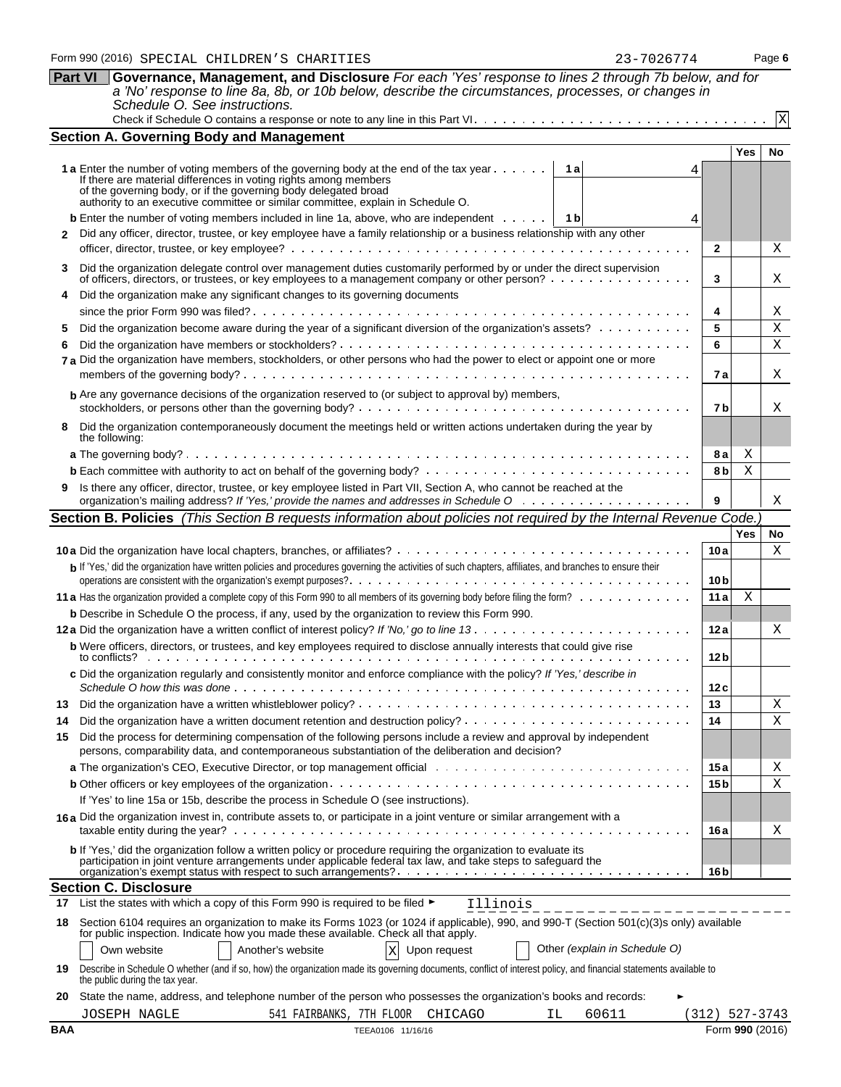| -7026774 |  |
|----------|--|

|                                                                                                                                                                                                    | a 'No' response to line 8a, 8b, or 10b below, describe the circumstances, processes, or changes in<br>Schedule O. See instructions.                                                                                                                                                                                             |                  |                 |                 |  |  |  |  |  |  |
|----------------------------------------------------------------------------------------------------------------------------------------------------------------------------------------------------|---------------------------------------------------------------------------------------------------------------------------------------------------------------------------------------------------------------------------------------------------------------------------------------------------------------------------------|------------------|-----------------|-----------------|--|--|--|--|--|--|
|                                                                                                                                                                                                    |                                                                                                                                                                                                                                                                                                                                 |                  |                 | $\vert x \vert$ |  |  |  |  |  |  |
|                                                                                                                                                                                                    | <b>Section A. Governing Body and Management</b>                                                                                                                                                                                                                                                                                 |                  |                 |                 |  |  |  |  |  |  |
|                                                                                                                                                                                                    |                                                                                                                                                                                                                                                                                                                                 |                  | <b>Yes</b>      | No              |  |  |  |  |  |  |
|                                                                                                                                                                                                    | 1 a Enter the number of voting members of the governing body at the end of the tax year<br><b>1a</b><br>If there are material differences in voting rights among members<br>of the governing body, or if the governing body delegated broad<br>authority to an executive committee or similar committee, explain in Schedule O. |                  |                 |                 |  |  |  |  |  |  |
|                                                                                                                                                                                                    | <b>b</b> Enter the number of voting members included in line 1a, above, who are independent<br>1 b<br>4                                                                                                                                                                                                                         |                  |                 |                 |  |  |  |  |  |  |
| $\mathbf{2}$                                                                                                                                                                                       | Did any officer, director, trustee, or key employee have a family relationship or a business relationship with any other                                                                                                                                                                                                        | $\mathbf{2}$     |                 | Χ               |  |  |  |  |  |  |
| 3                                                                                                                                                                                                  | Did the organization delegate control over management duties customarily performed by or under the direct supervision<br>of officers, directors, or trustees, or key employees to a management company or other person?                                                                                                         | 3                |                 | X               |  |  |  |  |  |  |
|                                                                                                                                                                                                    | Did the organization make any significant changes to its governing documents                                                                                                                                                                                                                                                    |                  |                 |                 |  |  |  |  |  |  |
| 5                                                                                                                                                                                                  | Did the organization become aware during the year of a significant diversion of the organization's assets?                                                                                                                                                                                                                      | 4<br>5           |                 | Х.<br>х         |  |  |  |  |  |  |
|                                                                                                                                                                                                    |                                                                                                                                                                                                                                                                                                                                 | 6                |                 | X               |  |  |  |  |  |  |
|                                                                                                                                                                                                    | 7a Did the organization have members, stockholders, or other persons who had the power to elect or appoint one or more                                                                                                                                                                                                          | 7 a              |                 | Χ               |  |  |  |  |  |  |
|                                                                                                                                                                                                    |                                                                                                                                                                                                                                                                                                                                 |                  |                 |                 |  |  |  |  |  |  |
| <b>b</b> Are any governance decisions of the organization reserved to (or subject to approval by) members,<br>stockholders, or persons other than the governing body? $\ldots$ , , , , , , ,<br>7b |                                                                                                                                                                                                                                                                                                                                 |                  |                 |                 |  |  |  |  |  |  |
| Did the organization contemporaneously document the meetings held or written actions undertaken during the year by<br>8<br>the following:                                                          |                                                                                                                                                                                                                                                                                                                                 |                  |                 |                 |  |  |  |  |  |  |
|                                                                                                                                                                                                    |                                                                                                                                                                                                                                                                                                                                 | 8а               | Χ               |                 |  |  |  |  |  |  |
|                                                                                                                                                                                                    |                                                                                                                                                                                                                                                                                                                                 |                  |                 |                 |  |  |  |  |  |  |
| 9                                                                                                                                                                                                  | Is there any officer, director, trustee, or key employee listed in Part VII, Section A, who cannot be reached at the                                                                                                                                                                                                            |                  |                 |                 |  |  |  |  |  |  |
|                                                                                                                                                                                                    | Section B. Policies (This Section B requests information about policies not required by the Internal Revenue Code.                                                                                                                                                                                                              |                  |                 |                 |  |  |  |  |  |  |
|                                                                                                                                                                                                    |                                                                                                                                                                                                                                                                                                                                 |                  | <b>Yes</b>      | No.             |  |  |  |  |  |  |
|                                                                                                                                                                                                    |                                                                                                                                                                                                                                                                                                                                 | 10a              |                 | X               |  |  |  |  |  |  |
|                                                                                                                                                                                                    | b If 'Yes,' did the organization have written policies and procedures governing the activities of such chapters, affiliates, and branches to ensure their                                                                                                                                                                       | 10 <sub>b</sub>  |                 |                 |  |  |  |  |  |  |
|                                                                                                                                                                                                    |                                                                                                                                                                                                                                                                                                                                 |                  |                 |                 |  |  |  |  |  |  |
| 11a                                                                                                                                                                                                |                                                                                                                                                                                                                                                                                                                                 |                  |                 |                 |  |  |  |  |  |  |
|                                                                                                                                                                                                    | <b>b</b> Describe in Schedule O the process, if any, used by the organization to review this Form 990.                                                                                                                                                                                                                          | 12a              |                 |                 |  |  |  |  |  |  |
|                                                                                                                                                                                                    | b Were officers, directors, or trustees, and key employees required to disclose annually interests that could give rise                                                                                                                                                                                                         | 12 <sub>b</sub>  |                 | Χ               |  |  |  |  |  |  |
|                                                                                                                                                                                                    | c Did the organization regularly and consistently monitor and enforce compliance with the policy? If 'Yes,' describe in                                                                                                                                                                                                         | 12c              |                 |                 |  |  |  |  |  |  |
| 13                                                                                                                                                                                                 |                                                                                                                                                                                                                                                                                                                                 | 13               |                 | Χ               |  |  |  |  |  |  |
| 14                                                                                                                                                                                                 |                                                                                                                                                                                                                                                                                                                                 | 14               |                 | X               |  |  |  |  |  |  |
| 15                                                                                                                                                                                                 | Did the process for determining compensation of the following persons include a review and approval by independent<br>persons, comparability data, and contemporaneous substantiation of the deliberation and decision?                                                                                                         |                  |                 |                 |  |  |  |  |  |  |
|                                                                                                                                                                                                    |                                                                                                                                                                                                                                                                                                                                 | 15 a             |                 | Χ               |  |  |  |  |  |  |
|                                                                                                                                                                                                    |                                                                                                                                                                                                                                                                                                                                 | 15 <sub>b</sub>  |                 | Χ               |  |  |  |  |  |  |
|                                                                                                                                                                                                    | If 'Yes' to line 15a or 15b, describe the process in Schedule O (see instructions).                                                                                                                                                                                                                                             |                  |                 |                 |  |  |  |  |  |  |
|                                                                                                                                                                                                    | 16a Did the organization invest in, contribute assets to, or participate in a joint venture or similar arrangement with a                                                                                                                                                                                                       | 16 a             |                 | Χ               |  |  |  |  |  |  |
|                                                                                                                                                                                                    | b If 'Yes,' did the organization follow a written policy or procedure requiring the organization to evaluate its<br>participation in joint venture arrangements under applicable federal tax law, and take steps to safeguard the                                                                                               | 16 <sub>b</sub>  |                 |                 |  |  |  |  |  |  |
|                                                                                                                                                                                                    | <b>Section C. Disclosure</b>                                                                                                                                                                                                                                                                                                    |                  |                 |                 |  |  |  |  |  |  |
| 17                                                                                                                                                                                                 | List the states with which a copy of this Form 990 is required to be filed ►<br>Illinois                                                                                                                                                                                                                                        |                  |                 |                 |  |  |  |  |  |  |
| 18                                                                                                                                                                                                 | Section 6104 requires an organization to make its Forms 1023 (or 1024 if applicable), 990, and 990-T (Section 501(c)(3)s only) available<br>for public inspection. Indicate how you made these available. Check all that apply.                                                                                                 |                  |                 |                 |  |  |  |  |  |  |
|                                                                                                                                                                                                    | Other (explain in Schedule O)<br>Own website<br>Another's website<br>$\mathbf X$<br>Upon request                                                                                                                                                                                                                                |                  |                 |                 |  |  |  |  |  |  |
| 19                                                                                                                                                                                                 | Describe in Schedule O whether (and if so, how) the organization made its governing documents, conflict of interest policy, and financial statements available to<br>the public during the tax year.                                                                                                                            |                  |                 |                 |  |  |  |  |  |  |
| 20                                                                                                                                                                                                 | State the name, address, and telephone number of the person who possesses the organization's books and records:                                                                                                                                                                                                                 |                  |                 |                 |  |  |  |  |  |  |
|                                                                                                                                                                                                    | <b>JOSEPH NAGLE</b><br>541 FAIRBANKS, 7TH FLOOR<br>CHICAGO<br>60611<br>ΙL                                                                                                                                                                                                                                                       | $(312)$ 527-3743 |                 |                 |  |  |  |  |  |  |
| <b>BAA</b>                                                                                                                                                                                         | TEEA0106 11/16/16                                                                                                                                                                                                                                                                                                               |                  | Form 990 (2016) |                 |  |  |  |  |  |  |

**Part VI Governance, Management, and Disclosure** *For each 'Yes' response to lines 2 through 7b below, and for*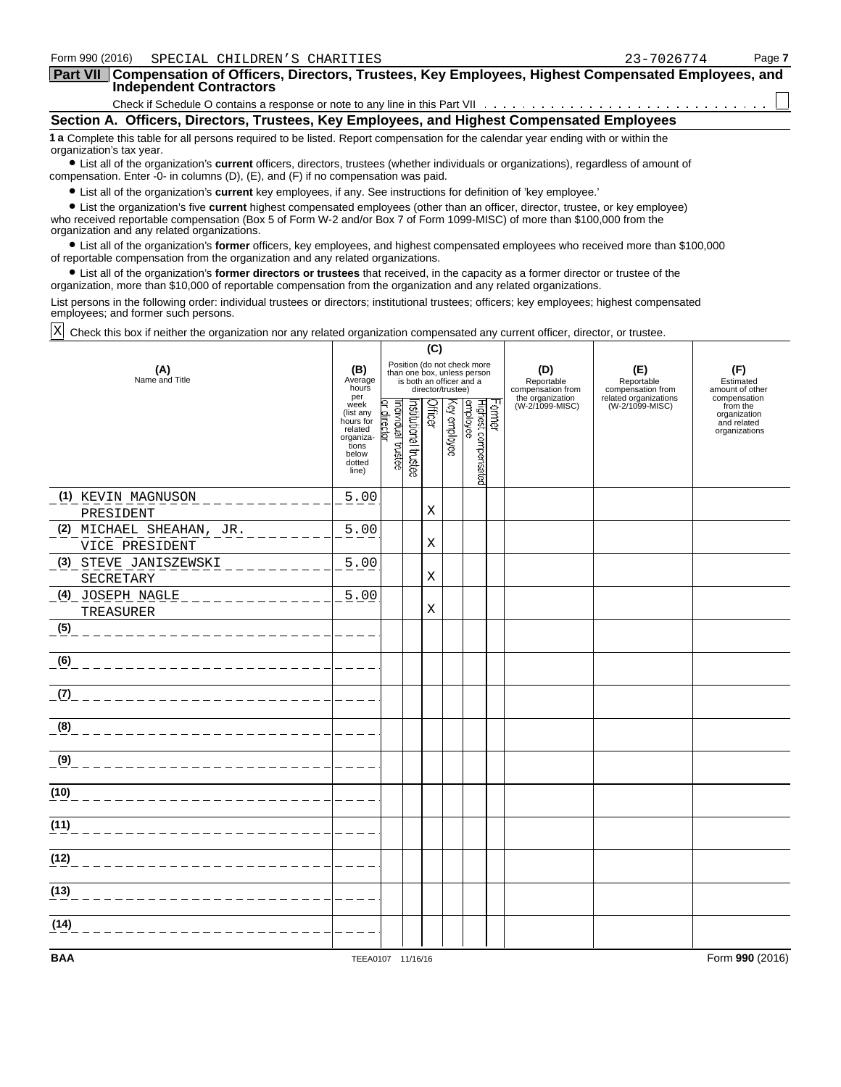| Form 990 (2016)<br>SPECIAL CHILDREN'S CHARITIES                                                                                                                                                                                                                                                          |                                                                                                                                             |                               |                      |                          |             |                                                                                        |        |                                        | 23-7026774                               | Page 7                                                                   |  |
|----------------------------------------------------------------------------------------------------------------------------------------------------------------------------------------------------------------------------------------------------------------------------------------------------------|---------------------------------------------------------------------------------------------------------------------------------------------|-------------------------------|----------------------|--------------------------|-------------|----------------------------------------------------------------------------------------|--------|----------------------------------------|------------------------------------------|--------------------------------------------------------------------------|--|
| Part VII Compensation of Officers, Directors, Trustees, Key Employees, Highest Compensated Employees, and<br><b>Independent Contractors</b>                                                                                                                                                              |                                                                                                                                             |                               |                      |                          |             |                                                                                        |        |                                        |                                          |                                                                          |  |
|                                                                                                                                                                                                                                                                                                          |                                                                                                                                             |                               |                      |                          |             |                                                                                        |        |                                        |                                          |                                                                          |  |
| Section A. Officers, Directors, Trustees, Key Employees, and Highest Compensated Employees                                                                                                                                                                                                               |                                                                                                                                             |                               |                      |                          |             |                                                                                        |        |                                        |                                          |                                                                          |  |
| 1 a Complete this table for all persons required to be listed. Report compensation for the calendar year ending with or within the<br>organization's tax year.<br>• List all of the organization's current officers, directors, trustees (whether individuals or organizations), regardless of amount of |                                                                                                                                             |                               |                      |                          |             |                                                                                        |        |                                        |                                          |                                                                          |  |
| compensation. Enter -0- in columns (D), (E), and (F) if no compensation was paid.                                                                                                                                                                                                                        |                                                                                                                                             |                               |                      |                          |             |                                                                                        |        |                                        |                                          |                                                                          |  |
| • List all of the organization's current key employees, if any. See instructions for definition of 'key employee.'<br>• List the organization's five current highest compensated employees (other than an officer, director, trustee, or key employee)                                                   |                                                                                                                                             |                               |                      |                          |             |                                                                                        |        |                                        |                                          |                                                                          |  |
| who received reportable compensation (Box 5 of Form W-2 and/or Box 7 of Form 1099-MISC) of more than \$100,000 from the<br>organization and any related organizations.                                                                                                                                   |                                                                                                                                             |                               |                      |                          |             |                                                                                        |        |                                        |                                          |                                                                          |  |
| • List all of the organization's former officers, key employees, and highest compensated employees who received more than \$100,000<br>of reportable compensation from the organization and any related organizations.                                                                                   |                                                                                                                                             |                               |                      |                          |             |                                                                                        |        |                                        |                                          |                                                                          |  |
| • List all of the organization's former directors or trustees that received, in the capacity as a former director or trustee of the<br>organization, more than \$10,000 of reportable compensation from the organization and any related organizations.                                                  |                                                                                                                                             |                               |                      |                          |             |                                                                                        |        |                                        |                                          |                                                                          |  |
| employees; and former such persons.                                                                                                                                                                                                                                                                      | List persons in the following order: individual trustees or directors; institutional trustees; officers; key employees; highest compensated |                               |                      |                          |             |                                                                                        |        |                                        |                                          |                                                                          |  |
| Χ<br>Check this box if neither the organization nor any related organization compensated any current officer, director, or trustee.                                                                                                                                                                      |                                                                                                                                             |                               |                      |                          |             |                                                                                        |        |                                        |                                          |                                                                          |  |
| (A)<br>Name and Title                                                                                                                                                                                                                                                                                    | (B)<br>Average<br>hours<br>per                                                                                                              |                               |                      | (C)<br>director/trustee) |             | Position (do not check more<br>than one box, unless person<br>is both an officer and a |        | (D)<br>Reportable<br>compensation from | (E)<br>Reportable<br>compensation from   | (F)<br>Estimated<br>amount of other                                      |  |
|                                                                                                                                                                                                                                                                                                          | week<br>(list any<br>hours for<br>related<br>organiza-<br>tions<br>below<br>dotted                                                          | ndividual trustee<br>director | nstitutional trustee | Officer                  | cy employee | Highest compensated<br>employee                                                        | Former | the organization<br>(W-2/1099-MISC)    | related organizations<br>(W-2/1099-MISC) | compensation<br>from the<br>organization<br>and related<br>organizations |  |
|                                                                                                                                                                                                                                                                                                          | line)                                                                                                                                       |                               |                      |                          |             |                                                                                        |        |                                        |                                          |                                                                          |  |
| (1) KEVIN MAGNUSON                                                                                                                                                                                                                                                                                       | 5.00                                                                                                                                        |                               |                      |                          |             |                                                                                        |        |                                        |                                          |                                                                          |  |
| PRESIDENT                                                                                                                                                                                                                                                                                                |                                                                                                                                             |                               |                      | Χ                        |             |                                                                                        |        |                                        |                                          |                                                                          |  |
| (2)<br>MICHAEL SHEAHAN, JR.<br>VICE PRESIDENT                                                                                                                                                                                                                                                            | 5.00                                                                                                                                        |                               |                      | Χ                        |             |                                                                                        |        |                                        |                                          |                                                                          |  |
| (3) STEVE JANISZEWSKI                                                                                                                                                                                                                                                                                    | 5.00                                                                                                                                        |                               |                      |                          |             |                                                                                        |        |                                        |                                          |                                                                          |  |
| SECRETARY                                                                                                                                                                                                                                                                                                |                                                                                                                                             |                               |                      | Χ                        |             |                                                                                        |        |                                        |                                          |                                                                          |  |
| <u>(4) JOSEPH NAGLE _ _ _ _ _ _ _ _ _ _</u><br>TREASURER                                                                                                                                                                                                                                                 | 5.00                                                                                                                                        |                               |                      | Χ                        |             |                                                                                        |        |                                        |                                          |                                                                          |  |
| (5)                                                                                                                                                                                                                                                                                                      |                                                                                                                                             |                               |                      |                          |             |                                                                                        |        |                                        |                                          |                                                                          |  |
| (6)                                                                                                                                                                                                                                                                                                      |                                                                                                                                             |                               |                      |                          |             |                                                                                        |        |                                        |                                          |                                                                          |  |
| (7)                                                                                                                                                                                                                                                                                                      |                                                                                                                                             |                               |                      |                          |             |                                                                                        |        |                                        |                                          |                                                                          |  |
| (8)                                                                                                                                                                                                                                                                                                      |                                                                                                                                             |                               |                      |                          |             |                                                                                        |        |                                        |                                          |                                                                          |  |
| (9)                                                                                                                                                                                                                                                                                                      |                                                                                                                                             |                               |                      |                          |             |                                                                                        |        |                                        |                                          |                                                                          |  |
| (10)                                                                                                                                                                                                                                                                                                     |                                                                                                                                             |                               |                      |                          |             |                                                                                        |        |                                        |                                          |                                                                          |  |
| (11)                                                                                                                                                                                                                                                                                                     |                                                                                                                                             |                               |                      |                          |             |                                                                                        |        |                                        |                                          |                                                                          |  |
| (12)                                                                                                                                                                                                                                                                                                     |                                                                                                                                             |                               |                      |                          |             |                                                                                        |        |                                        |                                          |                                                                          |  |
| (13)                                                                                                                                                                                                                                                                                                     |                                                                                                                                             |                               |                      |                          |             |                                                                                        |        |                                        |                                          |                                                                          |  |
| (14)                                                                                                                                                                                                                                                                                                     |                                                                                                                                             |                               |                      |                          |             |                                                                                        |        |                                        |                                          |                                                                          |  |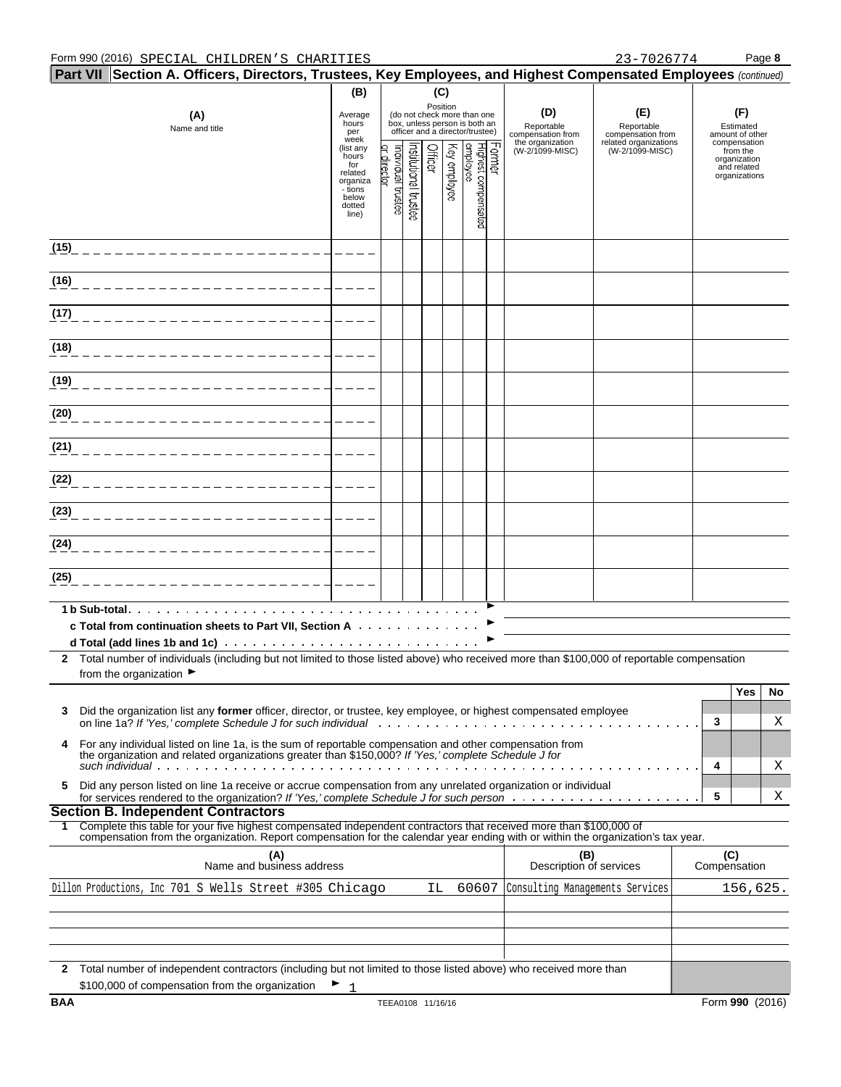|      | Part VII   Section A. Officers, Directors, Trustees, Key Employees, and Highest Compensated Employees (continued)                                                                                                                                        |                                |                                                                                                 |                      |         |                 |                                 |        |                                        |                                            |  |     |                                             |          |
|------|----------------------------------------------------------------------------------------------------------------------------------------------------------------------------------------------------------------------------------------------------------|--------------------------------|-------------------------------------------------------------------------------------------------|----------------------|---------|-----------------|---------------------------------|--------|----------------------------------------|--------------------------------------------|--|-----|---------------------------------------------|----------|
|      |                                                                                                                                                                                                                                                          | (B)                            |                                                                                                 |                      |         | (C)<br>Position |                                 |        |                                        |                                            |  |     |                                             |          |
|      | (A)<br>Name and title                                                                                                                                                                                                                                    | Average<br>hours               | (do not check more than one<br>box, unless person is both an<br>officer and a director/trustee) |                      |         |                 |                                 |        | (D)<br>Reportable<br>compensation from | (E)<br>Reportable                          |  |     | (F)<br>Estimated                            |          |
|      |                                                                                                                                                                                                                                                          | per<br>week<br>(list any       |                                                                                                 |                      |         |                 |                                 |        | the organization<br>(W-2/1099-MISC)    | compensation from<br>related organizations |  |     | amount of other<br>compensation<br>from the |          |
|      |                                                                                                                                                                                                                                                          | hours<br>for                   | ndividual trustee<br>director                                                                   | rstitutional trustee | Officer | Key employee    | Highest compensated<br>employee | Former |                                        | (W-2/1099-MISC)                            |  |     | organization<br>and related                 |          |
|      |                                                                                                                                                                                                                                                          | related<br>organiza<br>- tions |                                                                                                 |                      |         |                 |                                 |        |                                        |                                            |  |     | organizations                               |          |
|      |                                                                                                                                                                                                                                                          | below<br>dotted                |                                                                                                 |                      |         |                 |                                 |        |                                        |                                            |  |     |                                             |          |
|      |                                                                                                                                                                                                                                                          | line)                          |                                                                                                 |                      |         |                 |                                 |        |                                        |                                            |  |     |                                             |          |
| (15) |                                                                                                                                                                                                                                                          |                                |                                                                                                 |                      |         |                 |                                 |        |                                        |                                            |  |     |                                             |          |
|      |                                                                                                                                                                                                                                                          |                                |                                                                                                 |                      |         |                 |                                 |        |                                        |                                            |  |     |                                             |          |
| (16) |                                                                                                                                                                                                                                                          |                                |                                                                                                 |                      |         |                 |                                 |        |                                        |                                            |  |     |                                             |          |
|      |                                                                                                                                                                                                                                                          |                                |                                                                                                 |                      |         |                 |                                 |        |                                        |                                            |  |     |                                             |          |
| (17) |                                                                                                                                                                                                                                                          |                                |                                                                                                 |                      |         |                 |                                 |        |                                        |                                            |  |     |                                             |          |
| (18) |                                                                                                                                                                                                                                                          |                                |                                                                                                 |                      |         |                 |                                 |        |                                        |                                            |  |     |                                             |          |
|      |                                                                                                                                                                                                                                                          |                                |                                                                                                 |                      |         |                 |                                 |        |                                        |                                            |  |     |                                             |          |
| (19) |                                                                                                                                                                                                                                                          |                                |                                                                                                 |                      |         |                 |                                 |        |                                        |                                            |  |     |                                             |          |
|      |                                                                                                                                                                                                                                                          |                                |                                                                                                 |                      |         |                 |                                 |        |                                        |                                            |  |     |                                             |          |
| (20) |                                                                                                                                                                                                                                                          |                                |                                                                                                 |                      |         |                 |                                 |        |                                        |                                            |  |     |                                             |          |
| (21) |                                                                                                                                                                                                                                                          |                                |                                                                                                 |                      |         |                 |                                 |        |                                        |                                            |  |     |                                             |          |
|      |                                                                                                                                                                                                                                                          |                                |                                                                                                 |                      |         |                 |                                 |        |                                        |                                            |  |     |                                             |          |
| (22) |                                                                                                                                                                                                                                                          |                                |                                                                                                 |                      |         |                 |                                 |        |                                        |                                            |  |     |                                             |          |
| (23) |                                                                                                                                                                                                                                                          |                                |                                                                                                 |                      |         |                 |                                 |        |                                        |                                            |  |     |                                             |          |
|      |                                                                                                                                                                                                                                                          |                                |                                                                                                 |                      |         |                 |                                 |        |                                        |                                            |  |     |                                             |          |
| (24) |                                                                                                                                                                                                                                                          |                                |                                                                                                 |                      |         |                 |                                 |        |                                        |                                            |  |     |                                             |          |
|      |                                                                                                                                                                                                                                                          |                                |                                                                                                 |                      |         |                 |                                 |        |                                        |                                            |  |     |                                             |          |
| (25) |                                                                                                                                                                                                                                                          |                                |                                                                                                 |                      |         |                 |                                 |        |                                        |                                            |  |     |                                             |          |
|      |                                                                                                                                                                                                                                                          |                                |                                                                                                 |                      |         |                 |                                 |        |                                        |                                            |  |     |                                             |          |
|      | c Total from continuation sheets to Part VII, Section A                                                                                                                                                                                                  |                                |                                                                                                 |                      |         |                 |                                 |        |                                        |                                            |  |     |                                             |          |
|      |                                                                                                                                                                                                                                                          |                                |                                                                                                 |                      |         |                 |                                 |        |                                        |                                            |  |     |                                             |          |
| 2    | Total number of individuals (including but not limited to those listed above) who received more than \$100,000 of reportable compensation<br>from the organization $\blacktriangleright$                                                                 |                                |                                                                                                 |                      |         |                 |                                 |        |                                        |                                            |  |     |                                             |          |
|      |                                                                                                                                                                                                                                                          |                                |                                                                                                 |                      |         |                 |                                 |        |                                        |                                            |  |     | Yes                                         | No       |
|      | Did the organization list any former officer, director, or trustee, key employee, or highest compensated employee                                                                                                                                        |                                |                                                                                                 |                      |         |                 |                                 |        |                                        |                                            |  |     |                                             |          |
|      |                                                                                                                                                                                                                                                          |                                |                                                                                                 |                      |         |                 |                                 |        |                                        |                                            |  | 3   |                                             | Χ        |
| 4    | For any individual listed on line 1a, is the sum of reportable compensation and other compensation from<br>the organization and related organizations greater than \$150,000? If 'Yes,' complete Schedule J for                                          |                                |                                                                                                 |                      |         |                 |                                 |        |                                        |                                            |  |     |                                             |          |
|      |                                                                                                                                                                                                                                                          |                                |                                                                                                 |                      |         |                 |                                 |        |                                        |                                            |  | 4   |                                             | Χ        |
| 5    | Did any person listed on line 1a receive or accrue compensation from any unrelated organization or individual                                                                                                                                            |                                |                                                                                                 |                      |         |                 |                                 |        |                                        |                                            |  | 5   |                                             | Χ        |
|      | <b>Section B. Independent Contractors</b>                                                                                                                                                                                                                |                                |                                                                                                 |                      |         |                 |                                 |        |                                        |                                            |  |     |                                             |          |
|      | 1 Complete this table for your five highest compensated independent contractors that received more than \$100,000 of<br>compensation from the organization. Report compensation for the calendar year ending with or within the organization's tax year. |                                |                                                                                                 |                      |         |                 |                                 |        |                                        |                                            |  |     |                                             |          |
|      | (A)                                                                                                                                                                                                                                                      |                                |                                                                                                 |                      |         |                 |                                 |        | (B)                                    |                                            |  | (C) |                                             |          |
|      | Name and business address                                                                                                                                                                                                                                |                                |                                                                                                 |                      |         |                 |                                 |        | Description of services                |                                            |  |     | Compensation                                |          |
|      | Dillon Productions, Inc 701 S Wells Street #305 Chicago                                                                                                                                                                                                  |                                |                                                                                                 |                      | ΙL      |                 | 60607                           |        | Consulting Managements Services        |                                            |  |     |                                             | 156,625. |
|      |                                                                                                                                                                                                                                                          |                                |                                                                                                 |                      |         |                 |                                 |        |                                        |                                            |  |     |                                             |          |
|      |                                                                                                                                                                                                                                                          |                                |                                                                                                 |                      |         |                 |                                 |        |                                        |                                            |  |     |                                             |          |
|      |                                                                                                                                                                                                                                                          |                                |                                                                                                 |                      |         |                 |                                 |        |                                        |                                            |  |     |                                             |          |
|      | 2 Total number of independent contractors (including but not limited to those listed above) who received more than                                                                                                                                       |                                |                                                                                                 |                      |         |                 |                                 |        |                                        |                                            |  |     |                                             |          |
|      | \$100,000 of compensation from the organization                                                                                                                                                                                                          | $\bullet$ 1                    |                                                                                                 |                      |         |                 |                                 |        |                                        |                                            |  |     |                                             |          |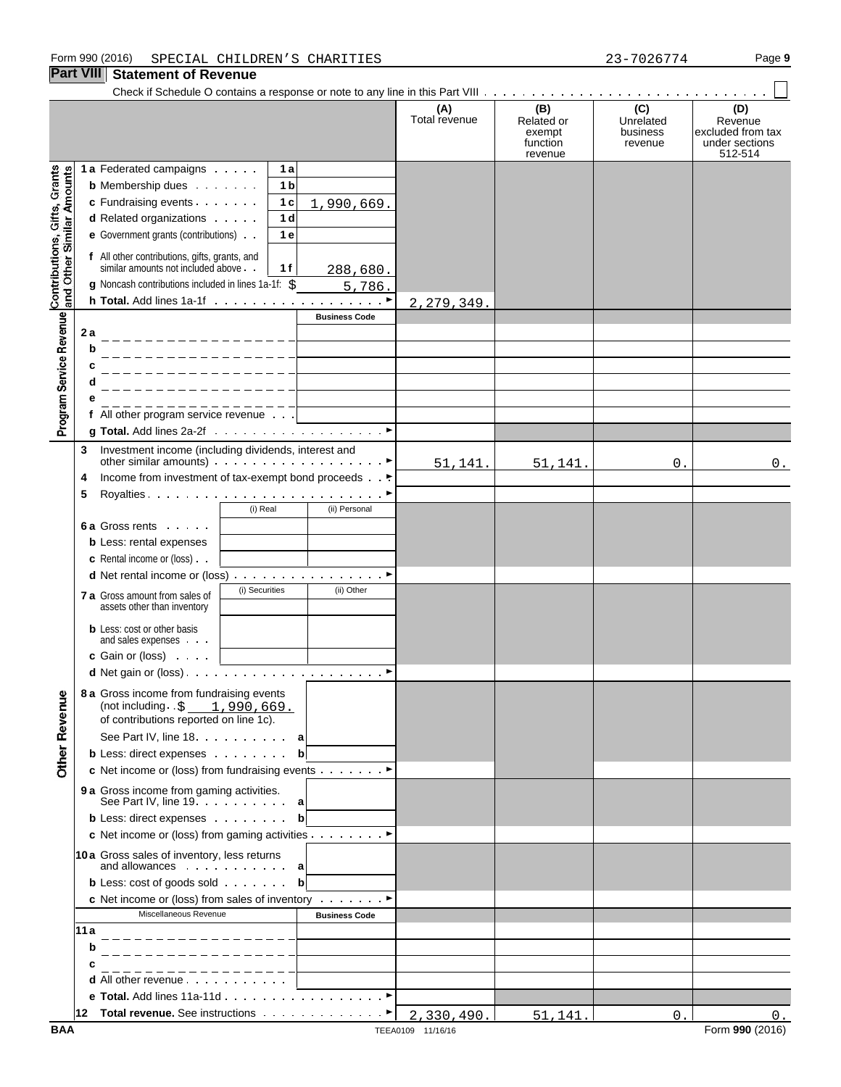## **Part VIII Statement of Revenue**

|                                                           |          |                                                                                                                                                                          |                                                                                                                        |                      | (A)<br>Total revenue | (B)<br>Related or<br>exempt<br>function<br>revenue | (C)<br>Unrelated<br>business<br>revenue | (D)<br>Revenue<br>excluded from tax<br>under sections<br>512-514 |
|-----------------------------------------------------------|----------|--------------------------------------------------------------------------------------------------------------------------------------------------------------------------|------------------------------------------------------------------------------------------------------------------------|----------------------|----------------------|----------------------------------------------------|-----------------------------------------|------------------------------------------------------------------|
| Contributions, Gifts, Grants<br>and Other Similar Amounts |          | 1a Federated campaigns<br><b>b</b> Membership dues<br>c Fundraising events                                                                                               | 1 a<br>1 <sub>b</sub><br>1 <sub>c</sub><br>1 <sub>d</sub>                                                              | 1,990,669.           |                      |                                                    |                                         |                                                                  |
|                                                           |          | d Related organizations<br>e Government grants (contributions)<br>f All other contributions, gifts, grants, and<br>similar amounts not included above.                   | 1e                                                                                                                     |                      |                      |                                                    |                                         |                                                                  |
|                                                           |          | g Noncash contributions included in lines 1a-1f: \$                                                                                                                      | 1f                                                                                                                     | 288,680.<br>5,786.   |                      |                                                    |                                         |                                                                  |
|                                                           |          |                                                                                                                                                                          |                                                                                                                        |                      | 2, 279, 349.         |                                                    |                                         |                                                                  |
| Program Service Revenue                                   | 2 a<br>b | ________________                                                                                                                                                         |                                                                                                                        | <b>Business Code</b> |                      |                                                    |                                         |                                                                  |
|                                                           |          |                                                                                                                                                                          |                                                                                                                        |                      |                      |                                                    |                                         |                                                                  |
|                                                           |          | . _ _ _ _ _ _ _ _ _ _ _ _ _ _<br>f All other program service revenue                                                                                                     |                                                                                                                        |                      |                      |                                                    |                                         |                                                                  |
|                                                           |          |                                                                                                                                                                          |                                                                                                                        |                      |                      |                                                    |                                         |                                                                  |
|                                                           | 3<br>4   | Investment income (including dividends, interest and<br>other similar amounts) $\cdots$ $\cdots$ $\cdots$ $\cdots$<br>Income from investment of tax-exempt bond proceeds |                                                                                                                        |                      | 51,141.              | 51,141.                                            | $0$ .                                   | 0.                                                               |
|                                                           | 5        |                                                                                                                                                                          |                                                                                                                        |                      |                      |                                                    |                                         |                                                                  |
|                                                           |          |                                                                                                                                                                          | (i) Real                                                                                                               | (ii) Personal        |                      |                                                    |                                         |                                                                  |
|                                                           |          | <b>6a Gross rents</b>                                                                                                                                                    |                                                                                                                        |                      |                      |                                                    |                                         |                                                                  |
|                                                           |          | <b>b</b> Less: rental expenses                                                                                                                                           |                                                                                                                        |                      |                      |                                                    |                                         |                                                                  |
|                                                           |          |                                                                                                                                                                          |                                                                                                                        |                      |                      |                                                    |                                         |                                                                  |
|                                                           |          | <b>c</b> Rental income or (loss)                                                                                                                                         |                                                                                                                        |                      |                      |                                                    |                                         |                                                                  |
|                                                           |          | d Net rental income or (loss) ▶                                                                                                                                          |                                                                                                                        |                      |                      |                                                    |                                         |                                                                  |
|                                                           |          | 7 a Gross amount from sales of<br>assets other than inventory                                                                                                            | (i) Securities                                                                                                         | (ii) Other           |                      |                                                    |                                         |                                                                  |
|                                                           |          | <b>b</b> Less: cost or other basis<br>and sales expenses                                                                                                                 |                                                                                                                        |                      |                      |                                                    |                                         |                                                                  |
|                                                           |          | <b>c</b> Gain or (loss) $\cdots$                                                                                                                                         | <u> a serie de la provincia de la provincia de la provincia de la provincia de la provincia de la provincia de la </u> |                      |                      |                                                    |                                         |                                                                  |
| ≗                                                         |          | 8 a Gross income from fundraising events                                                                                                                                 |                                                                                                                        |                      |                      |                                                    |                                         |                                                                  |
| <b>Other Reven</b>                                        |          | (not including $\therefore$ \$ 1,990,669.<br>of contributions reported on line 1c).                                                                                      |                                                                                                                        |                      |                      |                                                    |                                         |                                                                  |
|                                                           |          | See Part IV, line 18. a                                                                                                                                                  |                                                                                                                        |                      |                      |                                                    |                                         |                                                                  |
|                                                           |          | <b>b</b> Less: direct expenses                                                                                                                                           |                                                                                                                        | $\mathbf b$          |                      |                                                    |                                         |                                                                  |
|                                                           |          | c Net income or (loss) from fundraising events ▶                                                                                                                         |                                                                                                                        |                      |                      |                                                    |                                         |                                                                  |
|                                                           |          | 9 a Gross income from gaming activities.<br>See Part IV, line 19. a                                                                                                      |                                                                                                                        |                      |                      |                                                    |                                         |                                                                  |
|                                                           |          | <b>b</b> Less: direct expenses                                                                                                                                           |                                                                                                                        | b                    |                      |                                                    |                                         |                                                                  |
|                                                           |          | c Net income or (loss) from gaming activities ▶                                                                                                                          |                                                                                                                        |                      |                      |                                                    |                                         |                                                                  |
|                                                           |          | 10a Gross sales of inventory, less returns<br>and allowances a                                                                                                           |                                                                                                                        |                      |                      |                                                    |                                         |                                                                  |
|                                                           |          | <b>b</b> Less: cost of goods sold                                                                                                                                        |                                                                                                                        | b                    |                      |                                                    |                                         |                                                                  |
|                                                           |          | c Net income or (loss) from sales of inventory $\cdots$                                                                                                                  |                                                                                                                        |                      |                      |                                                    |                                         |                                                                  |
|                                                           |          | Miscellaneous Revenue                                                                                                                                                    |                                                                                                                        | <b>Business Code</b> |                      |                                                    |                                         |                                                                  |
|                                                           | 11a      |                                                                                                                                                                          |                                                                                                                        |                      |                      |                                                    |                                         |                                                                  |
|                                                           | b        |                                                                                                                                                                          |                                                                                                                        |                      |                      |                                                    |                                         |                                                                  |
|                                                           |          |                                                                                                                                                                          |                                                                                                                        |                      |                      |                                                    |                                         |                                                                  |
|                                                           | c        |                                                                                                                                                                          |                                                                                                                        |                      |                      |                                                    |                                         |                                                                  |
|                                                           |          | d All other revenue                                                                                                                                                      |                                                                                                                        |                      |                      |                                                    |                                         |                                                                  |
|                                                           |          | e Total. Add lines 11a-11d ▶                                                                                                                                             |                                                                                                                        |                      |                      |                                                    |                                         |                                                                  |
|                                                           |          |                                                                                                                                                                          |                                                                                                                        |                      | 2,330,490.           | 51,141.                                            | $0$ .                                   | $0$ .                                                            |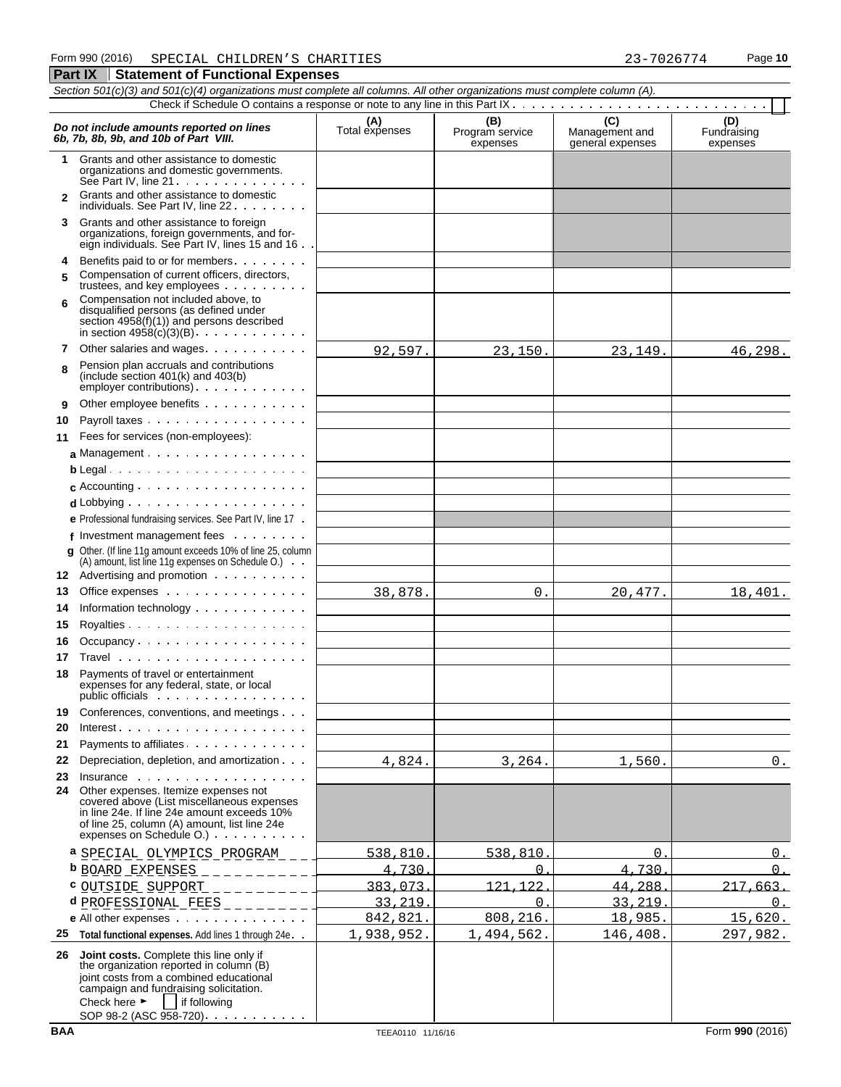|              | Section 501(c)(3) and 501(c)(4) organizations must complete all columns. All other organizations must complete column (A).                                                                                                  |                       |                             |                                    |                         |
|--------------|-----------------------------------------------------------------------------------------------------------------------------------------------------------------------------------------------------------------------------|-----------------------|-----------------------------|------------------------------------|-------------------------|
|              |                                                                                                                                                                                                                             |                       | (B)                         | (C)                                | (D)                     |
|              | Do not include amounts reported on lines<br>6b, 7b, 8b, 9b, and 10b of Part VIII.                                                                                                                                           | (A)<br>Total expenses | Program service<br>expenses | Management and<br>general expenses | Fundraising<br>expenses |
| 1            | Grants and other assistance to domestic<br>organizations and domestic governments.<br>See Part IV, line $21 \cdot \cdot \cdot \cdot \cdot \cdot \cdot \cdot \cdot \cdot \cdot \cdot \cdot \cdot$                            |                       |                             |                                    |                         |
| $\mathbf{2}$ | Grants and other assistance to domestic<br>individuals. See Part IV, line 22                                                                                                                                                |                       |                             |                                    |                         |
| 3            | Grants and other assistance to foreign<br>organizations, foreign governments, and for-<br>eign individuals. See Part IV, lines 15 and 16.                                                                                   |                       |                             |                                    |                         |
| 4<br>5       | Benefits paid to or for members<br>Compensation of current officers, directors,<br>trustees, and key employees                                                                                                              |                       |                             |                                    |                         |
|              | Compensation not included above, to<br>disqualified persons (as defined under<br>section $4958(f)(1)$ and persons described<br>in section $4958(c)(3)(B)$ .                                                                 |                       |                             |                                    |                         |
| 7            | Other salaries and wages.                                                                                                                                                                                                   | 92,597.               | 23,150.                     | 23,149.                            | 46,298.                 |
| 8            | Pension plan accruals and contributions<br>(include section $401(k)$ and $403(b)$<br>$\infty$ employer contributions). $\ldots$ $\ldots$ .                                                                                  |                       |                             |                                    |                         |
| 9            | Other employee benefits                                                                                                                                                                                                     |                       |                             |                                    |                         |
| 10           | Payroll taxes                                                                                                                                                                                                               |                       |                             |                                    |                         |
| 11           | Fees for services (non-employees):                                                                                                                                                                                          |                       |                             |                                    |                         |
|              | a Management                                                                                                                                                                                                                |                       |                             |                                    |                         |
|              | $b$ Legal                                                                                                                                                                                                                   |                       |                             |                                    |                         |
|              |                                                                                                                                                                                                                             |                       |                             |                                    |                         |
|              | $d$ Lobbying $\cdots$ $\cdots$ $\cdots$ $\cdots$ $\cdots$ $\cdots$ $\cdots$                                                                                                                                                 |                       |                             |                                    |                         |
|              | e Professional fundraising services. See Part IV, line 17.                                                                                                                                                                  |                       |                             |                                    |                         |
|              | f Investment management fees                                                                                                                                                                                                |                       |                             |                                    |                         |
|              | g Other. (If line 11g amount exceeds 10% of line 25, column<br>(A) amount, list line 11g expenses on Schedule $O$ .) $\cdot \cdot$                                                                                          |                       |                             |                                    |                         |
| 12           | Advertising and promotion                                                                                                                                                                                                   |                       |                             |                                    |                         |
| 13           | Office expenses                                                                                                                                                                                                             | 38,878.               | 0.                          | 20,477.                            | 18,401.                 |
| 14           | Information technology                                                                                                                                                                                                      |                       |                             |                                    |                         |
| 15           |                                                                                                                                                                                                                             |                       |                             |                                    |                         |
| 16           | Occupancy                                                                                                                                                                                                                   |                       |                             |                                    |                         |
| 17           |                                                                                                                                                                                                                             |                       |                             |                                    |                         |
| 18           | Payments of travel or entertainment<br>expenses for any federal, state, or local<br>public officials                                                                                                                        |                       |                             |                                    |                         |
| 19           | Conferences, conventions, and meetings                                                                                                                                                                                      |                       |                             |                                    |                         |
| 20           |                                                                                                                                                                                                                             |                       |                             |                                    |                         |
| 21           | Payments to affiliates.                                                                                                                                                                                                     |                       |                             |                                    |                         |
| 22           | Depreciation, depletion, and amortization                                                                                                                                                                                   | 4,824.                | 3,264.                      | 1,560.                             | $0$ .                   |
| 23<br>24     | Insurance<br>Other expenses. Itemize expenses not<br>covered above (List miscellaneous expenses<br>in line 24e. If line 24e amount exceeds 10%<br>of line 25, column (A) amount, list line 24e<br>expenses on Schedule O.)  |                       |                             |                                    |                         |
|              |                                                                                                                                                                                                                             |                       |                             | 0                                  |                         |
|              | a SPECIAL OLYMPICS PROGRAM                                                                                                                                                                                                  | 538.810<br>4.730      | 538.810<br>$\Omega$         | 4.730                              | ∩<br>U.                 |
|              | $b$ <u>BOARD EXPENSES</u> _ _ _ _ _ _ _ _ _                                                                                                                                                                                 | 383.073               | 121.122                     | 44,288                             |                         |
| c            | OUTSIDE SUPPORT                                                                                                                                                                                                             | 33.219                | $\Omega$                    | 33.219                             | 217.663.<br>$\Omega$    |
|              | $d$ PROFESSIONAL FEES _ _ _ _ _ _ _<br>e All other expenses                                                                                                                                                                 | 842,821               | 808, 216.                   | 18,985.                            | 15,620.                 |
| 25           | Total functional expenses. Add lines 1 through 24e                                                                                                                                                                          | 1,938,952.            | 1,494,562.                  | 146,408.                           | 297,982.                |
|              |                                                                                                                                                                                                                             |                       |                             |                                    |                         |
| 26           | Joint costs. Complete this line only if<br>the organization reported in column (B)<br>joint costs from a combined educational<br>campaign and fundraising solicitation.<br>Check here $\blacktriangleright$<br>if following |                       |                             |                                    |                         |

SOP 98-2 (ASC 958-720)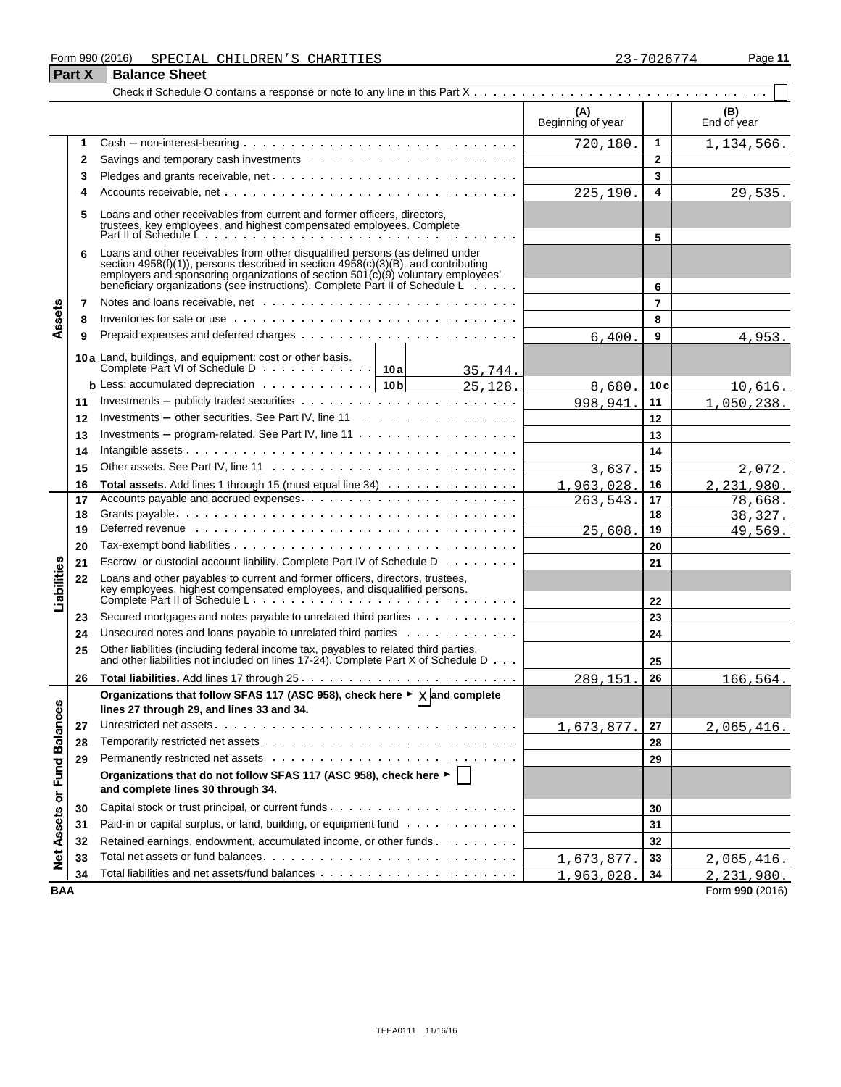#### Form 990 (2016) Page **11** SPECIAL CHILDREN'S CHARITIES 23-7026774

|                             | <b>Part X</b> | <b>Balance Sheet</b>                                                                                                                                                                                                                                                                                                                      |                          |                |                    |
|-----------------------------|---------------|-------------------------------------------------------------------------------------------------------------------------------------------------------------------------------------------------------------------------------------------------------------------------------------------------------------------------------------------|--------------------------|----------------|--------------------|
|                             |               |                                                                                                                                                                                                                                                                                                                                           |                          |                |                    |
|                             |               |                                                                                                                                                                                                                                                                                                                                           | (A)<br>Beginning of year |                | (B)<br>End of year |
|                             | 1             | $Cash - non-interest-bearing \dots \dots \dots \dots \dots \dots \dots \dots \dots \dots \dots \dots$                                                                                                                                                                                                                                     | 720,180.                 | 1              | 1,134,566.         |
|                             | 2             |                                                                                                                                                                                                                                                                                                                                           |                          | $\mathbf{2}$   |                    |
|                             | 3             |                                                                                                                                                                                                                                                                                                                                           |                          | 3              |                    |
|                             | 4             |                                                                                                                                                                                                                                                                                                                                           | 225,190.                 | 4              | 29,535.            |
|                             | 5             | Loans and other receivables from current and former officers, directors,<br>trustees, key employees, and highest compensated employees. Complete<br>Part II of Schedule L                                                                                                                                                                 |                          | 5              |                    |
|                             | 6             | Loans and other receivables from other disqualified persons (as defined under<br>section 4958(f)(1)), persons described in section 4958(c)(3)(B), and contributing<br>employers and sponsoring organizations of section $501(c)(9)$ voluntary employees'<br>beneficiary organizations (see instructions). Complete Part II of Schedule L. |                          | 6              |                    |
|                             | 7             |                                                                                                                                                                                                                                                                                                                                           |                          | $\overline{7}$ |                    |
| Assets                      | 8             | Inventories for sale or use $\cdots$ , $\cdots$ , $\cdots$ , $\cdots$ , $\cdots$ , $\cdots$ , $\cdots$ , $\cdots$ , $\cdots$ , $\cdots$ , $\cdots$                                                                                                                                                                                        |                          | 8              |                    |
|                             | 9             |                                                                                                                                                                                                                                                                                                                                           | 6,400                    | 9              | 4,953.             |
|                             |               | 10a Land, buildings, and equipment: cost or other basis.                                                                                                                                                                                                                                                                                  |                          |                |                    |
|                             |               | 35,744.                                                                                                                                                                                                                                                                                                                                   |                          |                |                    |
|                             |               | <b>b</b> Less: accumulated depreciation $\cdots$ $\cdots$ $\cdots$ $\cdots$   10b<br>25,128.                                                                                                                                                                                                                                              | 8,680                    | 10c            | 10,616.            |
|                             | 11            |                                                                                                                                                                                                                                                                                                                                           | 998,941                  | 11             | 1,050,238.         |
|                             | 12            |                                                                                                                                                                                                                                                                                                                                           |                          | 12             |                    |
|                             | 13            | Investments – program-related. See Part IV, line $11 \ldots \ldots \ldots \ldots \ldots \ldots$                                                                                                                                                                                                                                           |                          | 13             |                    |
|                             | 14            |                                                                                                                                                                                                                                                                                                                                           |                          | 14             |                    |
|                             | 15            |                                                                                                                                                                                                                                                                                                                                           | 3,637                    | 15             | 2,072.             |
|                             | 16            | Total assets. Add lines 1 through 15 (must equal line 34)                                                                                                                                                                                                                                                                                 | 1,963,028                | 16             | 2,231,980.         |
|                             | 17            |                                                                                                                                                                                                                                                                                                                                           | 263,543                  | 17             | 78,668.            |
|                             | 18            |                                                                                                                                                                                                                                                                                                                                           |                          | 18             | 38, 327.           |
|                             | 19            | Deferred revenue et al., and a series and series and series and series and series are series and series are series and series are series and series are series and series are series and series are series and series are seri                                                                                                            | 25,608                   | 19             | 49,569.            |
|                             | 20            |                                                                                                                                                                                                                                                                                                                                           |                          | 20             |                    |
|                             | 21            | Escrow or custodial account liability. Complete Part IV of Schedule D                                                                                                                                                                                                                                                                     |                          | 21             |                    |
| Liabilities                 | 22            | Loans and other payables to current and former officers, directors, trustees,                                                                                                                                                                                                                                                             |                          | 22             |                    |
|                             | 23            | Secured mortgages and notes payable to unrelated third parties                                                                                                                                                                                                                                                                            |                          | 23             |                    |
|                             | 24            | Unsecured notes and loans payable to unrelated third parties                                                                                                                                                                                                                                                                              |                          | 24             |                    |
|                             | 25            | Other liabilities (including federal income tax, payables to related third parties,<br>and other liabilities not included on lines 17-24). Complete Part X of Schedule D                                                                                                                                                                  |                          | 25             |                    |
|                             | 26            |                                                                                                                                                                                                                                                                                                                                           | 289,151                  | 26             | 166,564.           |
|                             |               | Organizations that follow SFAS 117 (ASC 958), check here $\blacktriangleright \boxed{\text{X}}$ and complete<br>lines 27 through 29, and lines 33 and 34.                                                                                                                                                                                 |                          |                |                    |
|                             | 27            |                                                                                                                                                                                                                                                                                                                                           | 1,673,877.               | 27             | 2,065,416.         |
|                             | 28            |                                                                                                                                                                                                                                                                                                                                           |                          | 28             |                    |
|                             | 29            |                                                                                                                                                                                                                                                                                                                                           |                          | 29             |                    |
| Net Assets or Fund Balances |               | Organizations that do not follow SFAS 117 (ASC 958), check here ►  <br>and complete lines 30 through 34.                                                                                                                                                                                                                                  |                          |                |                    |
|                             | 30            |                                                                                                                                                                                                                                                                                                                                           |                          | 30             |                    |
|                             | 31            | Paid-in or capital surplus, or land, building, or equipment fund                                                                                                                                                                                                                                                                          |                          | 31             |                    |
|                             | 32            | Retained earnings, endowment, accumulated income, or other funds                                                                                                                                                                                                                                                                          |                          | 32             |                    |
|                             | 33            |                                                                                                                                                                                                                                                                                                                                           | 1,673,877                | 33             | 2,065,416.         |
|                             | 34            |                                                                                                                                                                                                                                                                                                                                           | 1,963,028.               | 34             | 2,231,980.         |
| <b>BAA</b>                  |               |                                                                                                                                                                                                                                                                                                                                           |                          |                | Form 990 (2016)    |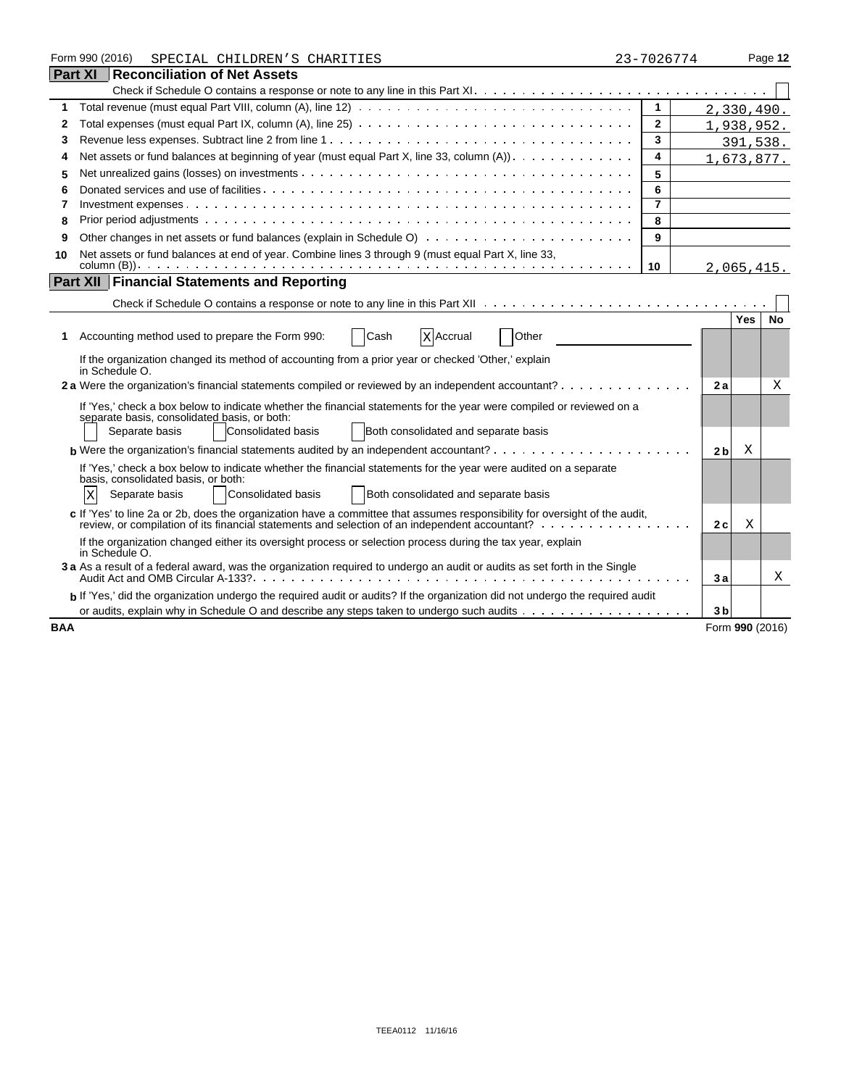|                                                                                                                                                                                                                                     | Form 990 (2016)<br>SPECIAL CHILDREN'S CHARITIES                                                                                                                      | 23-7026774     |  |                |            | Page 12         |
|-------------------------------------------------------------------------------------------------------------------------------------------------------------------------------------------------------------------------------------|----------------------------------------------------------------------------------------------------------------------------------------------------------------------|----------------|--|----------------|------------|-----------------|
|                                                                                                                                                                                                                                     | <b>Part XI Reconciliation of Net Assets</b>                                                                                                                          |                |  |                |            |                 |
|                                                                                                                                                                                                                                     |                                                                                                                                                                      |                |  |                |            |                 |
| 1                                                                                                                                                                                                                                   |                                                                                                                                                                      | $\mathbf{1}$   |  | 2,330,490.     |            |                 |
| 2                                                                                                                                                                                                                                   |                                                                                                                                                                      | $\mathbf{2}$   |  | 1,938,952.     |            |                 |
| 3                                                                                                                                                                                                                                   |                                                                                                                                                                      | 3              |  | 391,538.       |            |                 |
| 4                                                                                                                                                                                                                                   | Net assets or fund balances at beginning of year (must equal Part X, line 33, column $(A)$ ).                                                                        | 4              |  |                |            | 1,673,877.      |
| 5                                                                                                                                                                                                                                   |                                                                                                                                                                      | 5              |  |                |            |                 |
| 6                                                                                                                                                                                                                                   |                                                                                                                                                                      | 6              |  |                |            |                 |
| 7                                                                                                                                                                                                                                   |                                                                                                                                                                      | $\overline{7}$ |  |                |            |                 |
| 8                                                                                                                                                                                                                                   |                                                                                                                                                                      | 8              |  |                |            |                 |
| 9                                                                                                                                                                                                                                   |                                                                                                                                                                      | 9              |  |                |            |                 |
| 10                                                                                                                                                                                                                                  | Net assets or fund balances at end of year. Combine lines 3 through 9 (must equal Part X, line 33,                                                                   |                |  |                |            |                 |
|                                                                                                                                                                                                                                     | <b>Part XII Financial Statements and Reporting</b>                                                                                                                   | 10             |  | 2,065,415.     |            |                 |
|                                                                                                                                                                                                                                     |                                                                                                                                                                      |                |  |                |            |                 |
|                                                                                                                                                                                                                                     |                                                                                                                                                                      |                |  |                |            |                 |
|                                                                                                                                                                                                                                     |                                                                                                                                                                      |                |  |                | <b>Yes</b> | <b>No</b>       |
| 1                                                                                                                                                                                                                                   | Cash<br>Other<br>Accounting method used to prepare the Form 990:<br>X Accrual                                                                                        |                |  |                |            |                 |
| If the organization changed its method of accounting from a prior year or checked 'Other,' explain<br>in Schedule O.                                                                                                                |                                                                                                                                                                      |                |  |                |            |                 |
|                                                                                                                                                                                                                                     | 2 a Were the organization's financial statements compiled or reviewed by an independent accountant?                                                                  |                |  | 2a             |            | Χ               |
|                                                                                                                                                                                                                                     | If 'Yes,' check a box below to indicate whether the financial statements for the year were compiled or reviewed on a<br>separate basis, consolidated basis, or both: |                |  |                |            |                 |
| Consolidated basis<br>Both consolidated and separate basis<br>Separate basis                                                                                                                                                        |                                                                                                                                                                      |                |  |                |            |                 |
| <b>b</b> Were the organization's financial statements audited by an independent accountant? $\cdots$<br>2 <sub>b</sub>                                                                                                              |                                                                                                                                                                      |                |  |                |            |                 |
|                                                                                                                                                                                                                                     | If 'Yes,' check a box below to indicate whether the financial statements for the year were audited on a separate                                                     |                |  |                |            |                 |
|                                                                                                                                                                                                                                     | basis, consolidated basis, or both:                                                                                                                                  |                |  |                |            |                 |
|                                                                                                                                                                                                                                     | Both consolidated and separate basis<br>Separate basis<br>Consolidated basis<br>ΙX                                                                                   |                |  |                |            |                 |
| c If 'Yes' to line 2a or 2b, does the organization have a committee that assumes responsibility for oversight of the audit,<br>review, or compilation of its financial statements and selection of an independent accountant?<br>2c |                                                                                                                                                                      |                |  |                |            |                 |
|                                                                                                                                                                                                                                     | Χ<br>If the organization changed either its oversight process or selection process during the tax year, explain<br>in Schedule O.                                    |                |  |                |            |                 |
| 3 a As a result of a federal award, was the organization required to undergo an audit or audits as set forth in the Single<br>3a                                                                                                    |                                                                                                                                                                      |                |  |                |            | Χ               |
| b If 'Yes,' did the organization undergo the required audit or audits? If the organization did not undergo the required audit                                                                                                       |                                                                                                                                                                      |                |  |                |            |                 |
|                                                                                                                                                                                                                                     |                                                                                                                                                                      |                |  | 3 <sub>b</sub> |            |                 |
| <b>BAA</b>                                                                                                                                                                                                                          |                                                                                                                                                                      |                |  |                |            | Form 990 (2016) |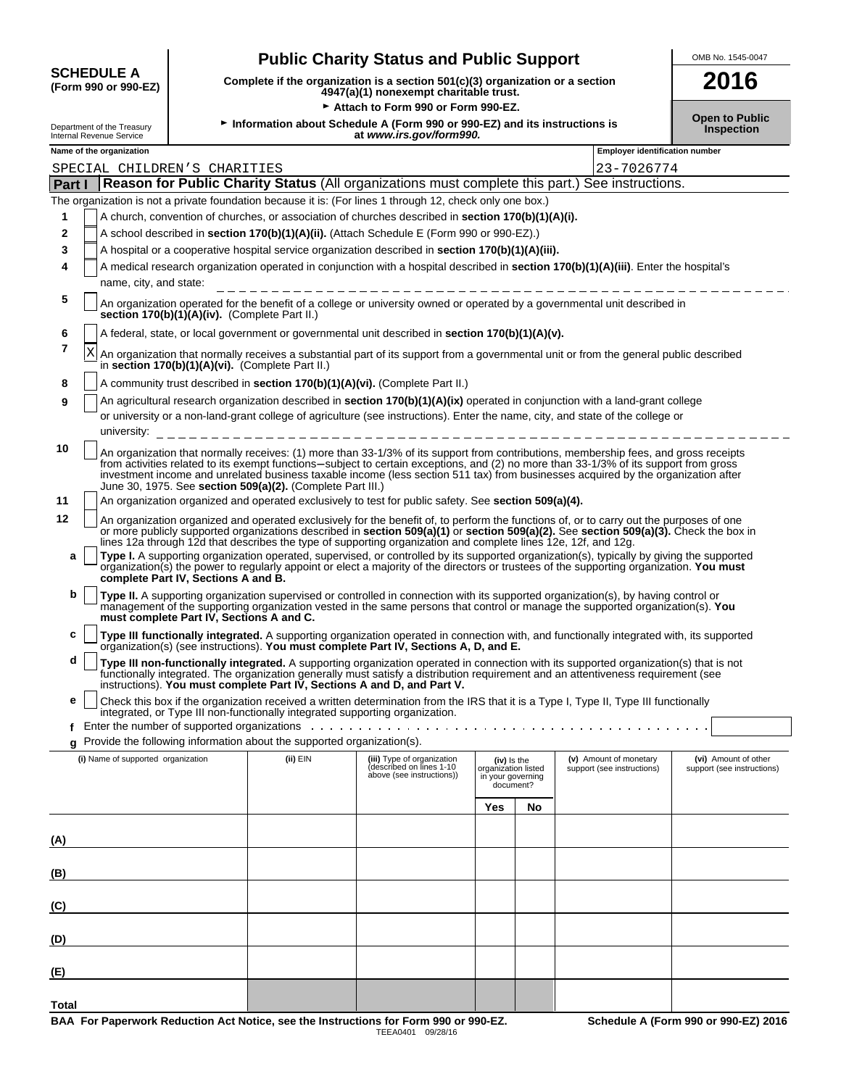# **SCHEDULE A**<br>(Form 990 or 990-EZ)

## **Public Charity Status and Public Support** OMB No. 1545-0047

**(Form 990 or 990-EZ) Complete if the organization is a section 501(c)(3) organization or a section 4947(a)(1) nonexempt charitable trust. 2016**

Attach to Form 990 or Form 990-EZ.

Department of the Treasury G **Information about Schedule A (Form 990 or 990-EZ) and its instructions is Inspection** Internal Revenue Service **at** *www.irs.gov/form990.*

| <b>Open to Public</b> |
|-----------------------|
| <b>Inspection</b>     |

|  | Namo of the organization |  |
|--|--------------------------|--|

| Internal Revenue Service                      |                          | at www.irs.gov/form990.                                                                                                              |  |                                       |
|-----------------------------------------------|--------------------------|--------------------------------------------------------------------------------------------------------------------------------------|--|---------------------------------------|
|                                               | Name of the organization |                                                                                                                                      |  | <b>Employer identification number</b> |
| 23-7026774<br>CHILDREN'S CHARITIES<br>SPECIAL |                          |                                                                                                                                      |  |                                       |
| Part I                                        |                          | Reason for Public Charity Status (All organizations must complete this part.) See instructions.                                      |  |                                       |
|                                               |                          | The organization is not a private foundation because it is: (For lines 1 through 12, check only one box.)                            |  |                                       |
|                                               |                          | A church, convention of churches, or association of churches described in section 170(b)(1)(A)(i).                                   |  |                                       |
| $\mathbf{2}$                                  |                          | A school described in section 170(b)(1)(A)(ii). (Attach Schedule E (Form 990 or 990-EZ).)                                            |  |                                       |
| 3                                             |                          | A hospital or a cooperative hospital service organization described in section 170(b)(1)(A)(iii).                                    |  |                                       |
| 4                                             |                          | A medical research organization operated in conjunction with a hospital described in section 170(b)(1)(A)(iii). Enter the hospital's |  |                                       |
|                                               | name, city, and state:   |                                                                                                                                      |  |                                       |
|                                               |                          |                                                                                                                                      |  |                                       |

|  | 5   An organization operated for the benefit of a college or university owned or operated by a governmental unit described in<br>section 170(b)(1)(A)(iv). (Complete Part II.) |
|--|--------------------------------------------------------------------------------------------------------------------------------------------------------------------------------|
|  | 6   A federal, state, or local government or governmental unit described in section $170(b)(1)(A)(v)$ .                                                                        |

| $ X $ An organization that normally receives a substantial part of its support from a governmental unit or from the general public described<br>$\overline{\phantom{a}}$ in section 170(b)(1)(A)(vi). (Complete Part II.) |
|---------------------------------------------------------------------------------------------------------------------------------------------------------------------------------------------------------------------------|
| .                                                                                                                                                                                                                         |

|  |  | 8 $\Box$ A community trust described in section 170(b)(1)(A)(vi). (Complete Part II.) |
|--|--|---------------------------------------------------------------------------------------|
|--|--|---------------------------------------------------------------------------------------|

|  | An agricultural research organization described in section 170(b)(1)(A)(ix) operated in conjunction with a land-grant college  |
|--|--------------------------------------------------------------------------------------------------------------------------------|
|  | or university or a non-land-grant college of agriculture (see instructions). Enter the name, city, and state of the college or |
|  | university:                                                                                                                    |

|               | university:                                                                                                                                                                                                                                                                   |
|---------------|-------------------------------------------------------------------------------------------------------------------------------------------------------------------------------------------------------------------------------------------------------------------------------|
| 10            | An organization that normally receives: (1) more than 33-1/3% of its support from contributions, membership fees, and gross receipts<br>from activities related to its exempt functions—subject to certain exceptions, and (2) no more than 33-1/3% of its support from gross |
|               | investment income and unrelated business taxable income (less section 511 tax) from businesses acquired by the organization after                                                                                                                                             |
| $\sim$ $\sim$ | June 30, 1975. See section 509(a)(2). (Complete Part III.)<br>.                                                                                                                                                                                                               |

|  |  | 11   An organization organized and operated exclusively to test for public safety. See section 509(a)(4). |  |
|--|--|-----------------------------------------------------------------------------------------------------------|--|
|--|--|-----------------------------------------------------------------------------------------------------------|--|

12 An organization organized and operated exclusively for the benefit of, to perform the functions of, or to carry out the purposes of one or more publicly supported organizations described in **section 509(a)(1)** or **section 509(a)(2).** See **section 509(a)(3).** Check the box in lines 12a through 12d that describes the type of supporting organization and complete lines 12e, 12f, and 12g.

**a | Type I.** A supporting organization operated, supervised, or controlled by its supported organization(s), typically by giving the supported organization(s) the power to regularly appoint or elect a majority of the directors or trustees of the supporting organization. **You must complete Part IV, Sections A and B.**

**b** | Type II. A supporting organization supervised or controlled in connection with its supported organization(s), by having control or management of the supporting organization vested in the same persons that control or manage the supported organization(s). **You must complete Part IV, Sections A and C.**

**c Type III functionally integrated.** A supporting organization operated in connection with, and functionally integrated with, its supported organization(s) (see instructions). **You must complete Part IV, Sections A, D, and E.**

**d** | Type III non-functionally integrated. A supporting organization operated in connection with its supported organization(s) that is not functionally integrated. The organization generally must satisfy a distribution requirement and an attentiveness requirement (see instructions). **You must complete Part IV, Sections A and D, and Part V.**

**e** | Check this box if the organization received a written determination from the IRS that it is a Type I, Type II, Type III functionally integrated, or Type III non-functionally integrated supporting organization.

| First the number of supported organizations enters and contact the content of the number of supported organizations of the content of the content of the number of supported organizations of the content of the content of th |  |
|--------------------------------------------------------------------------------------------------------------------------------------------------------------------------------------------------------------------------------|--|
| $q$ Provide the following information about the supported organization(s).                                                                                                                                                     |  |

| (i) Name of supported organization | (ii) EIN | (iii) Type of organization<br>(described on lines 1-10<br>above (see instructions)) |            |    |  |  |  |  |  |  |  |  |  |  |  |  |  |  |  |  |  |  |  |  | (iv) Is the<br>organization listed<br>in your governing<br>document? |  |  |  |  |  |  |  |  |  |  |  |  |  |  |  |  |  |  |  |  |  | (v) Amount of monetary<br>support (see instructions) | (vi) Amount of other<br>support (see instructions) |
|------------------------------------|----------|-------------------------------------------------------------------------------------|------------|----|--|--|--|--|--|--|--|--|--|--|--|--|--|--|--|--|--|--|--|--|----------------------------------------------------------------------|--|--|--|--|--|--|--|--|--|--|--|--|--|--|--|--|--|--|--|--|--|------------------------------------------------------|----------------------------------------------------|
|                                    |          |                                                                                     | <b>Yes</b> | No |  |  |  |  |  |  |  |  |  |  |  |  |  |  |  |  |  |  |  |  |                                                                      |  |  |  |  |  |  |  |  |  |  |  |  |  |  |  |  |  |  |  |  |  |                                                      |                                                    |
| (A)                                |          |                                                                                     |            |    |  |  |  |  |  |  |  |  |  |  |  |  |  |  |  |  |  |  |  |  |                                                                      |  |  |  |  |  |  |  |  |  |  |  |  |  |  |  |  |  |  |  |  |  |                                                      |                                                    |
| (B)                                |          |                                                                                     |            |    |  |  |  |  |  |  |  |  |  |  |  |  |  |  |  |  |  |  |  |  |                                                                      |  |  |  |  |  |  |  |  |  |  |  |  |  |  |  |  |  |  |  |  |  |                                                      |                                                    |
| (C)                                |          |                                                                                     |            |    |  |  |  |  |  |  |  |  |  |  |  |  |  |  |  |  |  |  |  |  |                                                                      |  |  |  |  |  |  |  |  |  |  |  |  |  |  |  |  |  |  |  |  |  |                                                      |                                                    |
| (D)                                |          |                                                                                     |            |    |  |  |  |  |  |  |  |  |  |  |  |  |  |  |  |  |  |  |  |  |                                                                      |  |  |  |  |  |  |  |  |  |  |  |  |  |  |  |  |  |  |  |  |  |                                                      |                                                    |
| (E)                                |          |                                                                                     |            |    |  |  |  |  |  |  |  |  |  |  |  |  |  |  |  |  |  |  |  |  |                                                                      |  |  |  |  |  |  |  |  |  |  |  |  |  |  |  |  |  |  |  |  |  |                                                      |                                                    |
| <b>Total</b>                       |          |                                                                                     |            |    |  |  |  |  |  |  |  |  |  |  |  |  |  |  |  |  |  |  |  |  |                                                                      |  |  |  |  |  |  |  |  |  |  |  |  |  |  |  |  |  |  |  |  |  |                                                      |                                                    |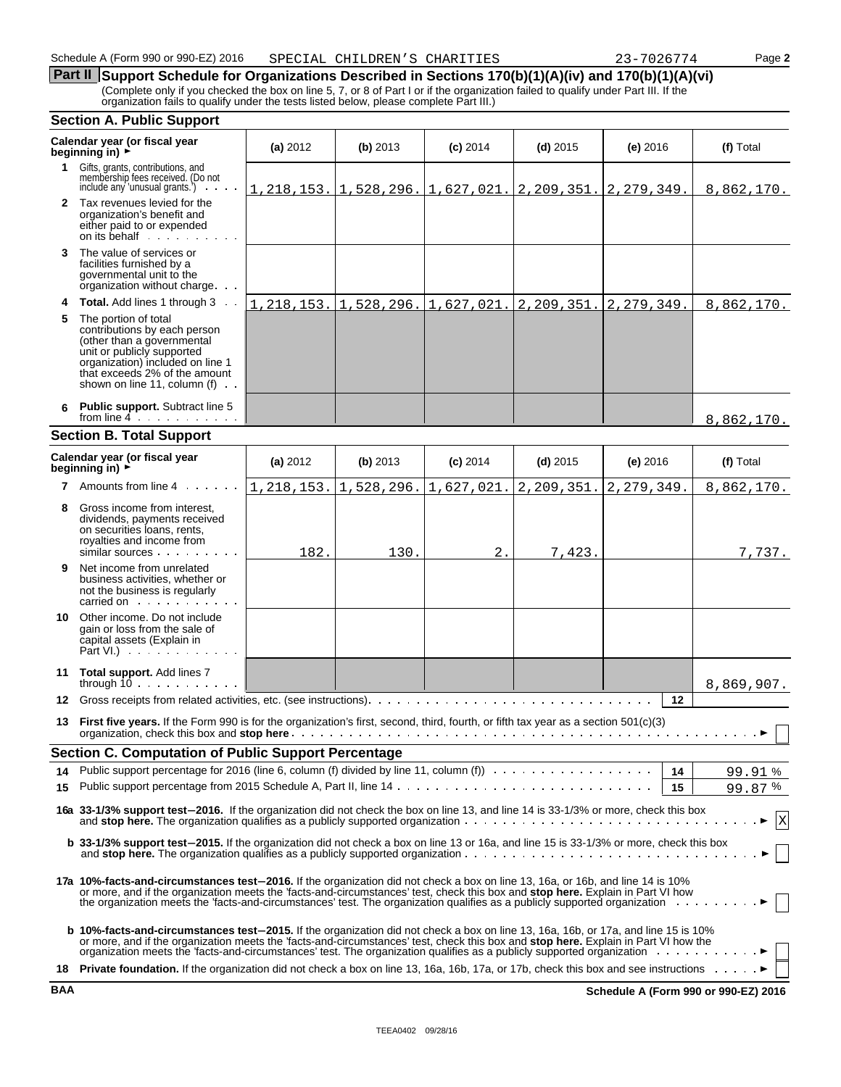#### **Part II** Support Schedule for Organizations Described in Sections 170(b)(1)(A)(iv) and 170(b)(1)(A)(vi) (Complete only if you checked the box on line 5, 7, or 8 of Part I or if the organization failed to qualify under Part III. If the organization fails to qualify under the tests listed below, please complete Part III.)

### **Section A. Public Support**

|     | scenon A. I upile oupport                                                                                                                                                                                                                                                                                                                                                                       |          |            |                                                          |            |            |              |
|-----|-------------------------------------------------------------------------------------------------------------------------------------------------------------------------------------------------------------------------------------------------------------------------------------------------------------------------------------------------------------------------------------------------|----------|------------|----------------------------------------------------------|------------|------------|--------------|
|     | Calendar year (or fiscal year<br>beginning in) ►                                                                                                                                                                                                                                                                                                                                                | (a) 2012 | (b) 2013   | $(c)$ 2014                                               | $(d)$ 2015 | $(e)$ 2016 | (f) Total    |
|     | 1 Gifts, grants, contributions, and<br>membership fees received. (Do not<br>include any 'unusual grants.')                                                                                                                                                                                                                                                                                      |          |            | $1, 218, 153, 11, 528, 296, 11, 627, 021, 12, 209, 351.$ |            | 2.279.349. | 8,862,170.   |
|     | 2 Tax revenues levied for the<br>organization's benefit and<br>either paid to or expended<br>on its behalf                                                                                                                                                                                                                                                                                      |          |            |                                                          |            |            |              |
| 3   | The value of services or<br>facilities furnished by a<br>governmental unit to the<br>organization without charge                                                                                                                                                                                                                                                                                |          |            |                                                          |            |            |              |
|     | <b>Total.</b> Add lines 1 through 3                                                                                                                                                                                                                                                                                                                                                             |          |            | 1, 218, 153, 1, 528, 296, 1, 627, 021, 2, 209, 351.      |            | 2,279,349. | 8,862,170.   |
| 5.  | The portion of total<br>contributions by each person<br>(other than a governmental<br>unit or publicly supported<br>organization) included on line 1<br>that exceeds 2% of the amount<br>shown on line 11, column (f) $\cdot$                                                                                                                                                                   |          |            |                                                          |            |            |              |
|     | 6 Public support. Subtract line 5<br>from line $4 \cdot \cdot \cdot \cdot \cdot \cdot$                                                                                                                                                                                                                                                                                                          |          |            |                                                          |            |            | 8,862,170.   |
|     | <b>Section B. Total Support</b>                                                                                                                                                                                                                                                                                                                                                                 |          |            |                                                          |            |            |              |
|     | Calendar year (or fiscal year<br>beginning in) ►                                                                                                                                                                                                                                                                                                                                                | (a) 2012 | (b) $2013$ | $(c)$ 2014                                               | $(d)$ 2015 | $(e)$ 2016 | (f) Total    |
|     | <b>7</b> Amounts from line 4                                                                                                                                                                                                                                                                                                                                                                    |          |            | $1, 218, 153,  1, 528, 296,  1, 627, 021,  2, 209, 351.$ |            | 2,279,349. | 8,862,170.   |
| 8   | Gross income from interest,<br>dividends, payments received<br>on securities loans, rents,<br>royalties and income from<br>similar sources                                                                                                                                                                                                                                                      | 182.     | 130.       | $2$ .                                                    | 7,423.     |            | 7,737.       |
| 9   | Net income from unrelated<br>business activities, whether or<br>not the business is regularly<br>carried on example and the set of the set of the set of the set of the set of the set of the set of the set of the set of the set of the set of the set of the set of the set of the set of the set of the set of the set of t                                                                 |          |            |                                                          |            |            |              |
| 10  | Other income. Do not include<br>gain or loss from the sale of<br>capital assets (Explain in<br>Part VI.) $\ldots$ $\ldots$ $\ldots$                                                                                                                                                                                                                                                             |          |            |                                                          |            |            |              |
|     | 11 Total support. Add lines 7<br>through $10$                                                                                                                                                                                                                                                                                                                                                   |          |            |                                                          |            |            | 8,869,907.   |
| 12  |                                                                                                                                                                                                                                                                                                                                                                                                 |          |            |                                                          |            | 12         |              |
| 13. | First five years. If the Form 990 is for the organization's first, second, third, fourth, or fifth tax year as a section 501(c)(3)                                                                                                                                                                                                                                                              |          |            |                                                          |            |            |              |
|     | <b>Section C. Computation of Public Support Percentage</b>                                                                                                                                                                                                                                                                                                                                      |          |            |                                                          |            |            |              |
|     |                                                                                                                                                                                                                                                                                                                                                                                                 |          |            |                                                          |            | 14         | 99.91%       |
|     |                                                                                                                                                                                                                                                                                                                                                                                                 |          |            |                                                          |            | 15         | 99.87%       |
|     | 16a 33-1/3% support test-2016. If the organization did not check the box on line 13, and line 14 is 33-1/3% or more, check this box                                                                                                                                                                                                                                                             |          |            |                                                          |            |            | $\mathbf{X}$ |
|     | b 33-1/3% support test-2015. If the organization did not check a box on line 13 or 16a, and line 15 is 33-1/3% or more, check this box                                                                                                                                                                                                                                                          |          |            |                                                          |            |            |              |
|     | 17a 10%-facts-and-circumstances test-2016. If the organization did not check a box on line 13, 16a, or 16b, and line 14 is 10%<br>or more, and if the organization meets the 'facts-and-circumstances' test, check this box and stop here. Explain in Part VI how<br>the organization meets the 'facts-and-circumstances' test. The organization qualifies as a publicly supported organization |          |            |                                                          |            |            |              |
|     | <b>b 10%-facts-and-circumstances test-2015.</b> If the organization did not check a box on line 13, 16a, 16b, or 17a, and line 15 is 10%<br>or more, and if the organization meets the facts-and-circumstances' test, check this box and <b>stop here</b> . Explain in Part VI how the organization meets the facts-and-circumstances' test. The organization qualifies as a pub                |          |            |                                                          |            |            |              |
|     | 18 Private foundation. If the organization did not check a box on line 13, 16a, 16b, 17a, or 17b, check this box and see instructions ▶                                                                                                                                                                                                                                                         |          |            |                                                          |            |            |              |

**BAA Schedule A (Form 990 or 990-EZ) 2016**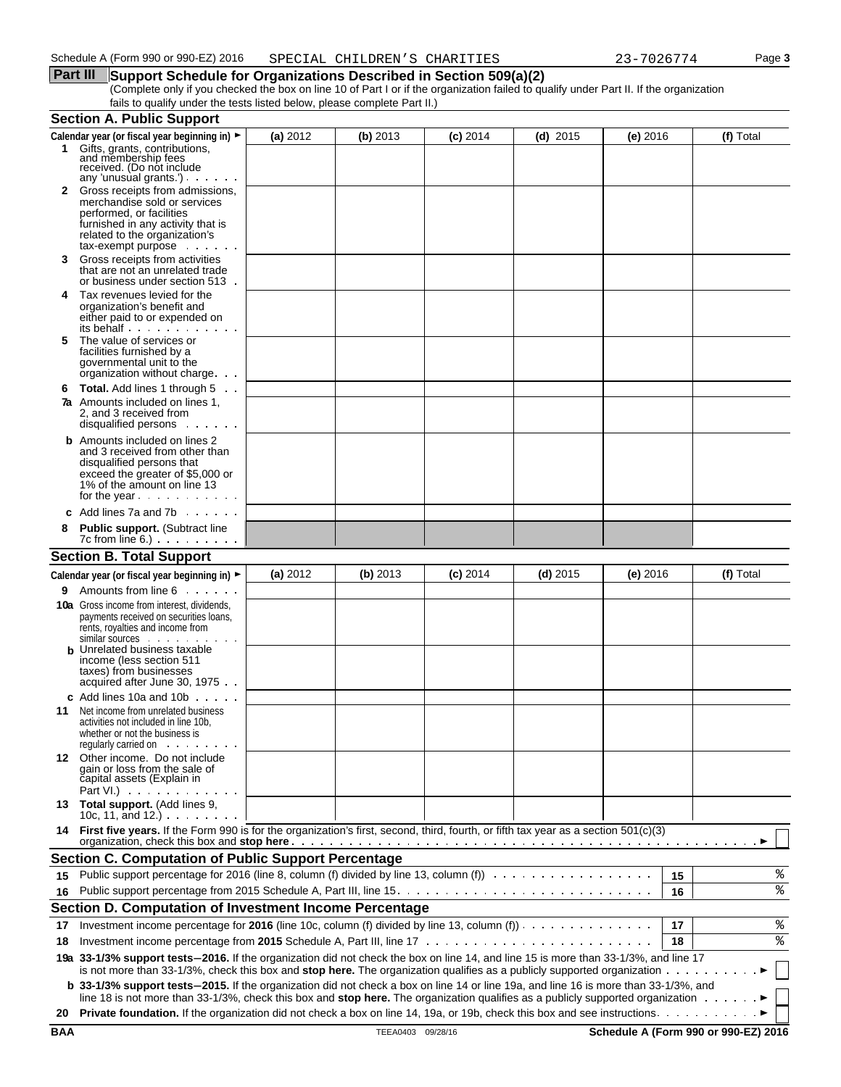#### **Part III** Support Schedule for Organizations Described in Section 509(a)(2) (Complete only if you checked the box on line 10 of Part I or if the organization failed to qualify under Part II. If the organization fails to qualify under the tests listed below, please complete Part II.)

|     | <b>Section A. Public Support</b>                                                                                                                                                                                                                                                       |          |            |            |            |            |    |           |
|-----|----------------------------------------------------------------------------------------------------------------------------------------------------------------------------------------------------------------------------------------------------------------------------------------|----------|------------|------------|------------|------------|----|-----------|
|     | Calendar year (or fiscal year beginning in) ►                                                                                                                                                                                                                                          | (a) 2012 | (b) $2013$ | $(c)$ 2014 | $(d)$ 2015 | (e) $2016$ |    | (f) Total |
|     | 1 Gifts, grants, contributions,<br>and membership fees<br>received. (Do not include<br>any 'unusual grants.')                                                                                                                                                                          |          |            |            |            |            |    |           |
|     | 2 Gross receipts from admissions,<br>merchandise sold or services<br>performed, or facilities<br>furnished in any activity that is<br>related to the organization's<br>tax-exempt purpose                                                                                              |          |            |            |            |            |    |           |
| 3   | Gross receipts from activities<br>that are not an unrelated trade<br>or business under section 513.                                                                                                                                                                                    |          |            |            |            |            |    |           |
| 4   | Tax revenues levied for the<br>organization's benefit and<br>either paid to or expended on<br>its behalf                                                                                                                                                                               |          |            |            |            |            |    |           |
| 5   | The value of services or<br>facilities furnished by a<br>governmental unit to the<br>organization without charge                                                                                                                                                                       |          |            |            |            |            |    |           |
| 6   | <b>Total.</b> Add lines 1 through 5<br><b>7a</b> Amounts included on lines 1,<br>2. and 3 received from<br>disqualified persons                                                                                                                                                        |          |            |            |            |            |    |           |
|     | <b>b</b> Amounts included on lines 2<br>and 3 received from other than<br>disqualified persons that<br>exceed the greater of \$5,000 or<br>1% of the amount on line 13<br>for the year $\cdots$                                                                                        |          |            |            |            |            |    |           |
|     | c Add lines $7a$ and $7b$                                                                                                                                                                                                                                                              |          |            |            |            |            |    |           |
|     | <b>Public support. (Subtract line</b><br>$7c$ from line $6.$ ) $\ldots$ $\ldots$ $\ldots$                                                                                                                                                                                              |          |            |            |            |            |    |           |
|     | <b>Section B. Total Support</b>                                                                                                                                                                                                                                                        |          |            |            |            |            |    |           |
|     | Calendar year (or fiscal year beginning in) ►                                                                                                                                                                                                                                          | (a) 2012 | (b) 2013   | $(c)$ 2014 | $(d)$ 2015 | (e) $2016$ |    | (f) Total |
|     | <b>9</b> Amounts from line 6                                                                                                                                                                                                                                                           |          |            |            |            |            |    |           |
|     | <b>10a</b> Gross income from interest, dividends,<br>payments received on securities loans,<br>rents, royalties and income from<br>similar sources<br><b>b</b> Unrelated business taxable<br>income (less section 511<br>taxes) from businesses<br>acquired after June 30, 1975        |          |            |            |            |            |    |           |
| 11  | c Add lines 10a and 10b $\ldots$<br>Net income from unrelated business<br>activities not included in line 10b,<br>whether or not the business is                                                                                                                                       |          |            |            |            |            |    |           |
|     | regularly carried on example and regularly carried on<br>12 Other income. Do not include<br>gain or loss from the sale of<br>capital assets (Explain in<br>Part VI.) $\ldots$<br>$\mathcal{L}^{\mathcal{A}}$ and $\mathcal{L}^{\mathcal{A}}$ and $\mathcal{L}^{\mathcal{A}}$           |          |            |            |            |            |    |           |
|     | 13 Total support. (Add lines 9,<br>10c, 11, and 12.) $\cdots$                                                                                                                                                                                                                          |          |            |            |            |            |    |           |
|     | 14 First five years. If the Form 990 is for the organization's first, second, third, fourth, or fifth tax year as a section 501(c)(3)                                                                                                                                                  |          |            |            |            |            |    |           |
|     | <b>Section C. Computation of Public Support Percentage</b>                                                                                                                                                                                                                             |          |            |            |            |            |    |           |
| 15. | Public support percentage for 2016 (line 8, column (f) divided by line 13, column (f)                                                                                                                                                                                                  |          |            |            |            |            | 15 | ిక        |
| 16  |                                                                                                                                                                                                                                                                                        |          |            |            |            |            | 16 | ႜ         |
|     | Section D. Computation of Investment Income Percentage                                                                                                                                                                                                                                 |          |            |            |            |            |    |           |
| 17  | Investment income percentage for 2016 (line 10c, column (f) divided by line 13, column (f))                                                                                                                                                                                            |          |            |            |            |            | 17 | శి        |
| 18  |                                                                                                                                                                                                                                                                                        |          |            |            |            |            | 18 | ిం        |
|     | 19a 33-1/3% support tests-2016. If the organization did not check the box on line 14, and line 15 is more than 33-1/3%, and line 17<br>is not more than 33-1/3%, check this box and stop here. The organization qualifies as a publicly supported organization                         |          |            |            |            |            |    |           |
| 20  | b 33-1/3% support tests-2015. If the organization did not check a box on line 14 or line 19a, and line 16 is more than 33-1/3%, and<br>line 18 is not more than 33-1/3%, check this box and stop here. The organization qualifies as a publicly supported organization $\cdots \cdots$ |          |            |            |            |            |    |           |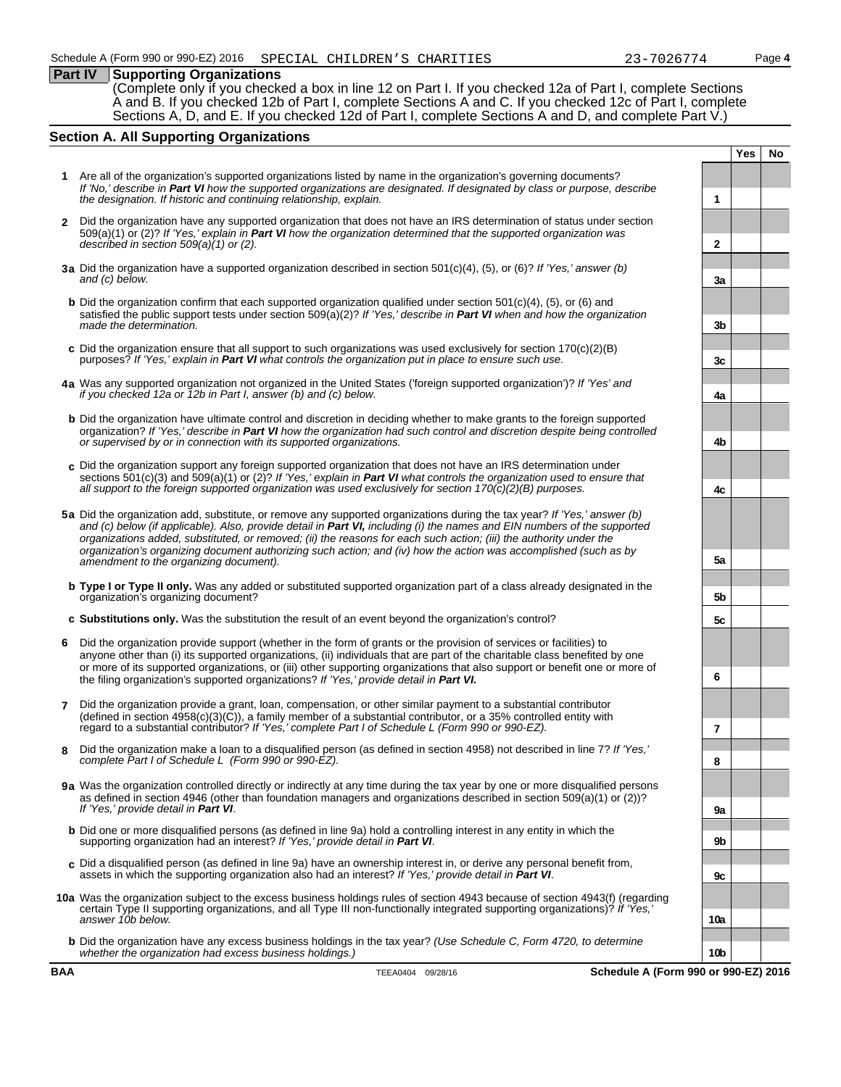#### **Part IV Supporting Organizations**

(Complete only if you checked a box in line 12 on Part I. If you checked 12a of Part I, complete Sections A and B. If you checked 12b of Part I, complete Sections A and C. If you checked 12c of Part I, complete Sections A, D, and E. If you checked 12d of Part I, complete Sections A and D, and complete Part V.)

#### **Section A. All Supporting Organizations**

- **Yes No 1** Are all of the organization's supported organizations listed by name in the organization's governing documents? *If 'No,' describe in Part VI how the supported organizations are designated. If designated by class or purpose, describe the designation. If historic and continuing relationship, explain.* **1 2** Did the organization have any supported organization that does not have an IRS determination of status under section 509(a)(1) or (2)? *If 'Yes,' explain in Part VI how the organization determined that the supported organization was described in section 509(a)(1) or (2).* **2 3a** Did the organization have a supported organization described in section 501(c)(4), (5), or (6)? *If 'Yes,' answer (b) and (c) below.* **3a b** Did the organization confirm that each supported organization qualified under section 501(c)(4), (5), or (6) and satisfied the public support tests under section 509(a)(2)? *If 'Yes,' describe in Part VI when and how the organization made the determination.* **3b 3b c** Did the organization ensure that all support to such organizations was used exclusively for section 170(c)(2)(B) purposes? *If 'Yes,' explain in Part VI* what controls the organization put in place to ensure such use. **4a** Was any supported organization not organized in the United States ('foreign supported organization')? *If 'Yes' and if you checked 12a or 12b in Part I, answer (b) and (c) below.* **4a b** Did the organization have ultimate control and discretion in deciding whether to make grants to the foreign supported organization? *If 'Yes,' describe in Part VI how the organization had such control and discretion despite being controlled or supervised by or in connection with its supported organizations.* **4b c** Did the organization support any foreign supported organization that does not have an IRS determination under sections 501(c)(3) and 509(a)(1) or (2)? *If 'Yes,' explain in Part VI what controls the organization used to ensure that all support to the foreign supported organization was used exclusively for section 170(c)(2)(B) purposes.* **4c 5a** Did the organization add, substitute, or remove any supported organizations during the tax year? *If 'Yes,' answer (b) and (c) below (if applicable). Also, provide detail in Part VI, including (i) the names and EIN numbers of the supported organizations added, substituted, or removed; (ii) the reasons for each such action; (iii) the authority under the organization's organizing document authorizing such action; and (iv) how the action was accomplished (such as by amendment to the organizing document).* **5a b Type I or Type II only.** Was any added or substituted supported organization part of a class already designated in the organization's organizing document? **5b c Substitutions only.** Was the substitution the result of an event beyond the organization's control? **5c 6** Did the organization provide support (whether in the form of grants or the provision of services or facilities) to
- anyone other than (i) its supported organizations, (ii) individuals that are part of the charitable class benefited by one or more of its supported organizations, or (iii) other supporting organizations that also support or benefit one or more of the filing organization's supported organizations? *If 'Yes,' provide detail in Part VI.* **6**
- **7** Did the organization provide a grant, loan, compensation, or other similar payment to a substantial contributor  $(defined in section 4958(c)(3)(C))$ , a family member of a substantial contributor, or a 35% controlled entity with regard to a substantial contributor? *If 'Yes,' complete Part I of Schedule L (Form 990 or 990-EZ).* **7**
- **8** Did the organization make a loan to a disqualified person (as defined in section 4958) not described in line 7? *If 'Yes,' complete Part I of Schedule L (Form 990 or 990-EZ).* **8**
- **9a** Was the organization controlled directly or indirectly at any time during the tax year by one or more disqualified persons as defined in section 4946 (other than foundation managers and organizations described in section 509(a)(1) or (2))? *If 'Yes,' provide detail in Part VI*. **9a**
- **b** Did one or more disqualified persons (as defined in line 9a) hold a controlling interest in any entity in which the supporting organization had an interest? *If 'Yes,' provide detail in Part VI*. **9b**
- **c** Did a disqualified person (as defined in line 9a) have an ownership interest in, or derive any personal benefit from, assets in which the supporting organization also had an interest? *If 'Yes,' provide detail in Part VI*. **9c**
- **10a** Was the organization subject to the excess business holdings rules of section 4943 because of section 4943(f) (regarding certain Type II supporting organizations, and all Type III non-functionally integrated supporting organizations)? *If 'Yes,' answer 10b below.* **10a**
	- **b** Did the organization have any excess business holdings in the tax year? *(Use Schedule C, Form 4720, to determine whether the organization had excess business holdings.)* **10b**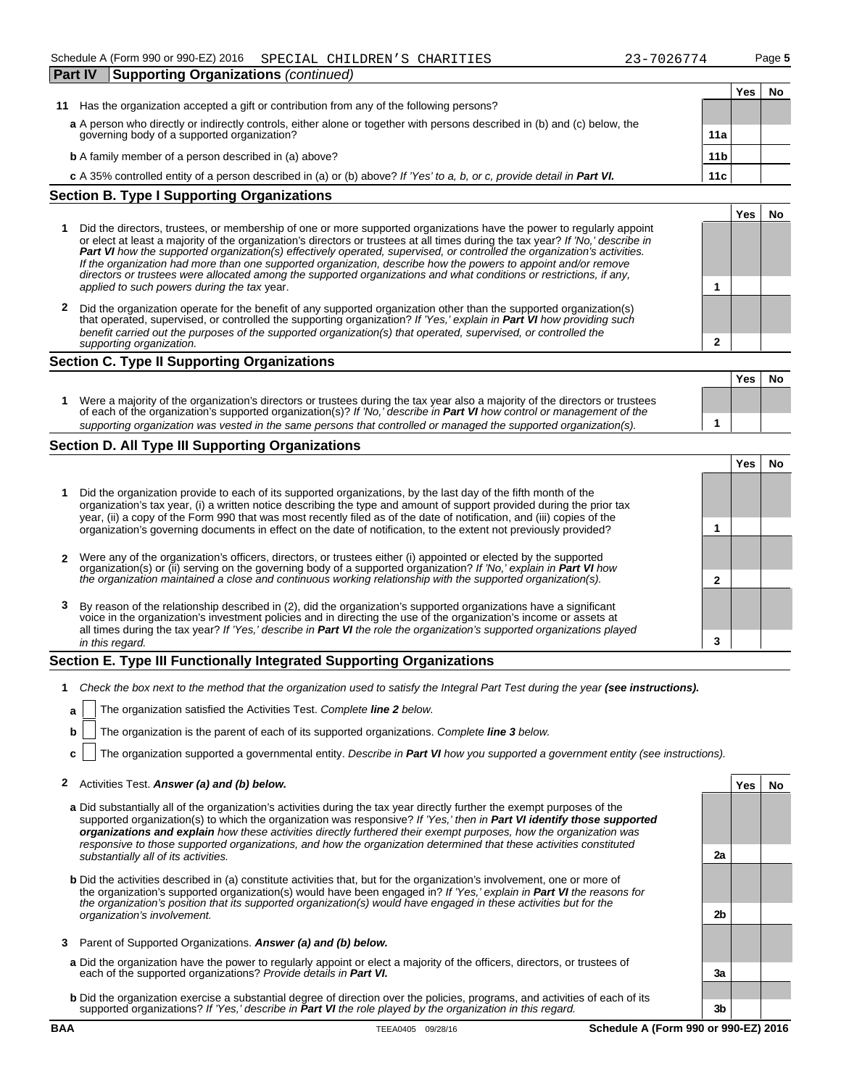| <b>Part IV</b>                                                                                                                                                                  | Supporting Organizations (continued)                                                                                    |                 |      |    |
|---------------------------------------------------------------------------------------------------------------------------------------------------------------------------------|-------------------------------------------------------------------------------------------------------------------------|-----------------|------|----|
|                                                                                                                                                                                 |                                                                                                                         |                 | Yes. | No |
| 11                                                                                                                                                                              | Has the organization accepted a gift or contribution from any of the following persons?                                 |                 |      |    |
| a A person who directly or indirectly controls, either alone or together with persons described in (b) and (c) below, the<br>governing body of a supported organization?<br>11a |                                                                                                                         |                 |      |    |
|                                                                                                                                                                                 | <b>b</b> A family member of a person described in (a) above?                                                            | 11 <sub>b</sub> |      |    |
|                                                                                                                                                                                 | c A 35% controlled entity of a person described in (a) or (b) above? If 'Yes' to a, b, or c, provide detail in Part VI. | 11c             |      |    |
|                                                                                                                                                                                 | <b>Section B. Type I Supporting Organizations</b>                                                                       |                 |      |    |

- **1** Did the directors, trustees, or membership of one or more supported organizations have the power to regularly appoint or elect at least a majority of the organization's directors or trustees at all times during the tax year? *If 'No,' describe in Part VI how the supported organization(s) effectively operated, supervised, or controlled the organization's activities. If the organization had more than one supported organization, describe how the powers to appoint and/or remove directors or trustees were allocated among the supported organizations and what conditions or restrictions, if any, applied to such powers during the tax* year. **1**
- **2** Did the organization operate for the benefit of any supported organization other than the supported organization(s) that operated, supervised, or controlled the supporting organization? *If 'Yes,' explain in Part VI how providing such benefit carried out the purposes of the supported organization(s) that operated, supervised, or controlled the supporting organization.* **2**

#### **Section C. Type II Supporting Organizations**

|                                                                                                                              |                                                                                                                               | <b>Yes</b> | Nο |
|------------------------------------------------------------------------------------------------------------------------------|-------------------------------------------------------------------------------------------------------------------------------|------------|----|
| Were a majority of the organization's directors or trustees during the tax year also a majority of the directors or trustees |                                                                                                                               |            |    |
| supporting organization was vested in the same persons that controlled or managed the supported organization(s).             | of each of the organization's supported organization(s)? If 'No,' describe in <b>Part VI</b> how control or management of the |            |    |

### **Section D. All Type III Supporting Organizations**

|              |                                                                                                                                                                                                                                                                                                                                                                   |   | Yes |  |  |  |  |
|--------------|-------------------------------------------------------------------------------------------------------------------------------------------------------------------------------------------------------------------------------------------------------------------------------------------------------------------------------------------------------------------|---|-----|--|--|--|--|
|              | Did the organization provide to each of its supported organizations, by the last day of the fifth month of the<br>organization's tax year, (i) a written notice describing the type and amount of support provided during the prior tax<br>year, (ii) a copy of the Form 990 that was most recently filed as of the date of notification, and (iii) copies of the |   |     |  |  |  |  |
|              | organization's governing documents in effect on the date of notification, to the extent not previously provided?                                                                                                                                                                                                                                                  |   |     |  |  |  |  |
|              |                                                                                                                                                                                                                                                                                                                                                                   |   |     |  |  |  |  |
| $\mathbf{2}$ | Were any of the organization's officers, directors, or trustees either (i) appointed or elected by the supported                                                                                                                                                                                                                                                  |   |     |  |  |  |  |
|              | organization(s) or (ii) serving on the governing body of a supported organization? If 'No,' explain in <b>Part VI</b> how<br>the organization maintained a close and continuous working relationship with the supported organization(s                                                                                                                            |   |     |  |  |  |  |
| 3.           | By reason of the relationship described in (2), did the organization's supported organizations have a significant voice in the organization's investment policies and in directing the use of the organization's income or ass<br>all times during the tax year? If 'Yes,' describe in Part VI the role the organization's supported organizations played         |   |     |  |  |  |  |
|              | in this regard.                                                                                                                                                                                                                                                                                                                                                   | 3 |     |  |  |  |  |

#### **Section E. Type III Functionally Integrated Supporting Organizations**

- **1** Check the box next to the method that the organization used to satisfy the Integral Part Test during the year (see instructions).
	- **a** The organization satisfied the Activities Test. Complete **line 2** below.
	- **b** The organization is the parent of each of its supported organizations. *Complete line 3 below.*
	- **c** The organization supported a governmental entity. *Describe in Part VI how you supported a government entity (see instructions).*

#### **2** Activities Test. *Answer (a) and (b) below.* **Yes No**

- **a** Did substantially all of the organization's activities during the tax year directly further the exempt purposes of the supported organization(s) to which the organization was responsive? *If 'Yes,' then in Part VI identify those supported organizations and explain how these activities directly furthered their exempt purposes, how the organization was responsive to those supported organizations, and how the organization determined that these activities constituted substantially all of its activities.* **2a**
- **b** Did the activities described in (a) constitute activities that, but for the organization's involvement, one or more of the organization's supported organization(s) would have been engaged in? *If 'Yes,' explain in Part VI the reasons for the organization's position that its supported organization(s) would have engaged in these activities but for the organization's involvement.* **2b**
- **3** Parent of Supported Organizations. *Answer (a) and (b) below.*
- **a** Did the organization have the power to regularly appoint or elect a majority of the officers, directors, or trustees of each of the supported organizations? *Provide details in Part VI.* **3a**
- **b** Did the organization exercise a substantial degree of direction over the policies, programs, and activities of each of its supported organizations? *If 'Yes,' describe in Part VI the role played by the organization in this regard.* **3b**

**BAA TEEA0405 09/28/16 Schedule A (Form 990 or 990-EZ) 2016** 

**Yes No**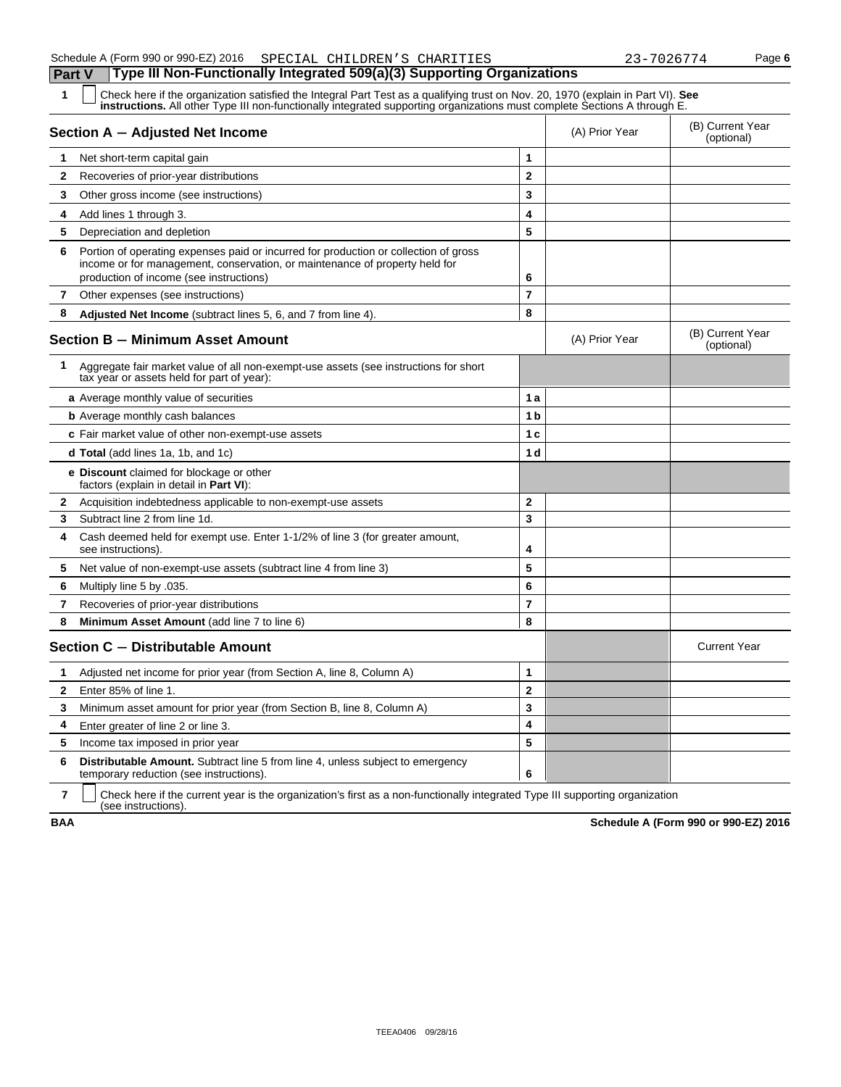#### Schedule A (Form 990 or 990-EZ) 2016 SPECIAL CHILDREN'S CHARITIES 23-7026774 Page **6**

**Part V Type III Non-Functionally Integrated 509(a)(3) Supporting Organizations 1** Check here if the organization satisfied the Integral Part Test as a qualifying trust on Nov. 20, 1970 (explain in Part VI). **See instructions.** All other Type III non-functionally integrated supporting organizations must complete Sections A through E. **Section A – Adjusted Net Income** (B) Current Year (B) Current Year (B) Current Year (B) Current Year (optional) **1** Net short-term capital gain **1 2** Recoveries of prior-year distributions **2 3** Other gross income (see instructions) **3 4** Add lines 1 through 3. **4 5** Depreciation and depletion **5 6** Portion of operating expenses paid or incurred for production or collection of gross income or for management, conservation, or maintenance of property held for production of income (see instructions) **6 7** Other expenses (see instructions) **7 8 Adjusted Net Income** (subtract lines 5, 6, and 7 from line 4). **8 Section B – Minimum Asset Amount Section B – Minimum Asset Amount** (A) **Current Year** (B) Current Year (B) Current Year (optional) **1** Aggregate fair market value of all non-exempt-use assets (see instructions for short tax year or assets held for part of year): **a** Average monthly value of securities **1 a b** Average monthly cash balances **1 b c** Fair market value of other non-exempt-use assets **1 c d Total** (add lines 1a, 1b, and 1c) **1 d e Discount** claimed for blockage or other factors (explain in detail in **Part VI**): **2** Acquisition indebtedness applicable to non-exempt-use assets **2 3** Subtract line 2 from line 1d. **3 4** Cash deemed held for exempt use. Enter 1-1/2% of line 3 (for greater amount, see instructions). **4 5** Net value of non-exempt-use assets (subtract line 4 from line 3) **5 6** Multiply line 5 by .035. **6 7** Recoveries of prior-year distributions **7 8 Minimum Asset Amount** (add line 7 to line 6) **8 Section C – Distributable Amount** Current Year Current Year Current Year Current Year Current Year **1** Adjusted net income for prior year (from Section A, line 8, Column A) **1 2** Enter 85% of line 1. **2 3** Minimum asset amount for prior year (from Section B, line 8, Column A) **3 4** Enter greater of line 2 or line 3. **4 5** Income tax imposed in prior year **5 6 Distributable Amount.** Subtract line 5 from line 4, unless subject to emergency temporary reduction (see instructions). **6**

(see instructions).

**BAA Schedule A (Form 990 or 990-EZ) 2016**

**7** Check here if the current year is the organization's first as a non-functionally integrated Type III supporting organization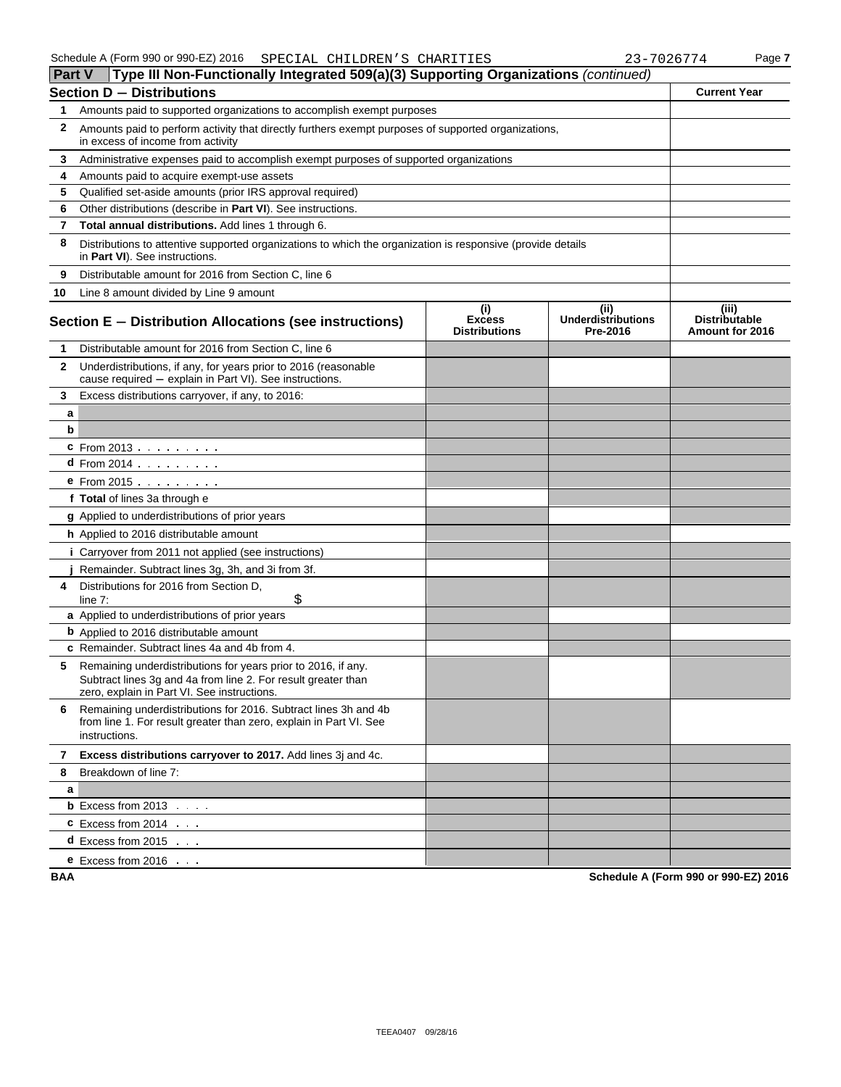| <b>Part V</b> | Type III Non-Functionally Integrated 509(a)(3) Supporting Organizations (continued)                                                                                           |                                                       |                                               |                                                  |  |  |  |  |  |  |
|---------------|-------------------------------------------------------------------------------------------------------------------------------------------------------------------------------|-------------------------------------------------------|-----------------------------------------------|--------------------------------------------------|--|--|--|--|--|--|
|               | <b>Section D - Distributions</b>                                                                                                                                              |                                                       |                                               | <b>Current Year</b>                              |  |  |  |  |  |  |
| 1             | Amounts paid to supported organizations to accomplish exempt purposes                                                                                                         |                                                       |                                               |                                                  |  |  |  |  |  |  |
| 2             | Amounts paid to perform activity that directly furthers exempt purposes of supported organizations,<br>in excess of income from activity                                      |                                                       |                                               |                                                  |  |  |  |  |  |  |
| 3             | Administrative expenses paid to accomplish exempt purposes of supported organizations                                                                                         |                                                       |                                               |                                                  |  |  |  |  |  |  |
| 4             | Amounts paid to acquire exempt-use assets                                                                                                                                     |                                                       |                                               |                                                  |  |  |  |  |  |  |
| 5             | Qualified set-aside amounts (prior IRS approval required)                                                                                                                     |                                                       |                                               |                                                  |  |  |  |  |  |  |
| 6             | Other distributions (describe in Part VI). See instructions.                                                                                                                  |                                                       |                                               |                                                  |  |  |  |  |  |  |
| 7             | Total annual distributions. Add lines 1 through 6.                                                                                                                            |                                                       |                                               |                                                  |  |  |  |  |  |  |
| 8             | Distributions to attentive supported organizations to which the organization is responsive (provide details<br>in Part VI). See instructions.                                 |                                                       |                                               |                                                  |  |  |  |  |  |  |
| 9             | Distributable amount for 2016 from Section C, line 6                                                                                                                          |                                                       |                                               |                                                  |  |  |  |  |  |  |
| 10            | Line 8 amount divided by Line 9 amount                                                                                                                                        |                                                       |                                               |                                                  |  |  |  |  |  |  |
|               | Section E - Distribution Allocations (see instructions)                                                                                                                       | $\mathbf{r}$<br><b>Excess</b><br><b>Distributions</b> | (ii)<br><b>Underdistributions</b><br>Pre-2016 | (iii)<br><b>Distributable</b><br>Amount for 2016 |  |  |  |  |  |  |
| 1             | Distributable amount for 2016 from Section C, line 6                                                                                                                          |                                                       |                                               |                                                  |  |  |  |  |  |  |
| $\mathbf{2}$  | Underdistributions, if any, for years prior to 2016 (reasonable<br>cause required - explain in Part VI). See instructions.                                                    |                                                       |                                               |                                                  |  |  |  |  |  |  |
| 3             | Excess distributions carryover, if any, to 2016:                                                                                                                              |                                                       |                                               |                                                  |  |  |  |  |  |  |
| а             |                                                                                                                                                                               |                                                       |                                               |                                                  |  |  |  |  |  |  |
| b             |                                                                                                                                                                               |                                                       |                                               |                                                  |  |  |  |  |  |  |
|               | <b>C</b> From 2013                                                                                                                                                            |                                                       |                                               |                                                  |  |  |  |  |  |  |
|               | d From 2014                                                                                                                                                                   |                                                       |                                               |                                                  |  |  |  |  |  |  |
|               | <b>e</b> From 2015                                                                                                                                                            |                                                       |                                               |                                                  |  |  |  |  |  |  |
|               | f Total of lines 3a through e                                                                                                                                                 |                                                       |                                               |                                                  |  |  |  |  |  |  |
|               | g Applied to underdistributions of prior years                                                                                                                                |                                                       |                                               |                                                  |  |  |  |  |  |  |
|               | h Applied to 2016 distributable amount                                                                                                                                        |                                                       |                                               |                                                  |  |  |  |  |  |  |
|               | <i>i</i> Carryover from 2011 not applied (see instructions)                                                                                                                   |                                                       |                                               |                                                  |  |  |  |  |  |  |
|               | Remainder. Subtract lines 3g, 3h, and 3i from 3f.                                                                                                                             |                                                       |                                               |                                                  |  |  |  |  |  |  |
| 4             | Distributions for 2016 from Section D,<br>\$<br>line $7:$                                                                                                                     |                                                       |                                               |                                                  |  |  |  |  |  |  |
|               | a Applied to underdistributions of prior years                                                                                                                                |                                                       |                                               |                                                  |  |  |  |  |  |  |
|               | <b>b</b> Applied to 2016 distributable amount                                                                                                                                 |                                                       |                                               |                                                  |  |  |  |  |  |  |
|               | c Remainder. Subtract lines 4a and 4b from 4.                                                                                                                                 |                                                       |                                               |                                                  |  |  |  |  |  |  |
| 5             | Remaining underdistributions for years prior to 2016, if any.<br>Subtract lines 3g and 4a from line 2. For result greater than<br>zero, explain in Part VI. See instructions. |                                                       |                                               |                                                  |  |  |  |  |  |  |
| 6             | Remaining underdistributions for 2016. Subtract lines 3h and 4b<br>from line 1. For result greater than zero, explain in Part VI. See<br>instructions.                        |                                                       |                                               |                                                  |  |  |  |  |  |  |
| 7             | Excess distributions carryover to 2017. Add lines 3j and 4c.                                                                                                                  |                                                       |                                               |                                                  |  |  |  |  |  |  |
| 8             | Breakdown of line 7:                                                                                                                                                          |                                                       |                                               |                                                  |  |  |  |  |  |  |
| a             |                                                                                                                                                                               |                                                       |                                               |                                                  |  |  |  |  |  |  |
|               | <b>b</b> Excess from $2013$ $\ldots$                                                                                                                                          |                                                       |                                               |                                                  |  |  |  |  |  |  |
|               | <b>c</b> Excess from $2014$ $\ldots$                                                                                                                                          |                                                       |                                               |                                                  |  |  |  |  |  |  |
|               | $d$ Excess from 2015 $\ldots$                                                                                                                                                 |                                                       |                                               |                                                  |  |  |  |  |  |  |
|               | <b>e</b> Excess from 2016 $\ldots$                                                                                                                                            |                                                       |                                               |                                                  |  |  |  |  |  |  |

**BAA Schedule A (Form 990 or 990-EZ) 2016**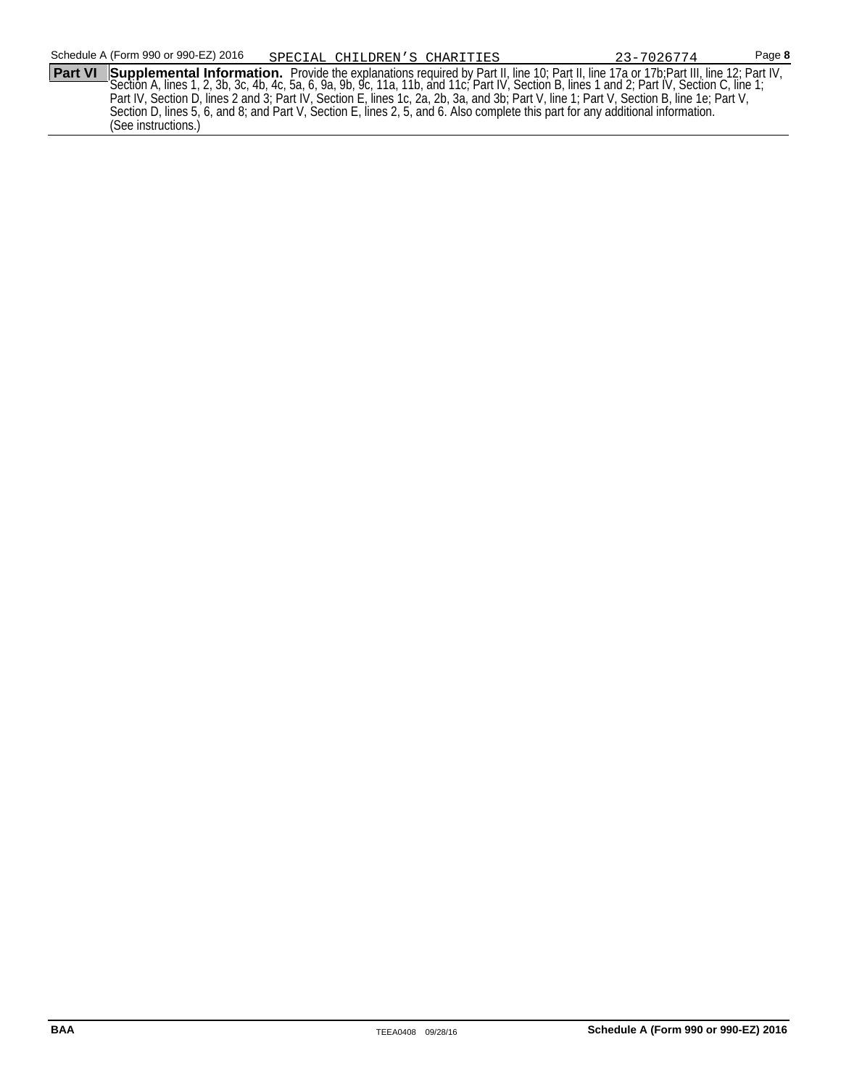**Part VI Supplemental Information.** Provide the explanations required by Part II, line 10; Part II, line 17a or 17b;Part III, line 12; Part IV, Section A, lines 1, 2, 3b, 3c, 4b, 4c, 5a, 6, 9a, 9b, 9c, 11a, 11b, and 11c; Part IV, Section B, lines 1 and 2; Part IV, Section C, line 1; Part IV, Section D, lines 2 and 3; Part IV, Section E, lines 1c, 2a, 2b, 3a, and 3b; Part V, line 1; Part V, Section B, line 1e; Part V, Section D, lines 5, 6, and 8; and Part V, Section E, lines 2, 5, and 6. Also complete this part for any additional information. (See instructions.)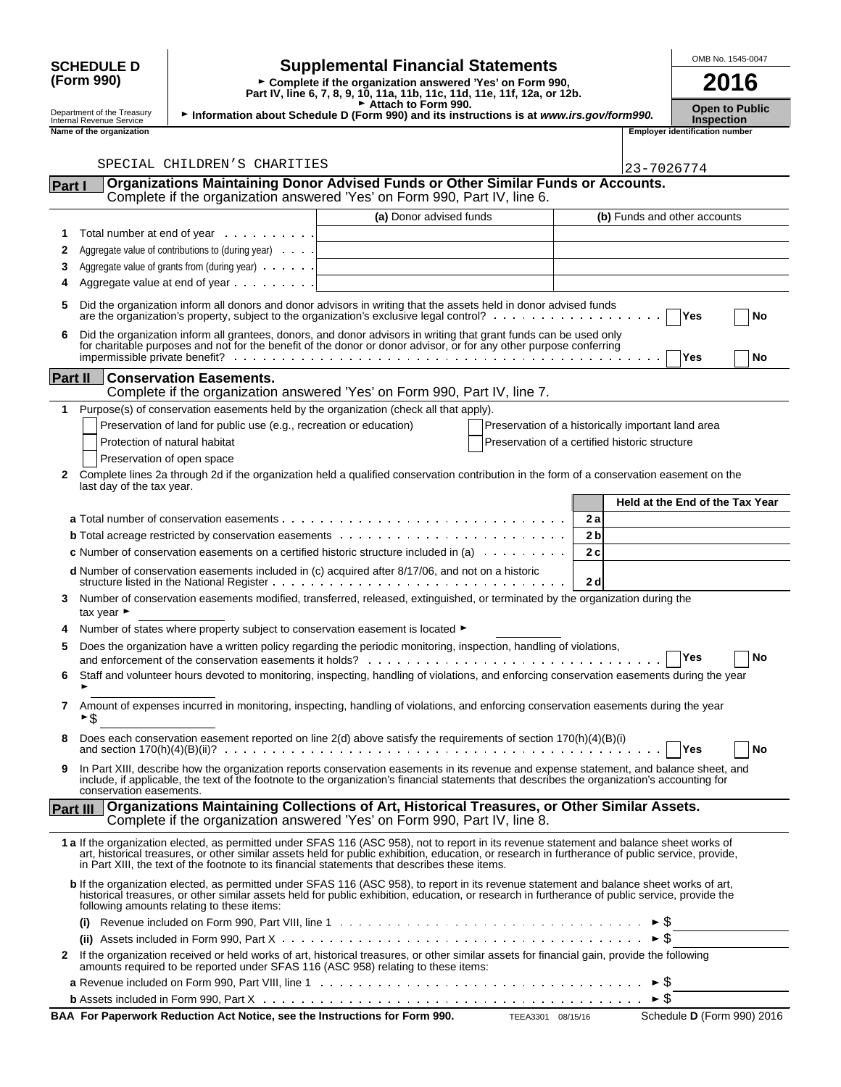| <b>Supplemental Financial Statements</b><br><b>SCHEDULE D</b> |                                                             |                                                                     |                                                                                                                                                                                                                                                                                                                                                                                                 |                                                                                                                |     |                         | OMB No. 1545-0047                     |  |  |
|---------------------------------------------------------------|-------------------------------------------------------------|---------------------------------------------------------------------|-------------------------------------------------------------------------------------------------------------------------------------------------------------------------------------------------------------------------------------------------------------------------------------------------------------------------------------------------------------------------------------------------|----------------------------------------------------------------------------------------------------------------|-----|-------------------------|---------------------------------------|--|--|
| (Form 990)                                                    |                                                             |                                                                     | ► Complete if the organization answered 'Yes' on Form 990,<br>Part IV, line 6, 7, 8, 9, 10, 11a, 11b, 11c, 11d, 11e, 11f, 12a, or 12b.                                                                                                                                                                                                                                                          |                                                                                                                |     |                         | 2016                                  |  |  |
|                                                               | Department of the Treasury<br>Internal Revenue Service      |                                                                     |                                                                                                                                                                                                                                                                                                                                                                                                 | Attach to Form 990.<br>Information about Schedule D (Form 990) and its instructions is at www.irs.gov/form990. |     |                         |                                       |  |  |
|                                                               | Name of the organization                                    |                                                                     |                                                                                                                                                                                                                                                                                                                                                                                                 |                                                                                                                |     |                         | <b>Employer identification number</b> |  |  |
|                                                               |                                                             | SPECIAL CHILDREN'S CHARITIES                                        |                                                                                                                                                                                                                                                                                                                                                                                                 |                                                                                                                |     |                         |                                       |  |  |
|                                                               |                                                             |                                                                     | Organizations Maintaining Donor Advised Funds or Other Similar Funds or Accounts.                                                                                                                                                                                                                                                                                                               |                                                                                                                |     | 23-7026774              |                                       |  |  |
| Part I                                                        |                                                             |                                                                     | Complete if the organization answered 'Yes' on Form 990, Part IV, line 6.                                                                                                                                                                                                                                                                                                                       |                                                                                                                |     |                         |                                       |  |  |
|                                                               |                                                             |                                                                     | (a) Donor advised funds                                                                                                                                                                                                                                                                                                                                                                         |                                                                                                                |     |                         | (b) Funds and other accounts          |  |  |
| 1                                                             |                                                             | Total number at end of year                                         |                                                                                                                                                                                                                                                                                                                                                                                                 |                                                                                                                |     |                         |                                       |  |  |
| 2                                                             |                                                             | Aggregate value of contributions to (during year)                   |                                                                                                                                                                                                                                                                                                                                                                                                 |                                                                                                                |     |                         |                                       |  |  |
| 3                                                             |                                                             | Aggregate value of grants from (during year)                        |                                                                                                                                                                                                                                                                                                                                                                                                 |                                                                                                                |     |                         |                                       |  |  |
| 4                                                             |                                                             | Aggregate value at end of year $\ldots$                             |                                                                                                                                                                                                                                                                                                                                                                                                 |                                                                                                                |     |                         |                                       |  |  |
| 5                                                             |                                                             |                                                                     | Did the organization inform all donors and donor advisors in writing that the assets held in donor advised funds<br>are the organization's property, subject to the organization's exclusive legal control? $\ldots$ , $\ldots$ , $\ldots$                                                                                                                                                      |                                                                                                                |     |                         | Yes<br>No                             |  |  |
|                                                               |                                                             |                                                                     | Did the organization inform all grantees, donors, and donor advisors in writing that grant funds can be used only<br>for charitable purposes and not for the benefit of the donor or donor advisor, or for any other purpose conferring                                                                                                                                                         |                                                                                                                |     |                         | Yes<br>No                             |  |  |
| Part II                                                       |                                                             | <b>Conservation Easements.</b>                                      |                                                                                                                                                                                                                                                                                                                                                                                                 |                                                                                                                |     |                         |                                       |  |  |
|                                                               |                                                             |                                                                     | Complete if the organization answered 'Yes' on Form 990, Part IV, line 7.                                                                                                                                                                                                                                                                                                                       |                                                                                                                |     |                         |                                       |  |  |
| 1                                                             |                                                             |                                                                     | Purpose(s) of conservation easements held by the organization (check all that apply).                                                                                                                                                                                                                                                                                                           |                                                                                                                |     |                         |                                       |  |  |
|                                                               |                                                             | Preservation of land for public use (e.g., recreation or education) |                                                                                                                                                                                                                                                                                                                                                                                                 | Preservation of a historically important land area                                                             |     |                         |                                       |  |  |
|                                                               | Protection of natural habitat<br>Preservation of open space |                                                                     |                                                                                                                                                                                                                                                                                                                                                                                                 | Preservation of a certified historic structure                                                                 |     |                         |                                       |  |  |
| $\mathbf{2}$                                                  | last day of the tax year.                                   |                                                                     | Complete lines 2a through 2d if the organization held a qualified conservation contribution in the form of a conservation easement on the                                                                                                                                                                                                                                                       |                                                                                                                |     |                         |                                       |  |  |
|                                                               |                                                             |                                                                     |                                                                                                                                                                                                                                                                                                                                                                                                 |                                                                                                                |     |                         | Held at the End of the Tax Year       |  |  |
|                                                               |                                                             |                                                                     |                                                                                                                                                                                                                                                                                                                                                                                                 |                                                                                                                | 2a  |                         |                                       |  |  |
|                                                               |                                                             |                                                                     |                                                                                                                                                                                                                                                                                                                                                                                                 |                                                                                                                | 2 b |                         |                                       |  |  |
|                                                               |                                                             |                                                                     | <b>c</b> Number of conservation easements on a certified historic structure included in (a) $\ldots$                                                                                                                                                                                                                                                                                            |                                                                                                                | 2c  |                         |                                       |  |  |
|                                                               |                                                             |                                                                     | d Number of conservation easements included in (c) acquired after 8/17/06, and not on a historic                                                                                                                                                                                                                                                                                                |                                                                                                                | 2d  |                         |                                       |  |  |
| 3                                                             | tax year $\blacktriangleright$                              |                                                                     | Number of conservation easements modified, transferred, released, extinguished, or terminated by the organization during the                                                                                                                                                                                                                                                                    |                                                                                                                |     |                         |                                       |  |  |
|                                                               |                                                             |                                                                     | Number of states where property subject to conservation easement is located ►                                                                                                                                                                                                                                                                                                                   |                                                                                                                |     |                         |                                       |  |  |
| 5                                                             |                                                             |                                                                     | Does the organization have a written policy regarding the periodic monitoring, inspection, handling of violations,                                                                                                                                                                                                                                                                              |                                                                                                                |     |                         | Yes<br>No                             |  |  |
|                                                               |                                                             |                                                                     | Staff and volunteer hours devoted to monitoring, inspecting, handling of violations, and enforcing conservation easements during the year                                                                                                                                                                                                                                                       |                                                                                                                |     |                         |                                       |  |  |
| 7                                                             | ► \$                                                        |                                                                     | Amount of expenses incurred in monitoring, inspecting, handling of violations, and enforcing conservation easements during the year                                                                                                                                                                                                                                                             |                                                                                                                |     |                         |                                       |  |  |
|                                                               |                                                             |                                                                     | Does each conservation easement reported on line $2(d)$ above satisfy the requirements of section $170(h)(4)(B)(i)$<br>and section $170(h)(4)(B)(ii)$ ? $\ldots$ $\ldots$ $\ldots$ $\ldots$ $\ldots$ $\ldots$ $\ldots$ $\ldots$ $\ldots$ $\ldots$ $\ldots$ $\ldots$ $\ldots$ $\ldots$ $\ldots$ $\ldots$                                                                                         |                                                                                                                |     |                         | Yes<br>No                             |  |  |
| 9                                                             | conservation easements.                                     |                                                                     | In Part XIII, describe how the organization reports conservation easements in its revenue and expense statement, and balance sheet, and<br>include, if applicable, the text of the footnote to the organization's financial statements that describes the organization's accounting for                                                                                                         |                                                                                                                |     |                         |                                       |  |  |
|                                                               | Part III                                                    |                                                                     | <b>Organizations Maintaining Collections of Art, Historical Treasures, or Other Similar Assets.</b><br>Complete if the organization answered 'Yes' on Form 990, Part IV, line 8.                                                                                                                                                                                                                |                                                                                                                |     |                         |                                       |  |  |
|                                                               |                                                             |                                                                     | 1 a If the organization elected, as permitted under SFAS 116 (ASC 958), not to report in its revenue statement and balance sheet works of<br>art, historical treasures, or other similar assets held for public exhibition, education, or research in furtherance of public service, provide,<br>in Part XIII, the text of the footnote to its financial statements that describes these items. |                                                                                                                |     |                         |                                       |  |  |
|                                                               |                                                             | following amounts relating to these items:                          | b If the organization elected, as permitted under SFAS 116 (ASC 958), to report in its revenue statement and balance sheet works of art,<br>historical treasures, or other similar assets held for public exhibition, education, or research in furtherance of public service, provide the                                                                                                      |                                                                                                                |     |                         |                                       |  |  |
|                                                               |                                                             |                                                                     | (i) Revenue included on Form 990, Part VIII, line 1 $\dots \dots \dots \dots \dots \dots \dots \dots \dots \dots \dots \dots \dots \dots$                                                                                                                                                                                                                                                       |                                                                                                                |     | $\blacktriangleright$ Ş |                                       |  |  |
|                                                               |                                                             |                                                                     |                                                                                                                                                                                                                                                                                                                                                                                                 |                                                                                                                |     | $\triangleright$ \$     |                                       |  |  |
|                                                               |                                                             |                                                                     | 2 If the organization received or held works of art, historical treasures, or other similar assets for financial gain, provide the following<br>amounts required to be reported under SFAS 116 (ASC 958) relating to these items:                                                                                                                                                               |                                                                                                                |     |                         |                                       |  |  |
|                                                               |                                                             |                                                                     |                                                                                                                                                                                                                                                                                                                                                                                                 |                                                                                                                |     |                         |                                       |  |  |

| BAA For Paperwork Reduction Act Notice, see the Instructions for Form 990. | TEEA3301 08/15/16 | Schedule D (Form 990) 2016 |
|----------------------------------------------------------------------------|-------------------|----------------------------|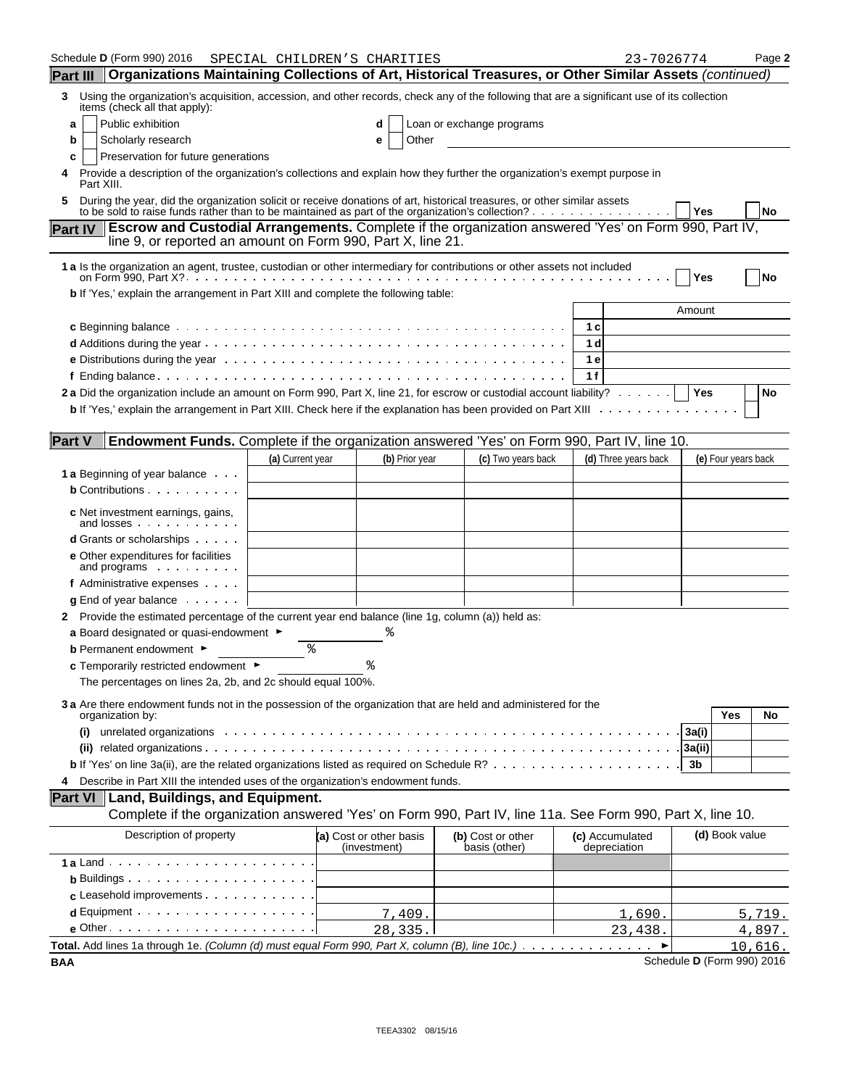| Schedule D (Form 990) 2016                                                                                                                                                                                                        |                  | SPECIAL CHILDREN'S CHARITIES            |                                    | 23-7026774                      |        |                     | Page 2    |
|-----------------------------------------------------------------------------------------------------------------------------------------------------------------------------------------------------------------------------------|------------------|-----------------------------------------|------------------------------------|---------------------------------|--------|---------------------|-----------|
| Organizations Maintaining Collections of Art, Historical Treasures, or Other Similar Assets (continued)<br><b>Part III</b>                                                                                                        |                  |                                         |                                    |                                 |        |                     |           |
| Using the organization's acquisition, accession, and other records, check any of the following that are a significant use of its collection<br>3<br>items (check all that apply):                                                 |                  |                                         |                                    |                                 |        |                     |           |
| Public exhibition<br>a                                                                                                                                                                                                            |                  | d                                       | Loan or exchange programs          |                                 |        |                     |           |
| Scholarly research<br>b                                                                                                                                                                                                           |                  | Other<br>е                              |                                    |                                 |        |                     |           |
| Preservation for future generations<br>c                                                                                                                                                                                          |                  |                                         |                                    |                                 |        |                     |           |
| Provide a description of the organization's collections and explain how they further the organization's exempt purpose in<br>Part XIII.                                                                                           |                  |                                         |                                    |                                 |        |                     |           |
| During the year, did the organization solicit or receive donations of art, historical treasures, or other similar assets<br>5<br>to be sold to raise funds rather than to be maintained as part of the organization's collection? |                  |                                         |                                    |                                 | Yes    |                     | <b>No</b> |
| <b>Escrow and Custodial Arrangements.</b> Complete if the organization answered 'Yes' on Form 990, Part IV,<br><b>Part IV</b>                                                                                                     |                  |                                         |                                    |                                 |        |                     |           |
| line 9, or reported an amount on Form 990, Part X, line 21.                                                                                                                                                                       |                  |                                         |                                    |                                 |        |                     |           |
| 1 a Is the organization an agent, trustee, custodian or other intermediary for contributions or other assets not included                                                                                                         |                  |                                         |                                    |                                 | Yes    |                     | No        |
| b If 'Yes,' explain the arrangement in Part XIII and complete the following table:                                                                                                                                                |                  |                                         |                                    |                                 |        |                     |           |
|                                                                                                                                                                                                                                   |                  |                                         |                                    |                                 | Amount |                     |           |
|                                                                                                                                                                                                                                   |                  |                                         |                                    | 1 c                             |        |                     |           |
|                                                                                                                                                                                                                                   |                  |                                         |                                    | 1 d                             |        |                     |           |
|                                                                                                                                                                                                                                   |                  |                                         |                                    | 1 e                             |        |                     |           |
|                                                                                                                                                                                                                                   |                  |                                         |                                    | 1f                              |        |                     |           |
| 2 a Did the organization include an amount on Form 990, Part X, line 21, for escrow or custodial account liability?                                                                                                               |                  |                                         |                                    |                                 | Yes    |                     | No        |
| <b>b</b> If 'Yes,' explain the arrangement in Part XIII. Check here if the explanation has been provided on Part XIII                                                                                                             |                  |                                         |                                    |                                 |        |                     |           |
| <b>Part V</b><br>Endowment Funds. Complete if the organization answered 'Yes' on Form 990, Part IV, line 10.                                                                                                                      |                  |                                         |                                    |                                 |        |                     |           |
|                                                                                                                                                                                                                                   | (a) Current year | (b) Prior year                          | (c) Two years back                 | (d) Three years back            |        | (e) Four years back |           |
| <b>1 a</b> Beginning of year balance                                                                                                                                                                                              |                  |                                         |                                    |                                 |        |                     |           |
| <b>b</b> Contributions                                                                                                                                                                                                            |                  |                                         |                                    |                                 |        |                     |           |
| c Net investment earnings, gains,<br>and losses                                                                                                                                                                                   |                  |                                         |                                    |                                 |        |                     |           |
| <b>d</b> Grants or scholarships                                                                                                                                                                                                   |                  |                                         |                                    |                                 |        |                     |           |
| <b>e</b> Other expenditures for facilities<br>and programs $\cdots$                                                                                                                                                               |                  |                                         |                                    |                                 |        |                     |           |
| f Administrative expenses                                                                                                                                                                                                         |                  |                                         |                                    |                                 |        |                     |           |
| $g$ End of year balance $\cdots$                                                                                                                                                                                                  |                  |                                         |                                    |                                 |        |                     |           |
| 2 Provide the estimated percentage of the current year end balance (line 1g, column (a)) held as:                                                                                                                                 |                  |                                         |                                    |                                 |        |                     |           |
| a Board designated or quasi-endowment $\blacktriangleright$                                                                                                                                                                       |                  |                                         |                                    |                                 |        |                     |           |
| <b>b</b> Permanent endowment ►                                                                                                                                                                                                    | နွ               |                                         |                                    |                                 |        |                     |           |
| <b>c</b> Temporarily restricted endowment $\blacktriangleright$                                                                                                                                                                   |                  |                                         |                                    |                                 |        |                     |           |
| The percentages on lines 2a, 2b, and 2c should equal 100%.                                                                                                                                                                        |                  |                                         |                                    |                                 |        |                     |           |
| 3 a Are there endowment funds not in the possession of the organization that are held and administered for the<br>organization by:                                                                                                |                  |                                         |                                    |                                 |        | Yes                 | No        |
| unrelated organizations (and all contact and all contact and all contact and all contact and all contact and a<br>(i)                                                                                                             |                  |                                         |                                    |                                 | 3a(i)  |                     |           |
|                                                                                                                                                                                                                                   |                  |                                         |                                    |                                 | 3a(ii) |                     |           |
|                                                                                                                                                                                                                                   |                  |                                         |                                    |                                 | 3b     |                     |           |
| Describe in Part XIII the intended uses of the organization's endowment funds.<br>4                                                                                                                                               |                  |                                         |                                    |                                 |        |                     |           |
| Land, Buildings, and Equipment.<br><b>Part VI</b>                                                                                                                                                                                 |                  |                                         |                                    |                                 |        |                     |           |
| Complete if the organization answered 'Yes' on Form 990, Part IV, line 11a. See Form 990, Part X, line 10.                                                                                                                        |                  |                                         |                                    |                                 |        |                     |           |
| Description of property                                                                                                                                                                                                           |                  | (a) Cost or other basis<br>(investment) | (b) Cost or other<br>basis (other) | (c) Accumulated<br>depreciation |        | (d) Book value      |           |
|                                                                                                                                                                                                                                   |                  |                                         |                                    |                                 |        |                     |           |
| <b>b</b> Buildings $\cdots$ $\cdots$ $\cdots$ $\cdots$ $\cdots$ $\cdots$                                                                                                                                                          |                  |                                         |                                    |                                 |        |                     |           |
| c Leasehold improvements                                                                                                                                                                                                          |                  |                                         |                                    |                                 |        |                     |           |
| $d$ Equipment $\cdots$ $\cdots$ $\cdots$ $\cdots$ $\cdots$ $\cdots$ $\cdots$                                                                                                                                                      |                  | 7,409.                                  |                                    | 1,690.                          |        |                     | 5,719.    |
| $e$ Other $\cdots$ $\cdots$ $\cdots$ $\cdots$ $\cdots$ $\cdots$ $\cdots$ $\cdots$ $\cdots$                                                                                                                                        |                  | 28,335.                                 |                                    | 23,438.                         |        |                     | 4,897.    |
| Total. Add lines 1a through 1e. (Column (d) must equal Form 990, Part X, column (B), line 10c.)                                                                                                                                   |                  |                                         |                                    |                                 |        |                     | 10,616.   |

**BAA** Schedule **D** (Form 990) 2016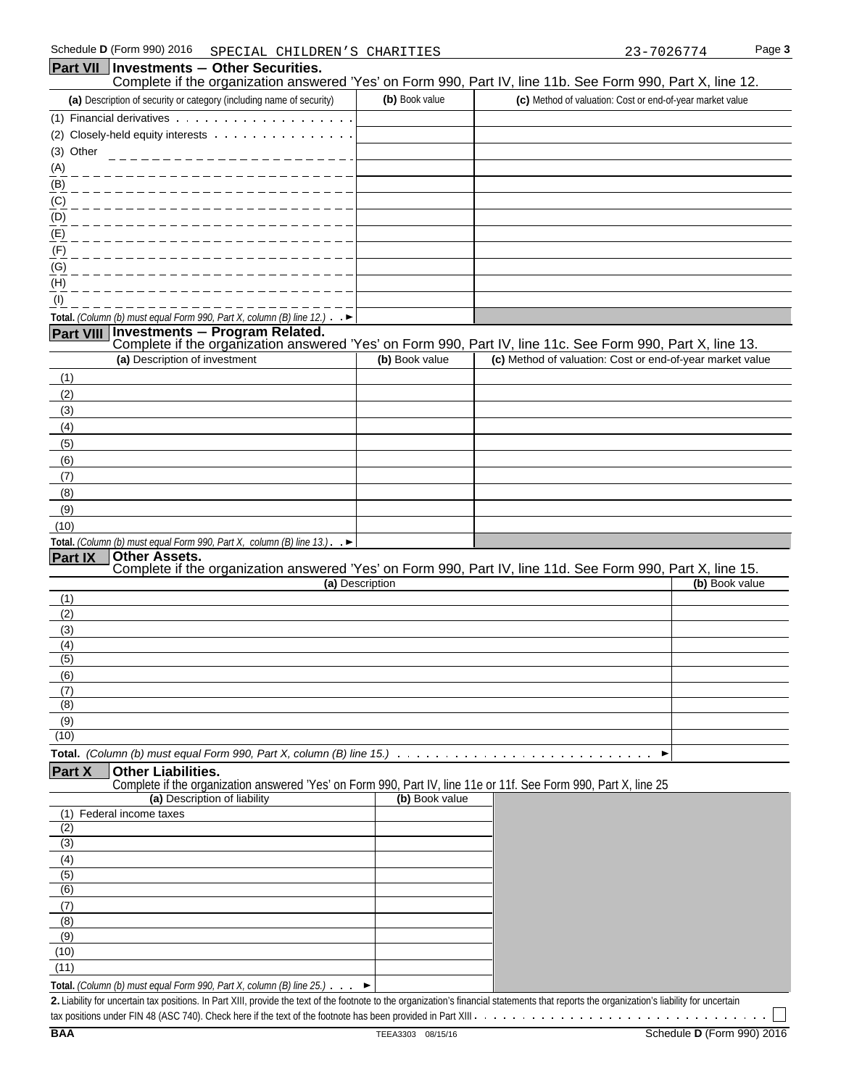### **Part VII** | Investments - Other Securities. Complete if the organization answered 'Yes' on Form 990, Part IV, line 11b. See Form 990, Part X, line 12. **(a)** Description of security or category (including name of security) **(b)** Book value **(c)** Method of valuation: Cost or end-of-year market value (1) Financial derivatives (2) Closely-held equity interests (3) Other (A) (B) (C) (D) (E) (F) (G) (H) (I) **Total.** *(Column (b) must equal Form 990, Part X, column (B) line 12.)* **Part VIII Investments** ' **Program Related.**  Complete if the organization answered 'Yes' on Form 990, Part IV, line 11c. See Form 990, Part X, line 13. **(a)** Description of investment **(b)** Book value **(c)** Method of valuation: Cost or end-of-year market value (1) (2) (3) (4) (5) (6) (7) (8) (9) (10) **Total.** *(Column (b) must equal Form 990, Part X, column (B) line 13.)*  $\blacktriangleright$ **Part IX Other Assets.**  Complete if the organization answered 'Yes' on Form 990, Part IV, line 11d. See Form 990, Part X, line 15. **(a)** Description **(b)** Book value (1) (2) (3) (4) (5) (6) (7) (8) (9) (10) **Total.** *(Column (b) must equal Form 990, Part X, column (B) line 15.)* **Part X Other Liabilities.**  Complete if the organization answered 'Yes' on Form 990, Part IV, line 11e or 11f. See Form 990, Part X, line 25 **(a)** Description of liability **(b)** Book value (1) Federal income taxes (2) (3) (4) (5) (6) (7) (8)

(11) **Total.** *(Column (b) must equal Form 990, Part X, column (B) line 25.)*  $\blacktriangleright$ 

**2.** Liability for uncertain tax positions. In Part XIII, provide the text of the footnote to the organization's financial statements that reports the organization's liability for uncertain tax positions under FIN 48 (ASC 740). Check here if the text of the footnote has been provided in Part XIII

(9) (10)

 $\sim$   $\sim$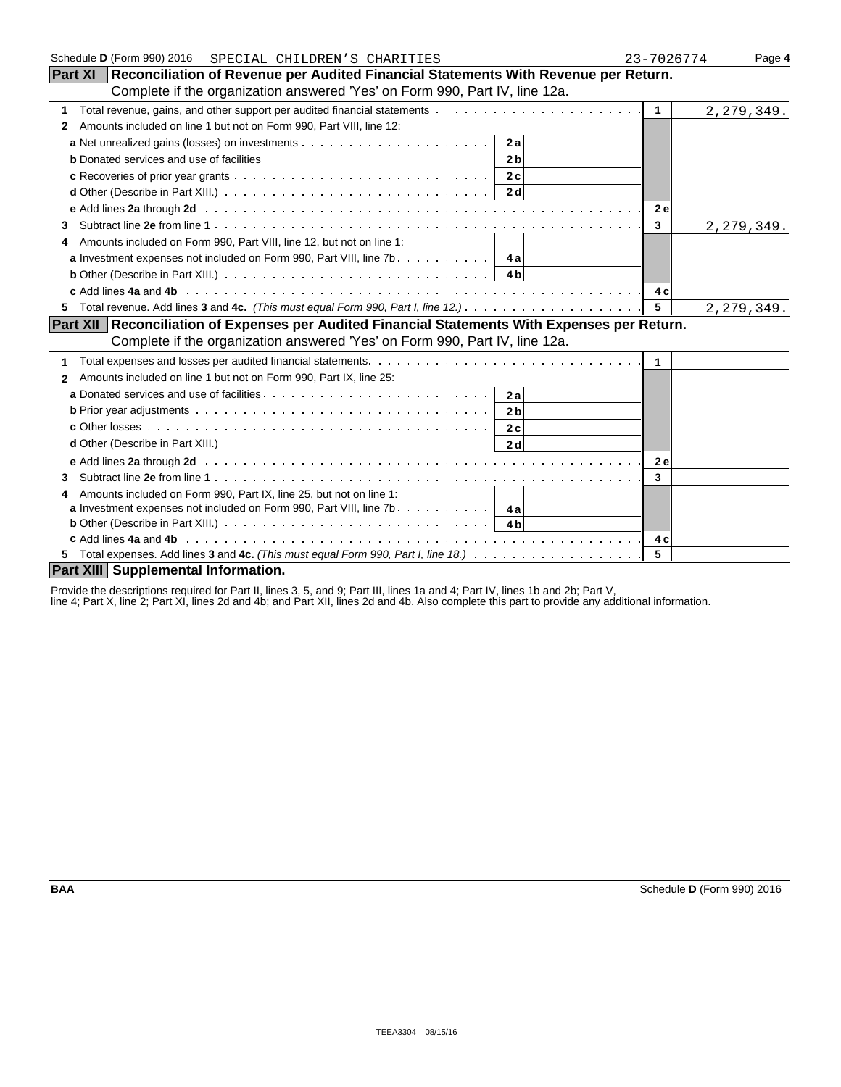| Schedule D (Form 990) 2016<br>SPECIAL CHILDREN'S CHARITIES                                                                                   | 23-7026774     | Page 4       |
|----------------------------------------------------------------------------------------------------------------------------------------------|----------------|--------------|
| Part XI   Reconciliation of Revenue per Audited Financial Statements With Revenue per Return.                                                |                |              |
| Complete if the organization answered 'Yes' on Form 990, Part IV, line 12a.                                                                  |                |              |
| 1                                                                                                                                            | $\overline{1}$ | 2, 279, 349. |
| Amounts included on line 1 but not on Form 990, Part VIII, line 12:<br>2                                                                     |                |              |
| 2al                                                                                                                                          |                |              |
| <b>b</b> Donated services and use of facilities $\ldots$ , $\ldots$ , $\ldots$ , $\ldots$ , $\ldots$ , $\ldots$ , $\ldots$<br>2 <sub>b</sub> |                |              |
|                                                                                                                                              |                |              |
| <b>d</b> Other (Describe in Part XIII.) $\ldots \ldots \ldots \ldots \ldots \ldots \ldots \ldots \ldots \ldots \ldots$<br>2 d                |                |              |
|                                                                                                                                              | 2e             |              |
| 3                                                                                                                                            | 3              | 2, 279, 349. |
| Amounts included on Form 990, Part VIII, line 12, but not on line 1:<br>4                                                                    |                |              |
| <b>a</b> Investment expenses not included on Form 990, Part VIII, line 7b. $\ldots$ , $\ldots$ , $\vert$ 4a                                  |                |              |
| <b>b</b> Other (Describe in Part XIII.) $\ldots \ldots \ldots \ldots \ldots \ldots \ldots \ldots \ldots \ldots \ldots \mid 4b$               |                |              |
|                                                                                                                                              | 4 c            |              |
| 5                                                                                                                                            | 5              | 2,279,349.   |
| Part XII Reconciliation of Expenses per Audited Financial Statements With Expenses per Return.                                               |                |              |
| Complete if the organization answered 'Yes' on Form 990, Part IV, line 12a.                                                                  |                |              |
| 1                                                                                                                                            | $\overline{1}$ |              |
| Amounts included on line 1 but not on Form 990, Part IX, line 25:                                                                            |                |              |
| 2a                                                                                                                                           |                |              |
| 2 <sub>b</sub>                                                                                                                               |                |              |
|                                                                                                                                              |                |              |
| <b>d</b> Other (Describe in Part XIII.) $\ldots \ldots \ldots \ldots \ldots \ldots \ldots \ldots \ldots \ldots \ldots$<br>2d                 |                |              |
|                                                                                                                                              | <b>2e</b>      |              |
| 3                                                                                                                                            | 3              |              |
| Amounts included on Form 990, Part IX, line 25, but not on line 1:                                                                           |                |              |
| <b>a</b> Investment expenses not included on Form 990, Part VIII, line 7b. $\ldots$ , $\ldots$ , <b>4a</b>                                   |                |              |
| <b>b</b> Other (Describe in Part XIII.) $\ldots$ $\ldots$ $\ldots$ $\ldots$ $\ldots$ $\ldots$ $\ldots$ $\ldots$ $\ldots$ $\vdots$ 4b         |                |              |
|                                                                                                                                              | 4 c            |              |
|                                                                                                                                              | 5              |              |
| Part XIII Supplemental Information.                                                                                                          |                |              |

Provide the descriptions required for Part II, lines 3, 5, and 9; Part III, lines 1a and 4; Part IV, lines 1b and 2b; Part V,

line 4; Part X, line 2; Part XI, lines 2d and 4b; and Part XII, lines 2d and 4b. Also complete this part to provide any additional information.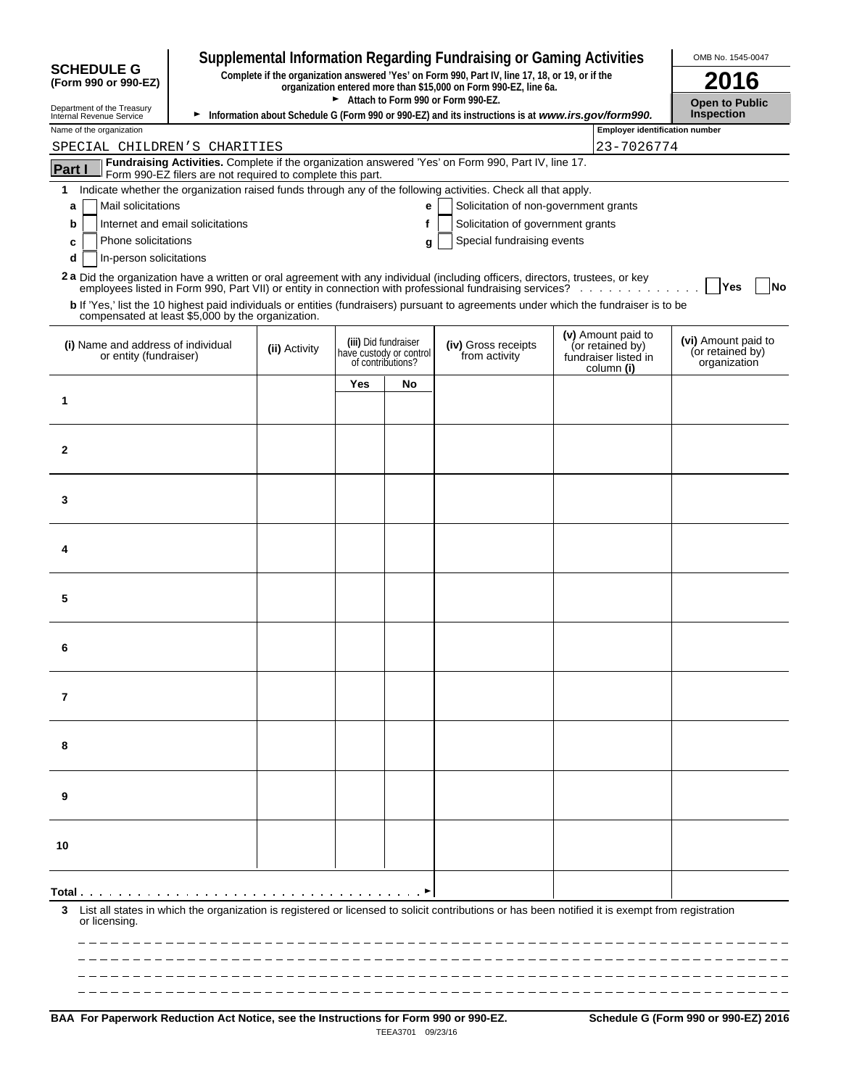|                                                              |                                                            |               |     |                                                                      | <b>Supplemental Information Regarding Fundraising or Gaming Activities</b>                                                                                          |                                                                                                                                                  | OMB No. 1545-0047                                       |
|--------------------------------------------------------------|------------------------------------------------------------|---------------|-----|----------------------------------------------------------------------|---------------------------------------------------------------------------------------------------------------------------------------------------------------------|--------------------------------------------------------------------------------------------------------------------------------------------------|---------------------------------------------------------|
| <b>SCHEDULE G</b><br>(Form 990 or 990-EZ)                    |                                                            |               |     |                                                                      | Complete if the organization answered 'Yes' on Form 990, Part IV, line 17, 18, or 19, or if the<br>organization entered more than \$15,000 on Form 990-EZ, line 6a. |                                                                                                                                                  | 2016                                                    |
| Department of the Treasury<br>Internal Revenue Service       | <b>Open to Public</b><br><b>Inspection</b>                 |               |     |                                                                      |                                                                                                                                                                     |                                                                                                                                                  |                                                         |
| Name of the organization                                     | <b>Employer identification number</b>                      |               |     |                                                                      |                                                                                                                                                                     |                                                                                                                                                  |                                                         |
| SPECIAL CHILDREN'S CHARITIES                                 |                                                            |               |     |                                                                      | Fundraising Activities. Complete if the organization answered 'Yes' on Form 990, Part IV, line 17.                                                                  | 23-7026774                                                                                                                                       |                                                         |
| Part I                                                       | Form 990-EZ filers are not required to complete this part. |               |     |                                                                      |                                                                                                                                                                     |                                                                                                                                                  |                                                         |
| $\mathbf 1$                                                  |                                                            |               |     |                                                                      | Indicate whether the organization raised funds through any of the following activities. Check all that apply.                                                       |                                                                                                                                                  |                                                         |
| Mail solicitations<br>a<br>b                                 | Internet and email solicitations                           |               |     | e<br>f                                                               | Solicitation of non-government grants<br>Solicitation of government grants                                                                                          |                                                                                                                                                  |                                                         |
| Phone solicitations<br>c                                     |                                                            |               |     | g                                                                    | Special fundraising events                                                                                                                                          |                                                                                                                                                  |                                                         |
| In-person solicitations<br>d                                 |                                                            |               |     |                                                                      |                                                                                                                                                                     |                                                                                                                                                  |                                                         |
|                                                              |                                                            |               |     |                                                                      | 2 a Did the organization have a written or oral agreement with any individual (including officers, directors, trustees, or key                                      |                                                                                                                                                  | <b>Yes</b><br><b>No</b>                                 |
| compensated at least \$5,000 by the organization.            |                                                            |               |     |                                                                      | employees listed in Form 990, Part VII) or entity in connection with professional fundraising services?                                                             | <b>b</b> If 'Yes,' list the 10 highest paid individuals or entities (fundraisers) pursuant to agreements under which the fundraiser is to be     |                                                         |
| (i) Name and address of individual<br>or entity (fundraiser) |                                                            | (ii) Activity |     | (iii) Did fundraiser<br>have custody or control<br>of contributions? | (iv) Gross receipts<br>from activity                                                                                                                                | (v) Amount paid to<br>(or retained by)<br>fundraiser listed in                                                                                   | (vi) Amount paid to<br>(or retained by)<br>organization |
|                                                              |                                                            |               | Yes | No                                                                   |                                                                                                                                                                     | column (i)                                                                                                                                       |                                                         |
| 1                                                            |                                                            |               |     |                                                                      |                                                                                                                                                                     |                                                                                                                                                  |                                                         |
|                                                              |                                                            |               |     |                                                                      |                                                                                                                                                                     |                                                                                                                                                  |                                                         |
| 2                                                            |                                                            |               |     |                                                                      |                                                                                                                                                                     |                                                                                                                                                  |                                                         |
|                                                              |                                                            |               |     |                                                                      |                                                                                                                                                                     |                                                                                                                                                  |                                                         |
| 3                                                            |                                                            |               |     |                                                                      |                                                                                                                                                                     |                                                                                                                                                  |                                                         |
| 4                                                            |                                                            |               |     |                                                                      |                                                                                                                                                                     |                                                                                                                                                  |                                                         |
| 5                                                            |                                                            |               |     |                                                                      |                                                                                                                                                                     |                                                                                                                                                  |                                                         |
| 6                                                            |                                                            |               |     |                                                                      |                                                                                                                                                                     |                                                                                                                                                  |                                                         |
| 7                                                            |                                                            |               |     |                                                                      |                                                                                                                                                                     |                                                                                                                                                  |                                                         |
| 8                                                            |                                                            |               |     |                                                                      |                                                                                                                                                                     |                                                                                                                                                  |                                                         |
| 9                                                            |                                                            |               |     |                                                                      |                                                                                                                                                                     |                                                                                                                                                  |                                                         |
| 10                                                           |                                                            |               |     |                                                                      |                                                                                                                                                                     |                                                                                                                                                  |                                                         |
|                                                              |                                                            |               |     |                                                                      |                                                                                                                                                                     |                                                                                                                                                  |                                                         |
|                                                              |                                                            |               |     |                                                                      |                                                                                                                                                                     |                                                                                                                                                  |                                                         |
| 3<br>or licensing.                                           |                                                            |               |     |                                                                      |                                                                                                                                                                     | List all states in which the organization is registered or licensed to solicit contributions or has been notified it is exempt from registration |                                                         |
|                                                              |                                                            |               |     |                                                                      |                                                                                                                                                                     |                                                                                                                                                  |                                                         |
|                                                              |                                                            |               |     |                                                                      |                                                                                                                                                                     |                                                                                                                                                  |                                                         |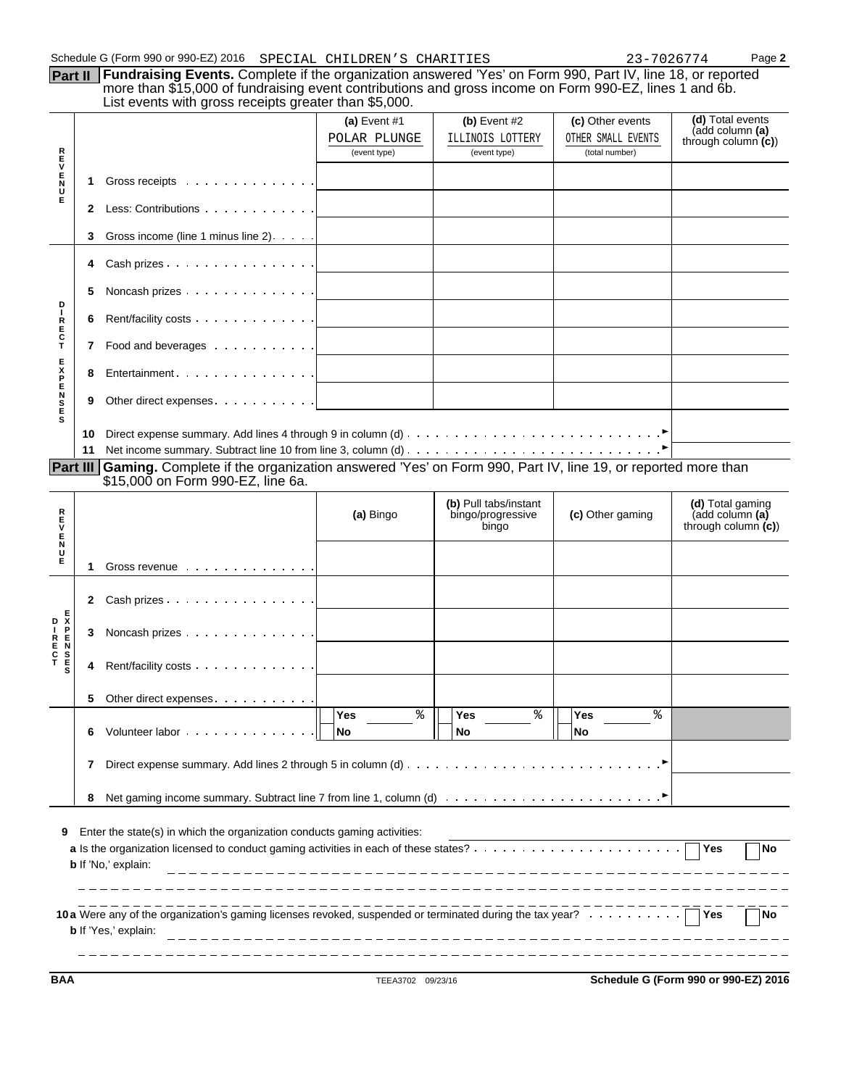| Part II Fundraising Events. Complete if the organization answered 'Yes' on Form 990, Part IV, line 18, or reported |
|--------------------------------------------------------------------------------------------------------------------|
| more than \$15,000 of fundraising event contributions and gross income on Form 990-EZ, lines 1 and 6b.             |
| List events with gross receipts greater than \$5,000.                                                              |

|                                 |          |                                                                                                          | (a) Event $#1$                | $(b)$ Event #2                                      | (c) Other events                     | (d) Total events                                           |
|---------------------------------|----------|----------------------------------------------------------------------------------------------------------|-------------------------------|-----------------------------------------------------|--------------------------------------|------------------------------------------------------------|
|                                 |          |                                                                                                          | POLAR PLUNGE                  |                                                     |                                      | (add column (a)                                            |
|                                 |          |                                                                                                          | (event type)                  | ILLINOIS LOTTERY<br>(event type)                    | OTHER SMALL EVENTS<br>(total number) | through column $(c)$                                       |
|                                 |          |                                                                                                          |                               |                                                     |                                      |                                                            |
| <b>RHVEND</b>                   | 1.       | Gross receipts $\cdots$ $\cdots$ $\cdots$                                                                |                               |                                                     |                                      |                                                            |
| Е                               | 2        | Less: Contributions                                                                                      |                               |                                                     |                                      |                                                            |
|                                 | 3        | Gross income (line 1 minus line 2)                                                                       |                               |                                                     |                                      |                                                            |
|                                 | 4        |                                                                                                          |                               |                                                     |                                      |                                                            |
| D                               | 5        | Noncash prizes                                                                                           |                               |                                                     |                                      |                                                            |
| I.                              | 6        |                                                                                                          |                               |                                                     |                                      |                                                            |
| R<br>E<br>C<br>T                | 7        | Food and beverages                                                                                       |                               |                                                     |                                      |                                                            |
|                                 | 8        | Entertainment                                                                                            |                               |                                                     |                                      |                                                            |
| <b>SHRSNE</b>                   | 9        | Other direct expenses                                                                                    |                               |                                                     |                                      |                                                            |
|                                 |          |                                                                                                          |                               |                                                     |                                      |                                                            |
|                                 | 10<br>11 |                                                                                                          |                               |                                                     |                                      |                                                            |
| Part III                        |          | Gaming. Complete if the organization answered 'Yes' on Form 990, Part IV, line 19, or reported more than |                               |                                                     |                                      |                                                            |
|                                 |          | \$15,000 on Form 990-EZ, line 6a.                                                                        |                               |                                                     |                                      |                                                            |
|                                 |          |                                                                                                          |                               |                                                     |                                      |                                                            |
| <b>RHVENDR</b>                  |          |                                                                                                          | (a) Bingo                     | (b) Pull tabs/instant<br>bingo/progressive<br>bingo | (c) Other gaming                     | (d) Total gaming<br>(add column (a)<br>through column (c)) |
|                                 |          |                                                                                                          |                               |                                                     |                                      |                                                            |
|                                 | 1        | Gross revenue                                                                                            |                               |                                                     |                                      |                                                            |
|                                 | 2        | Cash prizes                                                                                              |                               |                                                     |                                      |                                                            |
| <b>SESPENS</b><br><b>DIRECT</b> | 3        | Noncash prizes                                                                                           |                               |                                                     |                                      |                                                            |
|                                 | 4        | Rent/facility costs                                                                                      |                               |                                                     |                                      |                                                            |
|                                 | 5        | Other direct expenses.                                                                                   |                               |                                                     |                                      |                                                            |
|                                 | 6        | Volunteer labor                                                                                          | နွ<br><b>Yes</b><br><b>No</b> | %<br>Yes<br>No                                      | ۶,<br>Yes<br><b>No</b>               |                                                            |
|                                 | 7        |                                                                                                          |                               |                                                     |                                      |                                                            |
|                                 | 8        |                                                                                                          |                               |                                                     |                                      |                                                            |
|                                 |          |                                                                                                          |                               |                                                     |                                      |                                                            |
| 9                               |          | Enter the state(s) in which the organization conducts gaming activities:                                 |                               |                                                     |                                      |                                                            |
|                                 |          |                                                                                                          |                               |                                                     |                                      | <b>Yes</b><br>No                                           |
|                                 |          | <b>b</b> If 'No,' explain:                                                                               |                               |                                                     |                                      |                                                            |
|                                 |          |                                                                                                          |                               |                                                     |                                      |                                                            |
|                                 |          |                                                                                                          |                               |                                                     |                                      |                                                            |
|                                 |          | 10a Were any of the organization's gaming licenses revoked, suspended or terminated during the tax year? |                               |                                                     |                                      | Yes<br>No l                                                |
|                                 |          | <b>b</b> If 'Yes,' explain:                                                                              |                               |                                                     |                                      |                                                            |
|                                 |          |                                                                                                          |                               |                                                     |                                      |                                                            |

**BAA** TEEA3702 09/23/16 **Schedule G (Form 990 or 990-EZ) 2016**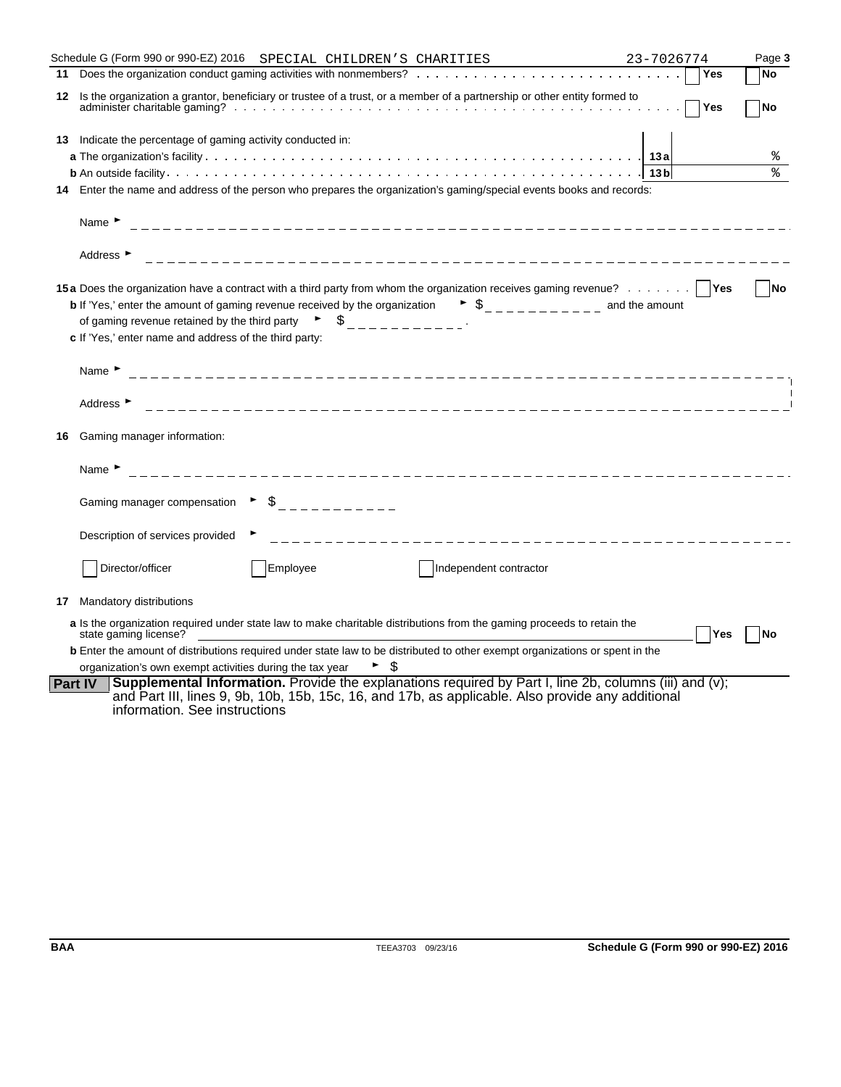|    | Schedule G (Form 990 or 990-EZ) 2016  SPECIAL CHILDREN'S CHARITIES                                                                                                                                                                                                                                                                                                                                               | 23-7026774 |            | Page 3    |
|----|------------------------------------------------------------------------------------------------------------------------------------------------------------------------------------------------------------------------------------------------------------------------------------------------------------------------------------------------------------------------------------------------------------------|------------|------------|-----------|
| 11 |                                                                                                                                                                                                                                                                                                                                                                                                                  |            | Yes        | <b>No</b> |
|    | 12 Is the organization a grantor, beneficiary or trustee of a trust, or a member of a partnership or other entity formed to                                                                                                                                                                                                                                                                                      |            | Yes        | <b>No</b> |
|    | 13 Indicate the percentage of gaming activity conducted in:                                                                                                                                                                                                                                                                                                                                                      |            |            |           |
|    |                                                                                                                                                                                                                                                                                                                                                                                                                  |            |            | ိဝ        |
|    |                                                                                                                                                                                                                                                                                                                                                                                                                  |            |            | °         |
|    | 14 Enter the name and address of the person who prepares the organization's gaming/special events books and records:                                                                                                                                                                                                                                                                                             |            |            |           |
|    | Name $\blacktriangleright$                                                                                                                                                                                                                                                                                                                                                                                       |            |            |           |
|    | Address ▶                                                                                                                                                                                                                                                                                                                                                                                                        |            |            |           |
|    | 15 a Does the organization have a contract with a third party from whom the organization receives gaming revenue?   Yes<br><b>b</b> If 'Yes,' enter the amount of gaming revenue received by the organization $\bullet$ $\circ$<br>of gaming revenue retained by the third party $\begin{bmatrix} 1 & 1 \\ 2 & -1 & -1 \\ 3 & -1 & -1 \end{bmatrix}$ .<br>c If 'Yes,' enter name and address of the third party: |            |            | No        |
|    | Name $\blacktriangleright$                                                                                                                                                                                                                                                                                                                                                                                       |            |            |           |
|    | Address ►                                                                                                                                                                                                                                                                                                                                                                                                        |            |            |           |
| 16 | Gaming manager information:                                                                                                                                                                                                                                                                                                                                                                                      |            |            |           |
|    | Name $\blacktriangleright$                                                                                                                                                                                                                                                                                                                                                                                       |            |            |           |
|    | $\triangleright$ \$ _ _ _ _ _ _ _ _ _ _ _<br>Gaming manager compensation                                                                                                                                                                                                                                                                                                                                         |            |            |           |
|    | Description of services provided                                                                                                                                                                                                                                                                                                                                                                                 |            |            |           |
|    | Employee<br>Director/officer<br>Independent contractor                                                                                                                                                                                                                                                                                                                                                           |            |            |           |
| 17 | Mandatory distributions                                                                                                                                                                                                                                                                                                                                                                                          |            |            |           |
|    | a Is the organization required under state law to make charitable distributions from the gaming proceeds to retain the<br>state gaming license?                                                                                                                                                                                                                                                                  |            | <b>Yes</b> | No        |
|    | <b>b</b> Enter the amount of distributions required under state law to be distributed to other exempt organizations or spent in the                                                                                                                                                                                                                                                                              |            |            |           |
|    | organization's own exempt activities during the tax year<br>S                                                                                                                                                                                                                                                                                                                                                    |            |            |           |
|    | Supplemental Information. Provide the explanations required by Part I, line 2b, columns (iii) and (v);<br><b>Part IV</b><br>and Part III, lines 9, 9b, 10b, 15b, 15c, 16, and 17b, as applicable. Also provide any additional<br>information. See instructions                                                                                                                                                   |            |            |           |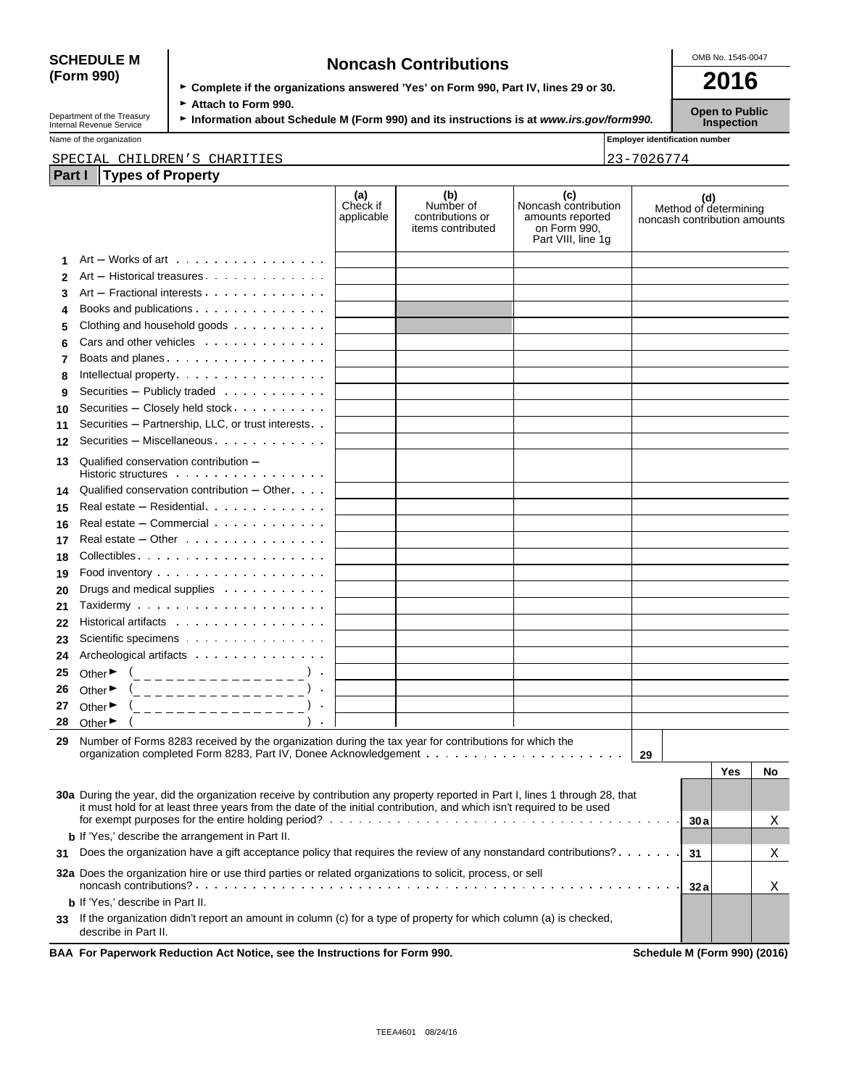# **(Form 990)**

| <b>SCHEDULE M</b> | <b>Noncash Contributions</b>                                                         | OMB No. 1545-0047 |
|-------------------|--------------------------------------------------------------------------------------|-------------------|
| (Form 990)        |                                                                                      | 2016              |
|                   | ► Complete if the organizations answered 'Yes' on Form 990, Part IV, lines 29 or 30. |                   |

Department of the Treasury **► Attach to Form 990.**<br>Information about Schedule M (Form 990) and its instructions is at *www.irs.gov/form990.* Inspection Inspection

Name of the organization **and the control of the organization Employer identification number Employer identification number** 

## SPECIAL CHILDREN'S CHARITIES 23-7026774

| Part I | <b>Types of Property</b>                                                                                                                                                                                                                            |                               |                                                           |                                                                                       |                                     |     |                              |    |
|--------|-----------------------------------------------------------------------------------------------------------------------------------------------------------------------------------------------------------------------------------------------------|-------------------------------|-----------------------------------------------------------|---------------------------------------------------------------------------------------|-------------------------------------|-----|------------------------------|----|
|        |                                                                                                                                                                                                                                                     | (a)<br>Check if<br>applicable | (b)<br>Number of<br>contributions or<br>items contributed | (c)<br>Noncash contribution<br>amounts reported<br>on Form 990,<br>Part VIII, line 1g | noncash contribution amounts        |     | (d)<br>Method of determining |    |
| 1      | $Art - Works$ of art $\ldots \ldots \ldots \ldots$                                                                                                                                                                                                  |                               |                                                           |                                                                                       |                                     |     |                              |    |
| 2      | Art - Historical treasures                                                                                                                                                                                                                          |                               |                                                           |                                                                                       |                                     |     |                              |    |
| 3      | Art - Fractional interests                                                                                                                                                                                                                          |                               |                                                           |                                                                                       |                                     |     |                              |    |
| 4      | Books and publications                                                                                                                                                                                                                              |                               |                                                           |                                                                                       |                                     |     |                              |    |
| 5      | Clothing and household goods                                                                                                                                                                                                                        |                               |                                                           |                                                                                       |                                     |     |                              |    |
| 6      | Cars and other vehicles                                                                                                                                                                                                                             |                               |                                                           |                                                                                       |                                     |     |                              |    |
| 7      |                                                                                                                                                                                                                                                     |                               |                                                           |                                                                                       |                                     |     |                              |    |
| 8      |                                                                                                                                                                                                                                                     |                               |                                                           |                                                                                       |                                     |     |                              |    |
| 9      | Securities - Publicly traded                                                                                                                                                                                                                        |                               |                                                           |                                                                                       |                                     |     |                              |    |
| 10     | Securities - Closely held stock                                                                                                                                                                                                                     |                               |                                                           |                                                                                       |                                     |     |                              |    |
| 11     | Securities - Partnership, LLC, or trust interests                                                                                                                                                                                                   |                               |                                                           |                                                                                       |                                     |     |                              |    |
| 12     | Securities - Miscellaneous                                                                                                                                                                                                                          |                               |                                                           |                                                                                       |                                     |     |                              |    |
|        |                                                                                                                                                                                                                                                     |                               |                                                           |                                                                                       |                                     |     |                              |    |
| 13     | Qualified conservation contribution -<br>Historic structures                                                                                                                                                                                        |                               |                                                           |                                                                                       |                                     |     |                              |    |
| 14     | Qualified conservation contribution - Other                                                                                                                                                                                                         |                               |                                                           |                                                                                       |                                     |     |                              |    |
| 15     | Real estate – Residential and a manuscripture of the Real estate                                                                                                                                                                                    |                               |                                                           |                                                                                       |                                     |     |                              |    |
| 16     | Real estate - Commercial                                                                                                                                                                                                                            |                               |                                                           |                                                                                       |                                     |     |                              |    |
| 17     | Real estate $-$ Other $\cdots$ , $\cdots$ , $\cdots$                                                                                                                                                                                                |                               |                                                           |                                                                                       |                                     |     |                              |    |
| 18     |                                                                                                                                                                                                                                                     |                               |                                                           |                                                                                       |                                     |     |                              |    |
| 19     | Food inventory                                                                                                                                                                                                                                      |                               |                                                           |                                                                                       |                                     |     |                              |    |
| 20     | Drugs and medical supplies                                                                                                                                                                                                                          |                               |                                                           |                                                                                       |                                     |     |                              |    |
| 21     |                                                                                                                                                                                                                                                     |                               |                                                           |                                                                                       |                                     |     |                              |    |
| 22     | Historical artifacts                                                                                                                                                                                                                                |                               |                                                           |                                                                                       |                                     |     |                              |    |
| 23     | Scientific specimens                                                                                                                                                                                                                                |                               |                                                           |                                                                                       |                                     |     |                              |    |
| 24     | Archeological artifacts                                                                                                                                                                                                                             |                               |                                                           |                                                                                       |                                     |     |                              |    |
| 25     | Other $\blacktriangleright$<br>(________________                                                                                                                                                                                                    |                               |                                                           |                                                                                       |                                     |     |                              |    |
| 26     | Other $\blacktriangleright$<br>_______________                                                                                                                                                                                                      |                               |                                                           |                                                                                       |                                     |     |                              |    |
| 27     | Other $\blacktriangleright$                                                                                                                                                                                                                         |                               |                                                           |                                                                                       |                                     |     |                              |    |
| 28     | Other ▶                                                                                                                                                                                                                                             |                               |                                                           |                                                                                       |                                     |     |                              |    |
| 29     | Number of Forms 8283 received by the organization during the tax year for contributions for which the                                                                                                                                               |                               |                                                           |                                                                                       |                                     |     |                              |    |
|        | organization completed Form 8283, Part IV, Donee Acknowledgement                                                                                                                                                                                    |                               |                                                           |                                                                                       | 29                                  |     |                              |    |
|        |                                                                                                                                                                                                                                                     |                               |                                                           |                                                                                       |                                     |     | Yes                          | No |
|        | 30a During the year, did the organization receive by contribution any property reported in Part I, lines 1 through 28, that<br>it must hold for at least three years from the date of the initial contribution, and which isn't required to be used |                               |                                                           |                                                                                       |                                     |     |                              |    |
|        |                                                                                                                                                                                                                                                     |                               |                                                           |                                                                                       |                                     | 30a |                              | X  |
|        | <b>b</b> If 'Yes,' describe the arrangement in Part II.                                                                                                                                                                                             |                               |                                                           |                                                                                       |                                     |     |                              |    |
| 31     | Does the organization have a gift acceptance policy that requires the review of any nonstandard contributions?                                                                                                                                      |                               |                                                           |                                                                                       |                                     | 31  |                              | Χ  |
|        | 32a Does the organization hire or use third parties or related organizations to solicit, process, or sell                                                                                                                                           |                               |                                                           |                                                                                       |                                     | 32a |                              | X  |
|        | <b>b</b> If 'Yes,' describe in Part II.                                                                                                                                                                                                             |                               |                                                           |                                                                                       |                                     |     |                              |    |
| 33     | If the organization didn't report an amount in column (c) for a type of property for which column (a) is checked,<br>describe in Part II.                                                                                                           |                               |                                                           |                                                                                       |                                     |     |                              |    |
|        | BAA For Paperwork Reduction Act Notice, see the Instructions for Form 990.                                                                                                                                                                          |                               |                                                           |                                                                                       | <b>Schedule M (Form 990) (2016)</b> |     |                              |    |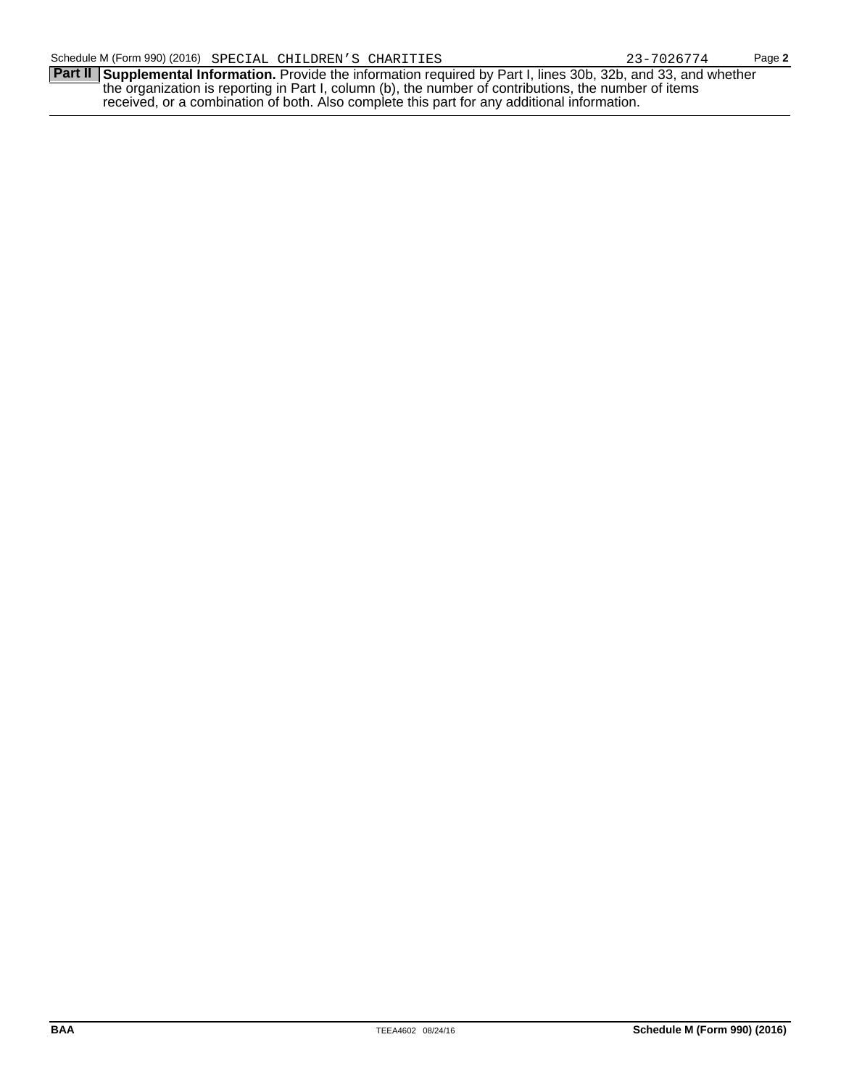**Part II** Supplemental Information. Provide the information required by Part I, lines 30b, 32b, and 33, and whether the organization is reporting in Part I, column (b), the number of contributions, the number of items received, or a combination of both. Also complete this part for any additional information.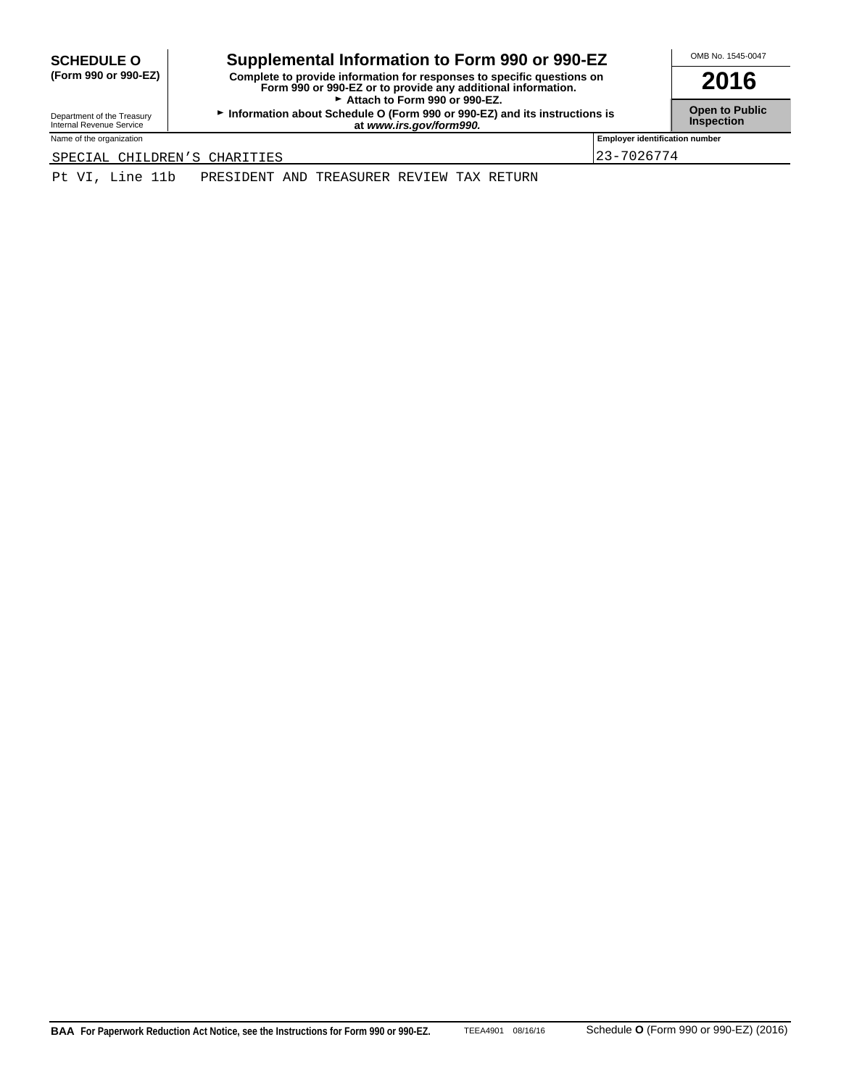## SCHEDULE O **combination to Form 990 or 990-EZ COMB No. 1545-0047**

**(Form 990 or 990-EZ) Complete to provide information for responses to specific questions on Form 990 or 990-EZ or to provide any additional information. 2016** Attach to Form 990 or 990-EZ.

**Department of the Treasury <b>Information about Schedule O** (Form 990 or 990-EZ) and its instructions is **Open to Public**<br>Internal Revenue Service **Inspection at** *www.irs.gov/form990.* **at 1.6 and its instructions is** 

Name of the organization **Employer identification number Employer identification number** 

SPECIAL CHILDREN'S CHARITIES 23-7026774

Pt VI, Line 11b PRESIDENT AND TREASURER REVIEW TAX RETURN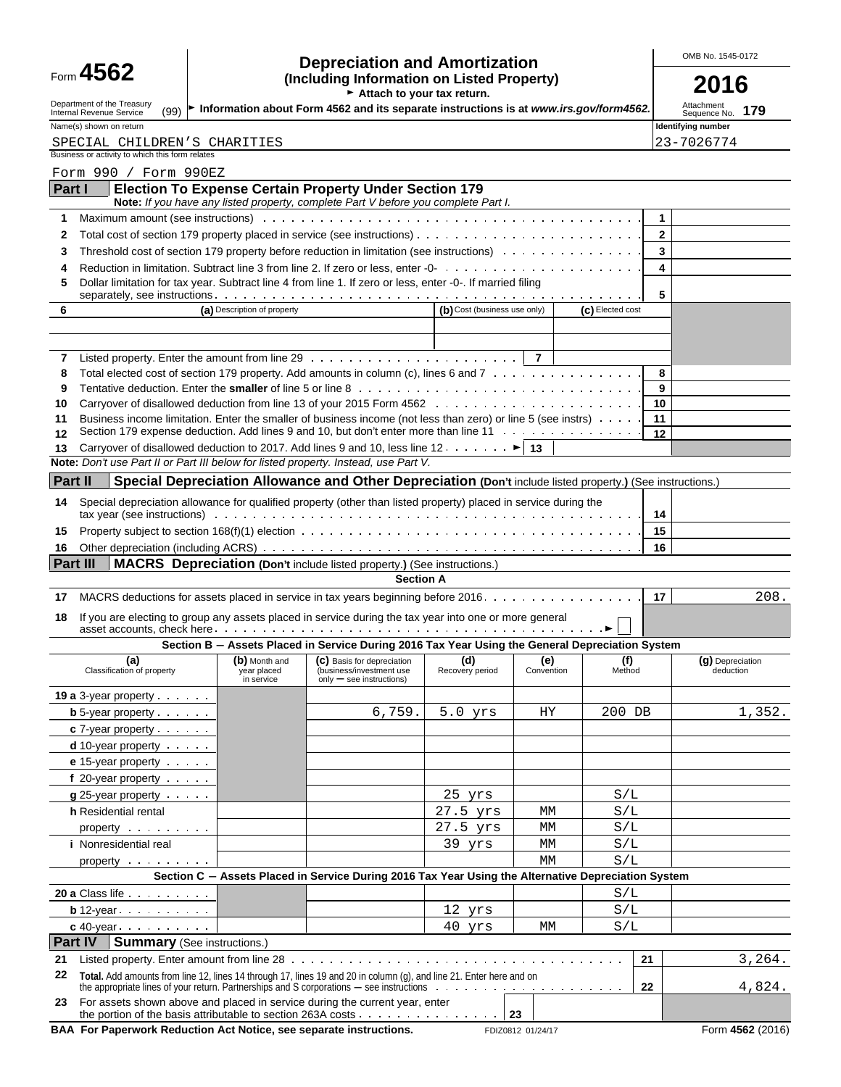| Form $\blacksquare$ | 56 | הה |
|---------------------|----|----|
|---------------------|----|----|

# Form **4562 Depreciation and Amortization COMB No. 1545-0172**<br>
(Including Information on Listed Property) **COLE**

| cluding Information on Listed Property)<br>$\triangleright$ Attach to your tax return. | 2016                       |     |
|----------------------------------------------------------------------------------------|----------------------------|-----|
|                                                                                        | Attachment<br>Sequence No. | 179 |

Department of the Treasury G Attachment of the Treasury **Information about Form 4562 and its separate instructions is at** *www.irs.gov/form4562.***<br>Internal Revenue Service (99) Sequence No. <b>1799** Information about Form 4562

| .                              | . |  | <b>UGUUGHUG ING</b>  |
|--------------------------------|---|--|----------------------|
| Name(s<br>shown on returr<br>. |   |  | I Identifving number |

### SPECIAL CHILDREN'S CHARITIES 23-7026774

|          | Business or activity to which this form relates                                                                                                                                                                                |                                            |                                                                                                                                                     |                              |                   |                  |              |                               |
|----------|--------------------------------------------------------------------------------------------------------------------------------------------------------------------------------------------------------------------------------|--------------------------------------------|-----------------------------------------------------------------------------------------------------------------------------------------------------|------------------------------|-------------------|------------------|--------------|-------------------------------|
|          | Form 990 / Form 990EZ                                                                                                                                                                                                          |                                            |                                                                                                                                                     |                              |                   |                  |              |                               |
| Part I   |                                                                                                                                                                                                                                |                                            | <b>Election To Expense Certain Property Under Section 179</b><br>Note: If you have any listed property, complete Part V before you complete Part I. |                              |                   |                  |              |                               |
| 1        | Maximum amount (see instructions) with the context of the context of the context of the context of the context of the context of the context of the context of the context of the context of the context of the context of the |                                            |                                                                                                                                                     |                              |                   |                  | 1            |                               |
| 2        |                                                                                                                                                                                                                                |                                            |                                                                                                                                                     |                              |                   |                  | $\mathbf{2}$ |                               |
| 3        | Threshold cost of section 179 property before reduction in limitation (see instructions)                                                                                                                                       |                                            |                                                                                                                                                     |                              |                   |                  | 3            |                               |
| 4        |                                                                                                                                                                                                                                |                                            |                                                                                                                                                     |                              |                   |                  | 4            |                               |
| 5        | Dollar limitation for tax year. Subtract line 4 from line 1. If zero or less, enter -0-. If married filing                                                                                                                     |                                            |                                                                                                                                                     |                              |                   |                  |              |                               |
|          |                                                                                                                                                                                                                                |                                            |                                                                                                                                                     |                              |                   |                  | 5            |                               |
| 6        |                                                                                                                                                                                                                                | (a) Description of property                |                                                                                                                                                     | (b) Cost (business use only) |                   | (c) Elected cost |              |                               |
|          |                                                                                                                                                                                                                                |                                            |                                                                                                                                                     |                              |                   |                  |              |                               |
|          |                                                                                                                                                                                                                                |                                            |                                                                                                                                                     |                              |                   |                  |              |                               |
| 7        |                                                                                                                                                                                                                                |                                            |                                                                                                                                                     |                              | $\overline{7}$    |                  |              |                               |
| 8        | Total elected cost of section 179 property. Add amounts in column (c), lines 6 and 7                                                                                                                                           |                                            |                                                                                                                                                     |                              |                   |                  | 8            |                               |
| 9        |                                                                                                                                                                                                                                |                                            |                                                                                                                                                     |                              |                   |                  | 9            |                               |
| 10       |                                                                                                                                                                                                                                |                                            |                                                                                                                                                     |                              |                   |                  | 10           |                               |
| 11       | Business income limitation. Enter the smaller of business income (not less than zero) or line 5 (see instrs)<br>Section 179 expense deduction. Add lines 9 and 10, but don't enter more than line 11                           |                                            |                                                                                                                                                     |                              |                   |                  | 11           |                               |
| 12       | Carryover of disallowed deduction to 2017. Add lines 9 and 10, less line 12 $\dots$ $\dots$ $\blacktriangleright$   13                                                                                                         |                                            |                                                                                                                                                     |                              |                   |                  | 12           |                               |
| 13       | Note: Don't use Part II or Part III below for listed property. Instead, use Part V.                                                                                                                                            |                                            |                                                                                                                                                     |                              |                   |                  |              |                               |
| Part II  |                                                                                                                                                                                                                                |                                            |                                                                                                                                                     |                              |                   |                  |              |                               |
|          |                                                                                                                                                                                                                                |                                            | Special Depreciation Allowance and Other Depreciation (Don't include listed property.) (See instructions.)                                          |                              |                   |                  |              |                               |
| 14       | Special depreciation allowance for qualified property (other than listed property) placed in service during the                                                                                                                |                                            |                                                                                                                                                     |                              |                   |                  | 14           |                               |
| 15       |                                                                                                                                                                                                                                |                                            |                                                                                                                                                     |                              |                   |                  | 15           |                               |
| 16       |                                                                                                                                                                                                                                |                                            |                                                                                                                                                     |                              |                   |                  | 16           |                               |
| Part III |                                                                                                                                                                                                                                |                                            | <b>MACRS</b> Depreciation (Don't include listed property.) (See instructions.)                                                                      |                              |                   |                  |              |                               |
|          |                                                                                                                                                                                                                                |                                            | <b>Section A</b>                                                                                                                                    |                              |                   |                  |              |                               |
| 17       | MACRS deductions for assets placed in service in tax years beginning before 2016.                                                                                                                                              |                                            |                                                                                                                                                     |                              |                   |                  | 17           | 208.                          |
| 18       | If you are electing to group any assets placed in service during the tax year into one or more general                                                                                                                         |                                            |                                                                                                                                                     |                              |                   |                  |              |                               |
|          |                                                                                                                                                                                                                                |                                            |                                                                                                                                                     |                              |                   |                  |              |                               |
|          |                                                                                                                                                                                                                                |                                            | Section B - Assets Placed in Service During 2016 Tax Year Using the General Depreciation System                                                     |                              |                   |                  |              |                               |
|          | (a)<br>Classification of property                                                                                                                                                                                              | (b) Month and<br>year placed<br>in service | (C) Basis for depreciation<br>(business/investment use<br>$only - see$ instructions)                                                                | (d)<br>Recovery period       | (e)<br>Convention | (f)<br>Method    |              | (g) Depreciation<br>deduction |
|          | <b>19 a</b> 3-year property                                                                                                                                                                                                    |                                            |                                                                                                                                                     |                              |                   |                  |              |                               |
|          | <b>b</b> 5-year property $\cdots$                                                                                                                                                                                              |                                            | 6,759.                                                                                                                                              | $5.0$ yrs                    | НY                | 200 DB           |              | 1,352.                        |
|          | $c$ 7-year property $\cdots$                                                                                                                                                                                                   |                                            |                                                                                                                                                     |                              |                   |                  |              |                               |
|          | $d$ 10-year property $\cdots$                                                                                                                                                                                                  |                                            |                                                                                                                                                     |                              |                   |                  |              |                               |
|          | <b>e</b> 15-year property $\cdots$                                                                                                                                                                                             |                                            |                                                                                                                                                     |                              |                   |                  |              |                               |
|          | f 20-year property                                                                                                                                                                                                             |                                            |                                                                                                                                                     |                              |                   |                  |              |                               |
|          | $g$ 25-year property $\cdots$                                                                                                                                                                                                  |                                            |                                                                                                                                                     | $25$ yrs                     |                   | S/L              |              |                               |
|          | h Residential rental                                                                                                                                                                                                           |                                            |                                                                                                                                                     | 27.5 yrs                     | МM                | S/L              |              |                               |
|          | property                                                                                                                                                                                                                       |                                            |                                                                                                                                                     | 27.5 yrs                     | МM                | S/L              |              |                               |
|          | <i>i</i> Nonresidential real                                                                                                                                                                                                   |                                            |                                                                                                                                                     | 39 yrs                       | МM                | S/L              |              |                               |
|          | property enters and the property                                                                                                                                                                                               |                                            |                                                                                                                                                     |                              | МM                | S/L              |              |                               |
|          |                                                                                                                                                                                                                                |                                            | Section C - Assets Placed in Service During 2016 Tax Year Using the Alternative Depreciation System                                                 |                              |                   |                  |              |                               |
|          | 20 a Class life                                                                                                                                                                                                                |                                            |                                                                                                                                                     |                              |                   | S/L              |              |                               |
|          | <b>b</b> 12-year $\cdots$                                                                                                                                                                                                      |                                            |                                                                                                                                                     | 12 yrs                       |                   | S/L              |              |                               |
|          |                                                                                                                                                                                                                                |                                            |                                                                                                                                                     | 40 yrs                       | МM                | S/L              |              |                               |
|          | $\mathbf{c}$ 40-year $\cdots$<br><b>Part IV</b><br><b>Summary</b> (See instructions.)                                                                                                                                          |                                            |                                                                                                                                                     |                              |                   |                  |              |                               |
|          |                                                                                                                                                                                                                                |                                            |                                                                                                                                                     |                              |                   |                  |              |                               |
| 21       | Listed property. Enter amount from line 28.<br>22 Total. Add amounts from line 12, lines 14 through 17, lines 19 and 20 in column (g), and line 21. Enter here and on                                                          |                                            |                                                                                                                                                     |                              |                   |                  | 21           | 3,264.                        |
|          |                                                                                                                                                                                                                                |                                            |                                                                                                                                                     |                              |                   |                  | 22           | 4,824.                        |

**23** For assets shown above and placed in service during the current year, enter

the portion of the basis attributable to section 263A costs **23**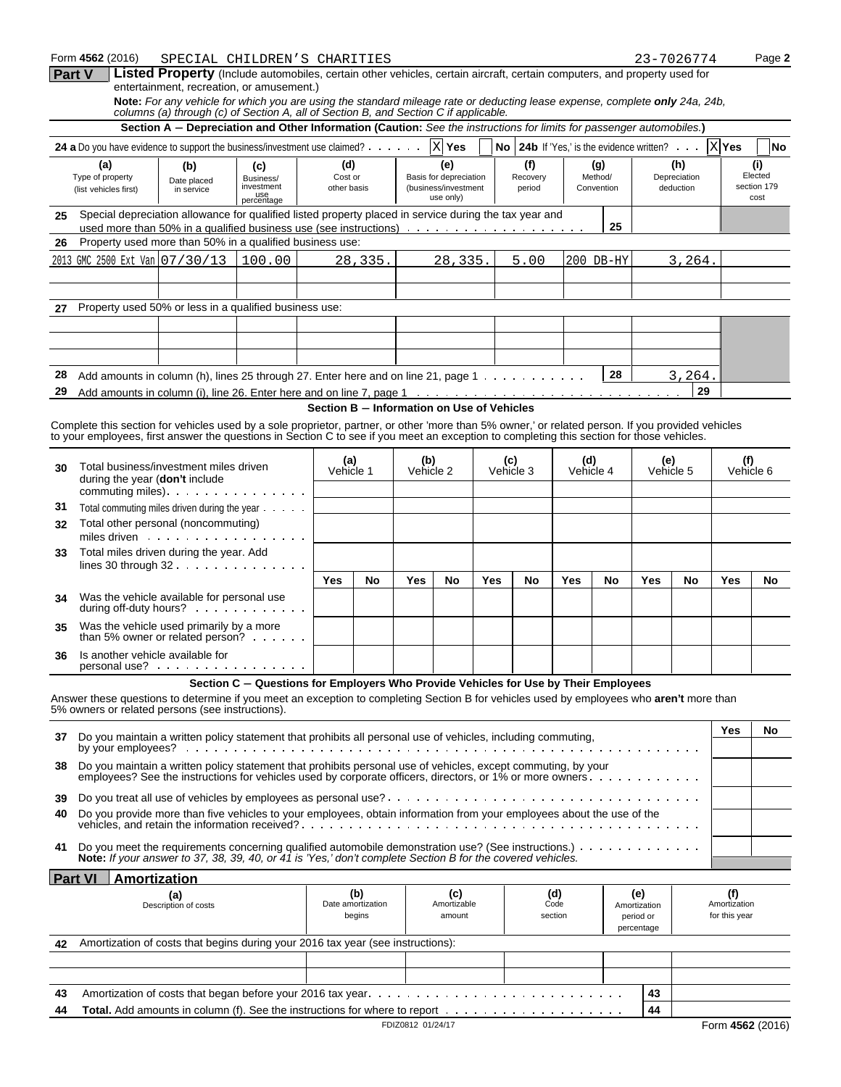|          | Form 4562 (2016)                                                                                                                                                                                                                                                                               | SPECIAL CHILDREN'S CHARITIES                                                                                                                                                                                                                                                                                                                |                                                                                     |                                            |                                    |                   |                                                                    |     |                  |                           |                        |                              |                                                           | 23-7026774                       |                                      | Page 2                                |
|----------|------------------------------------------------------------------------------------------------------------------------------------------------------------------------------------------------------------------------------------------------------------------------------------------------|---------------------------------------------------------------------------------------------------------------------------------------------------------------------------------------------------------------------------------------------------------------------------------------------------------------------------------------------|-------------------------------------------------------------------------------------|--------------------------------------------|------------------------------------|-------------------|--------------------------------------------------------------------|-----|------------------|---------------------------|------------------------|------------------------------|-----------------------------------------------------------|----------------------------------|--------------------------------------|---------------------------------------|
|          | Part V                                                                                                                                                                                                                                                                                         | <b>Listed Property</b> (Include automobiles, certain other vehicles, certain aircraft, certain computers, and property used for<br>entertainment, recreation, or amusement.)                                                                                                                                                                |                                                                                     |                                            |                                    |                   |                                                                    |     |                  |                           |                        |                              |                                                           |                                  |                                      |                                       |
|          |                                                                                                                                                                                                                                                                                                | Note: For any vehicle for which you are using the standard mileage rate or deducting lease expense, complete only 24a, 24b,<br>columns (a) through (c) of Section A, all of Section B, and Section C if applicable.<br>Section A - Depreciation and Other Information (Caution: See the instructions for limits for passenger automobiles.) |                                                                                     |                                            |                                    |                   |                                                                    |     |                  |                           |                        |                              |                                                           |                                  |                                      |                                       |
|          | 24 a Do you have evidence to support the business/investment use claimed?                                                                                                                                                                                                                      |                                                                                                                                                                                                                                                                                                                                             |                                                                                     |                                            |                                    |                   | X Yes                                                              |     |                  |                           |                        |                              | <b>No</b> 24b If 'Yes.' is the evidence written? $\ldots$ |                                  | X Yes                                | No                                    |
|          | (a)<br>Type of property<br>(list vehicles first)                                                                                                                                                                                                                                               | (b)<br>Date placed<br>in service                                                                                                                                                                                                                                                                                                            | (c)<br>Business/<br>investment<br>use<br>percentage                                 | (d)<br>Cost or<br>other basis              |                                    |                   | (e)<br>Basis for depreciation<br>(business/investment<br>use only) |     |                  | (f)<br>Recovery<br>period |                        | (g)<br>Method/<br>Convention |                                                           | (h)<br>Depreciation<br>deduction |                                      | (i)<br>Elected<br>section 179<br>cost |
| 25       | Special depreciation allowance for qualified listed property placed in service during the tax year and                                                                                                                                                                                         |                                                                                                                                                                                                                                                                                                                                             |                                                                                     |                                            |                                    |                   |                                                                    |     |                  |                           |                        | 25                           |                                                           |                                  |                                      |                                       |
| 26       | Property used more than 50% in a qualified business use:                                                                                                                                                                                                                                       |                                                                                                                                                                                                                                                                                                                                             |                                                                                     |                                            |                                    |                   |                                                                    |     |                  |                           |                        |                              |                                                           |                                  |                                      |                                       |
|          | 2013 GMC 2500 Ext Van 07/30/13                                                                                                                                                                                                                                                                 |                                                                                                                                                                                                                                                                                                                                             | 100.00                                                                              |                                            | 28,335.                            |                   | 28, 335.                                                           |     |                  | 5.00                      |                        | 200 DB-HY                    |                                                           | 3, 264.                          |                                      |                                       |
| 27       | Property used 50% or less in a qualified business use:                                                                                                                                                                                                                                         |                                                                                                                                                                                                                                                                                                                                             |                                                                                     |                                            |                                    |                   |                                                                    |     |                  |                           |                        |                              |                                                           |                                  |                                      |                                       |
|          |                                                                                                                                                                                                                                                                                                |                                                                                                                                                                                                                                                                                                                                             |                                                                                     |                                            |                                    |                   |                                                                    |     |                  |                           |                        |                              |                                                           |                                  |                                      |                                       |
| 28       | Add amounts in column (h), lines 25 through 27. Enter here and on line 21, page 1 $\dots$                                                                                                                                                                                                      |                                                                                                                                                                                                                                                                                                                                             |                                                                                     |                                            |                                    |                   |                                                                    |     |                  |                           |                        | 28                           |                                                           | 3, 264.                          |                                      |                                       |
| 29       |                                                                                                                                                                                                                                                                                                |                                                                                                                                                                                                                                                                                                                                             |                                                                                     |                                            |                                    |                   |                                                                    |     |                  |                           |                        |                              |                                                           | 29                               |                                      |                                       |
|          | Complete this section for vehicles used by a sole proprietor, partner, or other 'more than 5% owner,' or related person. If you provided vehicles<br>to your employees, first answer the questions in Section C to see if you meet an exception to completing this section for those vehicles. |                                                                                                                                                                                                                                                                                                                                             |                                                                                     | Section B - Information on Use of Vehicles |                                    |                   |                                                                    |     |                  |                           |                        |                              |                                                           |                                  |                                      |                                       |
| 30       | Total business/investment miles driven<br>during the year (don't include                                                                                                                                                                                                                       |                                                                                                                                                                                                                                                                                                                                             |                                                                                     |                                            | (a)<br>Vehicle 1                   | (b)               | Vehicle 2                                                          |     | (c)<br>Vehicle 3 |                           | (d)<br>Vehicle 4       |                              | (e)                                                       | Vehicle 5                        | (f)                                  | Vehicle 6                             |
|          |                                                                                                                                                                                                                                                                                                |                                                                                                                                                                                                                                                                                                                                             |                                                                                     |                                            |                                    |                   |                                                                    |     |                  |                           |                        |                              |                                                           |                                  |                                      |                                       |
| 31<br>32 | Total commuting miles driven during the year<br>Total other personal (noncommuting)<br>miles driven                                                                                                                                                                                            |                                                                                                                                                                                                                                                                                                                                             |                                                                                     |                                            |                                    |                   |                                                                    |     |                  |                           |                        |                              |                                                           |                                  |                                      |                                       |
| 33       | Total miles driven during the year. Add<br>lines 30 through $32 \cdot \cdot \cdot \cdot \cdot \cdot \cdot \cdot \cdot \cdot \cdot$                                                                                                                                                             |                                                                                                                                                                                                                                                                                                                                             |                                                                                     |                                            |                                    |                   |                                                                    |     |                  |                           |                        |                              |                                                           |                                  |                                      |                                       |
| 34       | Was the vehicle available for personal use                                                                                                                                                                                                                                                     |                                                                                                                                                                                                                                                                                                                                             |                                                                                     | Yes                                        | No                                 | <b>Yes</b>        | No                                                                 | Yes |                  | No                        | Yes                    | No                           | Yes                                                       | No                               | Yes                                  | No                                    |
| 35       | during off-duty hours?<br>Was the vehicle used primarily by a more<br>than 5% owner or related person?                                                                                                                                                                                         |                                                                                                                                                                                                                                                                                                                                             |                                                                                     |                                            |                                    |                   |                                                                    |     |                  |                           |                        |                              |                                                           |                                  |                                      |                                       |
| 36       | Is another vehicle available for<br>personal use?                                                                                                                                                                                                                                              |                                                                                                                                                                                                                                                                                                                                             |                                                                                     |                                            |                                    |                   |                                                                    |     |                  |                           |                        |                              |                                                           |                                  |                                      |                                       |
|          | Answer these questions to determine if you meet an exception to completing Section B for vehicles used by employees who aren't more than<br>5% owners or related persons (see instructions).                                                                                                   |                                                                                                                                                                                                                                                                                                                                             | Section C - Questions for Employers Who Provide Vehicles for Use by Their Employees |                                            |                                    |                   |                                                                    |     |                  |                           |                        |                              |                                                           |                                  |                                      |                                       |
| 37       | Do you maintain a written policy statement that prohibits all personal use of vehicles, including commuting,<br>by your emplovees?                                                                                                                                                             |                                                                                                                                                                                                                                                                                                                                             |                                                                                     |                                            |                                    |                   |                                                                    |     |                  |                           |                        |                              |                                                           |                                  | Yes                                  | No                                    |
| 38       | Do you maintain a written policy statement that prohibits personal use of vehicles, except commuting, by your                                                                                                                                                                                  |                                                                                                                                                                                                                                                                                                                                             |                                                                                     |                                            |                                    |                   |                                                                    |     |                  |                           |                        |                              |                                                           |                                  |                                      |                                       |
| 39<br>40 | Do you provide more than five vehicles to your employees, obtain information from your employees about the use of the                                                                                                                                                                          |                                                                                                                                                                                                                                                                                                                                             |                                                                                     |                                            |                                    |                   |                                                                    |     |                  |                           |                        |                              |                                                           |                                  |                                      |                                       |
| 41       | Do you meet the requirements concerning qualified automobile demonstration use? (See instructions.)<br>Note: If your answer to 37, 38, 39, 40, or 41 is 'Yes,' don't complete Section B for the covered vehicles.                                                                              |                                                                                                                                                                                                                                                                                                                                             |                                                                                     |                                            |                                    |                   |                                                                    |     |                  |                           |                        |                              |                                                           |                                  |                                      |                                       |
|          | <b>Part VI</b><br>Amortization                                                                                                                                                                                                                                                                 |                                                                                                                                                                                                                                                                                                                                             |                                                                                     |                                            |                                    |                   |                                                                    |     |                  |                           |                        |                              |                                                           |                                  |                                      |                                       |
|          |                                                                                                                                                                                                                                                                                                | (a)<br>Description of costs                                                                                                                                                                                                                                                                                                                 |                                                                                     |                                            | (b)<br>Date amortization<br>begins |                   | (c)<br>Amortizable<br>amount                                       |     |                  |                           | (d)<br>Code<br>section |                              | (e)<br>Amortization<br>period or<br>percentage            |                                  | (f)<br>Amortization<br>for this year |                                       |
| 42       | Amortization of costs that begins during your 2016 tax year (see instructions):                                                                                                                                                                                                                |                                                                                                                                                                                                                                                                                                                                             |                                                                                     |                                            |                                    |                   |                                                                    |     |                  |                           |                        |                              |                                                           |                                  |                                      |                                       |
|          |                                                                                                                                                                                                                                                                                                |                                                                                                                                                                                                                                                                                                                                             |                                                                                     |                                            |                                    |                   |                                                                    |     |                  |                           |                        |                              |                                                           |                                  |                                      |                                       |
| 43       |                                                                                                                                                                                                                                                                                                |                                                                                                                                                                                                                                                                                                                                             |                                                                                     |                                            |                                    |                   |                                                                    |     |                  |                           |                        |                              | 43                                                        |                                  |                                      |                                       |
| 44       |                                                                                                                                                                                                                                                                                                |                                                                                                                                                                                                                                                                                                                                             |                                                                                     |                                            |                                    |                   |                                                                    |     |                  |                           |                        |                              | 44                                                        |                                  |                                      |                                       |
|          |                                                                                                                                                                                                                                                                                                |                                                                                                                                                                                                                                                                                                                                             |                                                                                     |                                            |                                    | FDIZ0812 01/24/17 |                                                                    |     |                  |                           |                        |                              |                                                           |                                  | Form 4562 (2016)                     |                                       |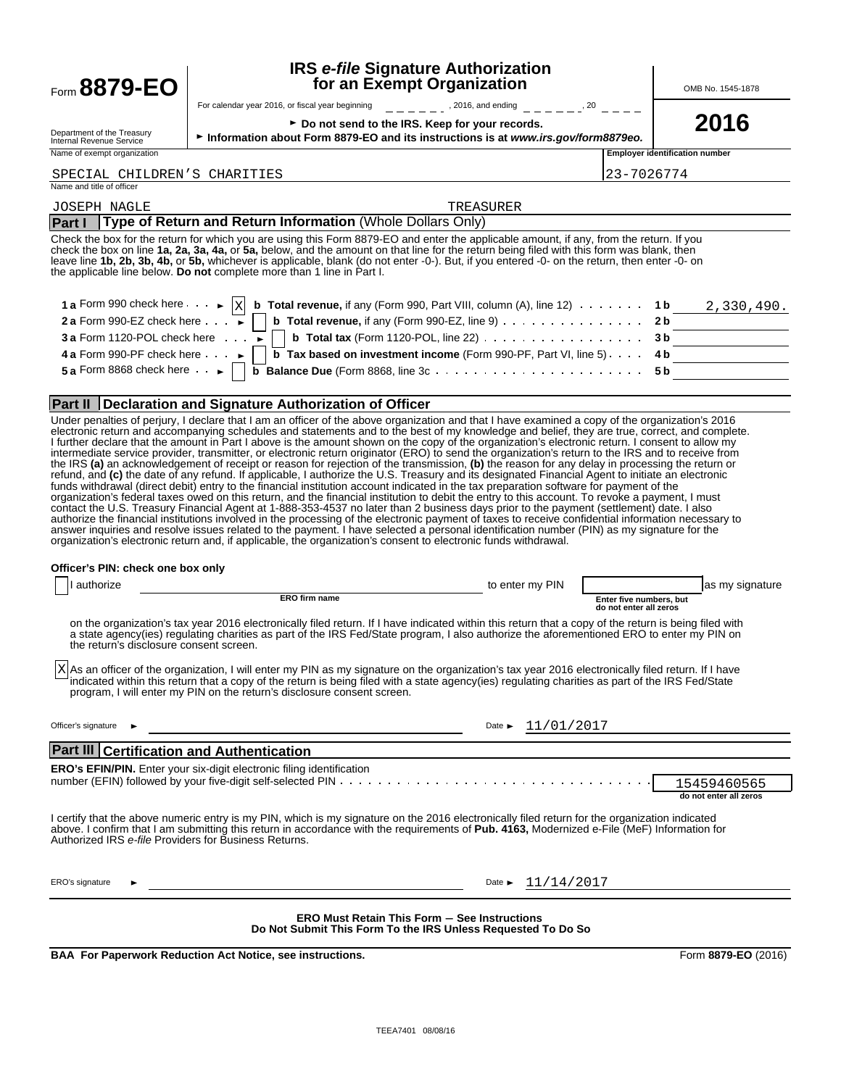| Form 8879-EO                                                | <b>IRS e-file Signature Authorization</b><br>for an Exempt Organization                                                                                                                                                                                                                                                                                                                                                                                                                                                                                                                                                                                                                                                                                                                                                                                                                                                                                                                                                                                                                                                                                                                                                                                                                                                      |                                                   | OMB No. 1545-1878                     |
|-------------------------------------------------------------|------------------------------------------------------------------------------------------------------------------------------------------------------------------------------------------------------------------------------------------------------------------------------------------------------------------------------------------------------------------------------------------------------------------------------------------------------------------------------------------------------------------------------------------------------------------------------------------------------------------------------------------------------------------------------------------------------------------------------------------------------------------------------------------------------------------------------------------------------------------------------------------------------------------------------------------------------------------------------------------------------------------------------------------------------------------------------------------------------------------------------------------------------------------------------------------------------------------------------------------------------------------------------------------------------------------------------|---------------------------------------------------|---------------------------------------|
|                                                             | Do not send to the IRS. Keep for your records.                                                                                                                                                                                                                                                                                                                                                                                                                                                                                                                                                                                                                                                                                                                                                                                                                                                                                                                                                                                                                                                                                                                                                                                                                                                                               |                                                   | 2016                                  |
| Department of the Treasury<br>Internal Revenue Service      | Information about Form 8879-EO and its instructions is at www.irs.gov/form8879eo.                                                                                                                                                                                                                                                                                                                                                                                                                                                                                                                                                                                                                                                                                                                                                                                                                                                                                                                                                                                                                                                                                                                                                                                                                                            |                                                   |                                       |
| Name of exempt organization                                 |                                                                                                                                                                                                                                                                                                                                                                                                                                                                                                                                                                                                                                                                                                                                                                                                                                                                                                                                                                                                                                                                                                                                                                                                                                                                                                                              |                                                   | <b>Employer identification number</b> |
| SPECIAL CHILDREN'S CHARITIES                                |                                                                                                                                                                                                                                                                                                                                                                                                                                                                                                                                                                                                                                                                                                                                                                                                                                                                                                                                                                                                                                                                                                                                                                                                                                                                                                                              |                                                   | 23-7026774                            |
| Name and title of officer                                   |                                                                                                                                                                                                                                                                                                                                                                                                                                                                                                                                                                                                                                                                                                                                                                                                                                                                                                                                                                                                                                                                                                                                                                                                                                                                                                                              |                                                   |                                       |
| <b>JOSEPH NAGLE</b>                                         | TREASURER                                                                                                                                                                                                                                                                                                                                                                                                                                                                                                                                                                                                                                                                                                                                                                                                                                                                                                                                                                                                                                                                                                                                                                                                                                                                                                                    |                                                   |                                       |
| Part I                                                      | Type of Return and Return Information (Whole Dollars Only)                                                                                                                                                                                                                                                                                                                                                                                                                                                                                                                                                                                                                                                                                                                                                                                                                                                                                                                                                                                                                                                                                                                                                                                                                                                                   |                                                   |                                       |
|                                                             | Check the box for the return for which you are using this Form 8879-EO and enter the applicable amount, if any, from the return. If you<br>check the box on line 1a, 2a, 3a, 4a, or 5a, below, and the amount on that line for the return being filed with this form was blank, then<br>leave line 1b, 2b, 3b, 4b, or 5b, whichever is applicable, blank (do not enter -0-). But, if you entered -0- on the return, then enter -0- on<br>the applicable line below. Do not complete more than 1 line in Part I.                                                                                                                                                                                                                                                                                                                                                                                                                                                                                                                                                                                                                                                                                                                                                                                                              |                                                   |                                       |
|                                                             | 1 a Form 990 check here $\cdots$ $\boxed{x}$ b Total revenue, if any (Form 990, Part VIII, column (A), line 12) $\cdots \cdots$ 1 b 2, 330, 490.                                                                                                                                                                                                                                                                                                                                                                                                                                                                                                                                                                                                                                                                                                                                                                                                                                                                                                                                                                                                                                                                                                                                                                             |                                                   |                                       |
| 2 a Form 990-EZ check here $\cdots$ $\blacktriangleright$   | <b>b</b> Total revenue, if any (Form 990-EZ, line 9) $\ldots$ 2b                                                                                                                                                                                                                                                                                                                                                                                                                                                                                                                                                                                                                                                                                                                                                                                                                                                                                                                                                                                                                                                                                                                                                                                                                                                             |                                                   |                                       |
| 3 a Form 1120-POL check here $\cdots$ $\blacktriangleright$ | <b>b</b> Total tax (Form 1120-POL, line 22) $\ldots$                                                                                                                                                                                                                                                                                                                                                                                                                                                                                                                                                                                                                                                                                                                                                                                                                                                                                                                                                                                                                                                                                                                                                                                                                                                                         |                                                   | 3 <sub>b</sub>                        |
| 4 a Form 990-PF check here $\cdots$                         | <b>b</b> Tax based on investment income (Form 990-PF, Part VI, line 5)                                                                                                                                                                                                                                                                                                                                                                                                                                                                                                                                                                                                                                                                                                                                                                                                                                                                                                                                                                                                                                                                                                                                                                                                                                                       |                                                   | 4 b                                   |
| 5 a Form 8868 check here $\vert \vert$                      |                                                                                                                                                                                                                                                                                                                                                                                                                                                                                                                                                                                                                                                                                                                                                                                                                                                                                                                                                                                                                                                                                                                                                                                                                                                                                                                              |                                                   | 5 b                                   |
|                                                             |                                                                                                                                                                                                                                                                                                                                                                                                                                                                                                                                                                                                                                                                                                                                                                                                                                                                                                                                                                                                                                                                                                                                                                                                                                                                                                                              |                                                   |                                       |
|                                                             | Part II Declaration and Signature Authorization of Officer<br>Under penalties of perjury, I declare that I am an officer of the above organization and that I have examined a copy of the organization's 2016                                                                                                                                                                                                                                                                                                                                                                                                                                                                                                                                                                                                                                                                                                                                                                                                                                                                                                                                                                                                                                                                                                                |                                                   |                                       |
|                                                             | intermediate service provider, transmitter, or electronic return originator (ERO) to send the organization's return to the IRS and to receive from<br>the IRS (a) an acknowledgement of receipt or reason for rejection of the transmission, (b) the reason for any delay in processing the return or<br>refund, and (c) the date of any refund. If applicable, I authorize the U.S. Treasury and its designated Financial Agent to initiate an electronic<br>funds withdrawal (direct debit) entry to the financial institution account indicated in the tax preparation software for payment of the<br>organization's federal taxes owed on this return, and the financial institution to debit the entry to this account. To revoke a payment, I must<br>contact the U.S. Treasury Financial Agent at 1-888-353-4537 no later than 2 business days prior to the payment (settlement) date. I also<br>authorize the financial institutions involved in the processing of the electronic payment of taxes to receive confidential information necessary to<br>answer inquiries and resolve issues related to the payment. I have selected a personal identification number (PIN) as my signature for the<br>organization's electronic return and, if applicable, the organization's consent to electronic funds withdrawal. |                                                   |                                       |
| Officer's PIN: check one box only                           |                                                                                                                                                                                                                                                                                                                                                                                                                                                                                                                                                                                                                                                                                                                                                                                                                                                                                                                                                                                                                                                                                                                                                                                                                                                                                                                              |                                                   |                                       |
| authorize                                                   | to enter my PIN<br>ERO firm name                                                                                                                                                                                                                                                                                                                                                                                                                                                                                                                                                                                                                                                                                                                                                                                                                                                                                                                                                                                                                                                                                                                                                                                                                                                                                             |                                                   | as my signature                       |
|                                                             |                                                                                                                                                                                                                                                                                                                                                                                                                                                                                                                                                                                                                                                                                                                                                                                                                                                                                                                                                                                                                                                                                                                                                                                                                                                                                                                              | Enter five numbers, but<br>do not enter all zeros |                                       |
| the return's disclosure consent screen.                     | on the organization's tax year 2016 electronically filed return. If I have indicated within this return that a copy of the return is being filed with<br>a state agency(ies) regulating charities as part of the IRS Fed/State program, I also authorize the aforementioned ERO to enter my PIN on                                                                                                                                                                                                                                                                                                                                                                                                                                                                                                                                                                                                                                                                                                                                                                                                                                                                                                                                                                                                                           |                                                   |                                       |
|                                                             | X As an officer of the organization, I will enter my PIN as my signature on the organization's tax year 2016 electronically filed return. If I have<br>indicated within this return that a copy of the return is being filed with a state agency(ies) regulating charities as part of the IRS Fed/State<br>program, I will enter my PIN on the return's disclosure consent screen.                                                                                                                                                                                                                                                                                                                                                                                                                                                                                                                                                                                                                                                                                                                                                                                                                                                                                                                                           |                                                   |                                       |
| Officer's signature                                         | Date $\triangleright$ 11/01/2017                                                                                                                                                                                                                                                                                                                                                                                                                                                                                                                                                                                                                                                                                                                                                                                                                                                                                                                                                                                                                                                                                                                                                                                                                                                                                             |                                                   |                                       |
| Part III Certification and Authentication                   |                                                                                                                                                                                                                                                                                                                                                                                                                                                                                                                                                                                                                                                                                                                                                                                                                                                                                                                                                                                                                                                                                                                                                                                                                                                                                                                              |                                                   |                                       |
|                                                             | <b>ERO's EFIN/PIN.</b> Enter your six-digit electronic filing identification                                                                                                                                                                                                                                                                                                                                                                                                                                                                                                                                                                                                                                                                                                                                                                                                                                                                                                                                                                                                                                                                                                                                                                                                                                                 |                                                   | 15459460565<br>do not enter all zeros |
| Authorized IRS e-file Providers for Business Returns.       | I certify that the above numeric entry is my PIN, which is my signature on the 2016 electronically filed return for the organization indicated<br>above. I confirm that I am submitting this return in accordance with the requirements of Pub. 4163, Modernized e-File (MeF) Information for                                                                                                                                                                                                                                                                                                                                                                                                                                                                                                                                                                                                                                                                                                                                                                                                                                                                                                                                                                                                                                |                                                   |                                       |
| ERO's signature                                             | Date $\blacktriangleright$<br>11/14/2017                                                                                                                                                                                                                                                                                                                                                                                                                                                                                                                                                                                                                                                                                                                                                                                                                                                                                                                                                                                                                                                                                                                                                                                                                                                                                     |                                                   |                                       |

**ERO Must Retain This Form** ' **See Instructions Do Not Submit This Form To the IRS Unless Requested To Do So**

**BAA For Paperwork Reduction Act Notice, see instructions.** Form 8879-EO (2016)